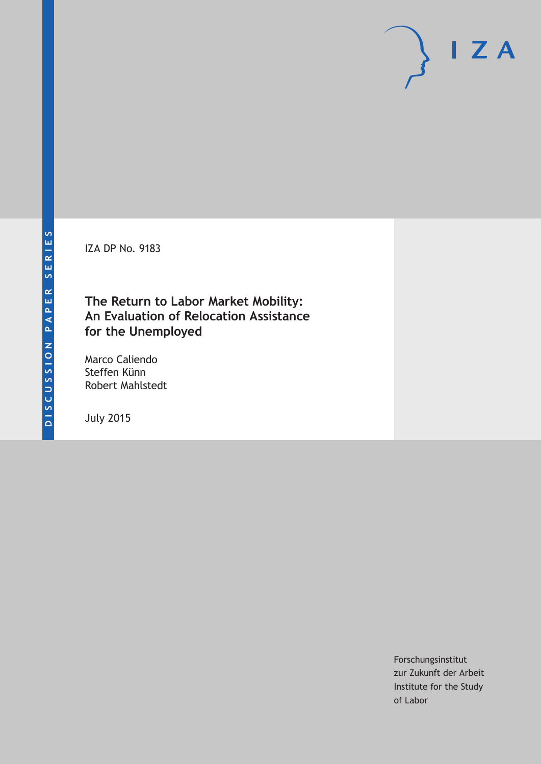IZA DP No. 9183

## **The Return to Labor Market Mobility: An Evaluation of Relocation Assistance for the Unemployed**

Marco Caliendo Steffen Künn Robert Mahlstedt

July 2015

Forschungsinstitut zur Zukunft der Arbeit Institute for the Study of Labor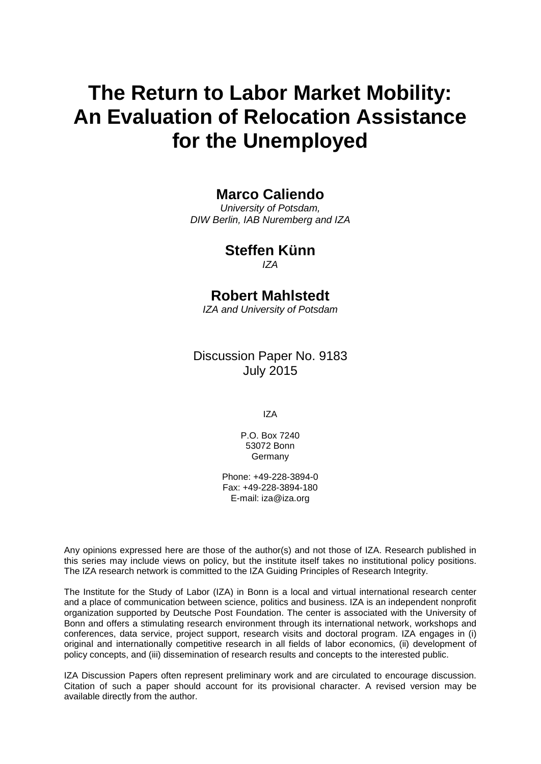# **The Return to Labor Market Mobility: An Evaluation of Relocation Assistance for the Unemployed**

## **Marco Caliendo**

*University of Potsdam, DIW Berlin, IAB Nuremberg and IZA*

## **Steffen Künn**

*IZA*

## **Robert Mahlstedt**

*IZA and University of Potsdam*

Discussion Paper No. 9183 July 2015

IZA

P.O. Box 7240 53072 Bonn **Germany** 

Phone: +49-228-3894-0 Fax: +49-228-3894-180 E-mail: iza@iza.org

Any opinions expressed here are those of the author(s) and not those of IZA. Research published in this series may include views on policy, but the institute itself takes no institutional policy positions. The IZA research network is committed to the IZA Guiding Principles of Research Integrity.

The Institute for the Study of Labor (IZA) in Bonn is a local and virtual international research center and a place of communication between science, politics and business. IZA is an independent nonprofit organization supported by Deutsche Post Foundation. The center is associated with the University of Bonn and offers a stimulating research environment through its international network, workshops and conferences, data service, project support, research visits and doctoral program. IZA engages in (i) original and internationally competitive research in all fields of labor economics, (ii) development of policy concepts, and (iii) dissemination of research results and concepts to the interested public.

<span id="page-1-0"></span>IZA Discussion Papers often represent preliminary work and are circulated to encourage discussion. Citation of such a paper should account for its provisional character. A revised version may be available directly from the author.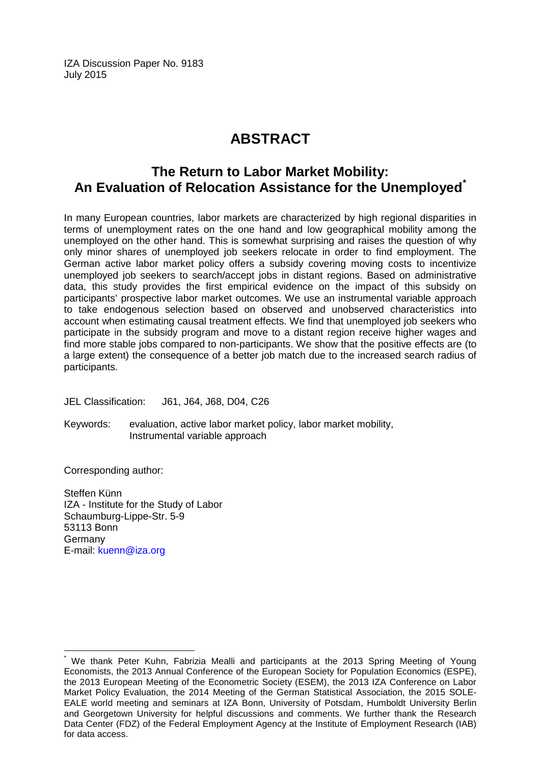IZA Discussion Paper No. 9183 July 2015

## **ABSTRACT**

## **The Return to Labor Market Mobility: An Evaluation of Relocation Assistance for the Unemployed[\\*](#page-1-0)**

In many European countries, labor markets are characterized by high regional disparities in terms of unemployment rates on the one hand and low geographical mobility among the unemployed on the other hand. This is somewhat surprising and raises the question of why only minor shares of unemployed job seekers relocate in order to find employment. The German active labor market policy offers a subsidy covering moving costs to incentivize unemployed job seekers to search/accept jobs in distant regions. Based on administrative data, this study provides the first empirical evidence on the impact of this subsidy on participants' prospective labor market outcomes. We use an instrumental variable approach to take endogenous selection based on observed and unobserved characteristics into account when estimating causal treatment effects. We find that unemployed job seekers who participate in the subsidy program and move to a distant region receive higher wages and find more stable jobs compared to non-participants. We show that the positive effects are (to a large extent) the consequence of a better job match due to the increased search radius of participants.

JEL Classification: J61, J64, J68, D04, C26

Keywords: evaluation, active labor market policy, labor market mobility, Instrumental variable approach

Corresponding author:

Steffen Künn IZA - Institute for the Study of Labor Schaumburg-Lippe-Str. 5-9 53113 Bonn Germany E-mail: [kuenn@iza.org](mailto:kuenn@iza.org)

We thank Peter Kuhn, Fabrizia Mealli and participants at the 2013 Spring Meeting of Young Economists, the 2013 Annual Conference of the European Society for Population Economics (ESPE), the 2013 European Meeting of the Econometric Society (ESEM), the 2013 IZA Conference on Labor Market Policy Evaluation, the 2014 Meeting of the German Statistical Association, the 2015 SOLE-EALE world meeting and seminars at IZA Bonn, University of Potsdam, Humboldt University Berlin and Georgetown University for helpful discussions and comments. We further thank the Research Data Center (FDZ) of the Federal Employment Agency at the Institute of Employment Research (IAB) for data access.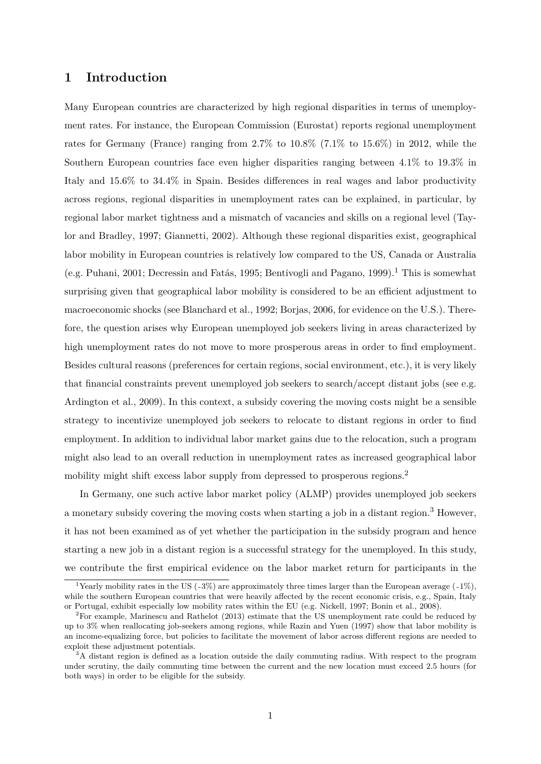## **1 Introduction**

Many European countries are characterized by high regional disparities in terms of unemployment rates. For instance, the European Commission (Eurostat) reports regional unemployment rates for Germany (France) ranging from  $2.7\%$  to  $10.8\%$  (7.1% to 15.6%) in 2012, while the Southern European countries face even higher disparities ranging between 4.1% to 19.3% in Italy and 15.6% to 34.4% in Spain. Besides differences in real wages and labor productivity across regions, regional disparities in unemployment rates can be explained, in particular, by regional labor market tightness and a mismatch of vacancies and skills on a regional level (Taylor and Bradley, 1997; Giannetti, 2002). Although these regional disparities exist, geographical labor mobility in European countries is relatively low compared to the US, Canada or Australia (e.g. Puhani, 2001; Decressin and Fatás, 1995; Bentivogli and Pagano, 1999).<sup>1</sup> This is somewhat surprising given that geographical labor mobility is considered to be an efficient adjustment to macroeconomic shocks (see Blanchard et al., 1992; Borjas, 2006, for evidence on the U.S.). Therefore, the question arises why European unemployed job seekers living in areas characterized by high unemployment rates do not move to more prosperous areas in order to find employment. Besides cultural reasons (preferences for certain regions, social environment, etc.), it is very likely that financial constraints prevent unemployed job seekers to search/accept distant jobs (see e.g. Ardington et al., 2009). In this context, a subsidy covering the moving costs might be a sensible strategy to incentivize unemployed job seekers to relocate to distant regions in order to find employment. In addition to individual labor market gains due to the relocation, such a program might also lead to an overall reduction in unemployment rates as increased geographical labor mobility might shift excess labor supply from depressed to prosperous regions.<sup>2</sup>

In Germany, one such active labor market policy (ALMP) provides unemployed job seekers a monetary subsidy covering the moving costs when starting a job in a distant region.<sup>3</sup> However, it has not been examined as of yet whether the participation in the subsidy program and hence starting a new job in a distant region is a successful strategy for the unemployed. In this study, we contribute the first empirical evidence on the labor market return for participants in the

<sup>&</sup>lt;sup>1</sup>Yearly mobility rates in the US (~3%) are approximately three times larger than the European average (~1%), while the southern European countries that were heavily affected by the recent economic crisis, e.g., Spain, Italy or Portugal, exhibit especially low mobility rates within the EU (e.g. Nickell, 1997; Bonin et al., 2008).

 $^{2}$ For example, Marinescu and Rathelot (2013) estimate that the US unemployment rate could be reduced by up to 3% when reallocating job-seekers among regions, while Razin and Yuen (1997) show that labor mobility is an income-equalizing force, but policies to facilitate the movement of labor across different regions are needed to exploit these adjustment potentials.

<sup>&</sup>lt;sup>3</sup>A distant region is defined as a location outside the daily commuting radius. With respect to the program under scrutiny, the daily commuting time between the current and the new location must exceed 2.5 hours (for both ways) in order to be eligible for the subsidy.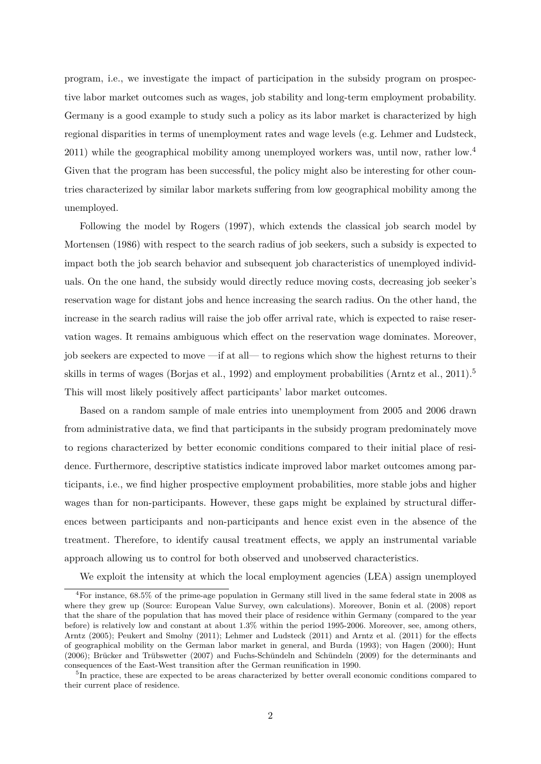program, i.e., we investigate the impact of participation in the subsidy program on prospective labor market outcomes such as wages, job stability and long-term employment probability. Germany is a good example to study such a policy as its labor market is characterized by high regional disparities in terms of unemployment rates and wage levels (e.g. Lehmer and Ludsteck, 2011) while the geographical mobility among unemployed workers was, until now, rather low.<sup>4</sup> Given that the program has been successful, the policy might also be interesting for other countries characterized by similar labor markets suffering from low geographical mobility among the unemployed.

Following the model by Rogers (1997), which extends the classical job search model by Mortensen (1986) with respect to the search radius of job seekers, such a subsidy is expected to impact both the job search behavior and subsequent job characteristics of unemployed individuals. On the one hand, the subsidy would directly reduce moving costs, decreasing job seeker's reservation wage for distant jobs and hence increasing the search radius. On the other hand, the increase in the search radius will raise the job offer arrival rate, which is expected to raise reservation wages. It remains ambiguous which effect on the reservation wage dominates. Moreover, job seekers are expected to move —if at all— to regions which show the highest returns to their skills in terms of wages (Borjas et al., 1992) and employment probabilities (Arntz et al., 2011).<sup>5</sup> This will most likely positively affect participants' labor market outcomes.

Based on a random sample of male entries into unemployment from 2005 and 2006 drawn from administrative data, we find that participants in the subsidy program predominately move to regions characterized by better economic conditions compared to their initial place of residence. Furthermore, descriptive statistics indicate improved labor market outcomes among participants, i.e., we find higher prospective employment probabilities, more stable jobs and higher wages than for non-participants. However, these gaps might be explained by structural differences between participants and non-participants and hence exist even in the absence of the treatment. Therefore, to identify causal treatment effects, we apply an instrumental variable approach allowing us to control for both observed and unobserved characteristics.

We exploit the intensity at which the local employment agencies (LEA) assign unemployed

<sup>4</sup>For instance, 68.5% of the prime-age population in Germany still lived in the same federal state in 2008 as where they grew up (Source: European Value Survey, own calculations). Moreover, Bonin et al. (2008) report that the share of the population that has moved their place of residence within Germany (compared to the year before) is relatively low and constant at about 1.3% within the period 1995-2006. Moreover, see, among others, Arntz (2005); Peukert and Smolny (2011); Lehmer and Ludsteck (2011) and Arntz et al. (2011) for the effects of geographical mobility on the German labor market in general, and Burda (1993); von Hagen (2000); Hunt  $(2006)$ ; Brücker and Trübswetter  $(2007)$  and Fuchs-Schündeln and Schündeln  $(2009)$  for the determinants and consequences of the East-West transition after the German reunification in 1990.

<sup>&</sup>lt;sup>5</sup>In practice, these are expected to be areas characterized by better overall economic conditions compared to their current place of residence.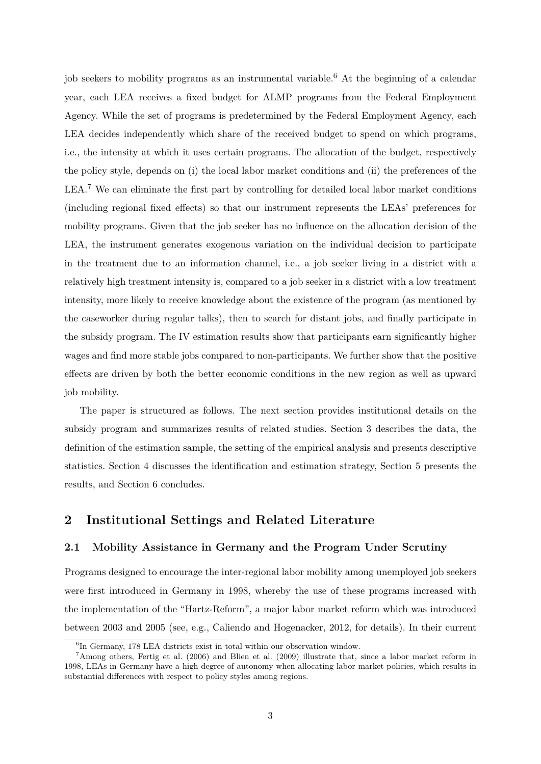job seekers to mobility programs as an instrumental variable.<sup>6</sup> At the beginning of a calendar year, each LEA receives a fixed budget for ALMP programs from the Federal Employment Agency. While the set of programs is predetermined by the Federal Employment Agency, each LEA decides independently which share of the received budget to spend on which programs, i.e., the intensity at which it uses certain programs. The allocation of the budget, respectively the policy style, depends on (i) the local labor market conditions and (ii) the preferences of the LEA.<sup>7</sup> We can eliminate the first part by controlling for detailed local labor market conditions (including regional fixed effects) so that our instrument represents the LEAs' preferences for mobility programs. Given that the job seeker has no influence on the allocation decision of the LEA, the instrument generates exogenous variation on the individual decision to participate in the treatment due to an information channel, i.e., a job seeker living in a district with a relatively high treatment intensity is, compared to a job seeker in a district with a low treatment intensity, more likely to receive knowledge about the existence of the program (as mentioned by the caseworker during regular talks), then to search for distant jobs, and finally participate in the subsidy program. The IV estimation results show that participants earn significantly higher wages and find more stable jobs compared to non-participants. We further show that the positive effects are driven by both the better economic conditions in the new region as well as upward job mobility.

The paper is structured as follows. The next section provides institutional details on the subsidy program and summarizes results of related studies. Section 3 describes the data, the definition of the estimation sample, the setting of the empirical analysis and presents descriptive statistics. Section 4 discusses the identification and estimation strategy, Section 5 presents the results, and Section 6 concludes.

### **2 Institutional Settings and Related Literature**

#### **2.1 Mobility Assistance in Germany and the Program Under Scrutiny**

Programs designed to encourage the inter-regional labor mobility among unemployed job seekers were first introduced in Germany in 1998, whereby the use of these programs increased with the implementation of the "Hartz-Reform", a major labor market reform which was introduced between 2003 and 2005 (see, e.g., Caliendo and Hogenacker, 2012, for details). In their current

<sup>6</sup> In Germany, 178 LEA districts exist in total within our observation window.

<sup>7</sup>Among others, Fertig et al. (2006) and Blien et al. (2009) illustrate that, since a labor market reform in 1998, LEAs in Germany have a high degree of autonomy when allocating labor market policies, which results in substantial differences with respect to policy styles among regions.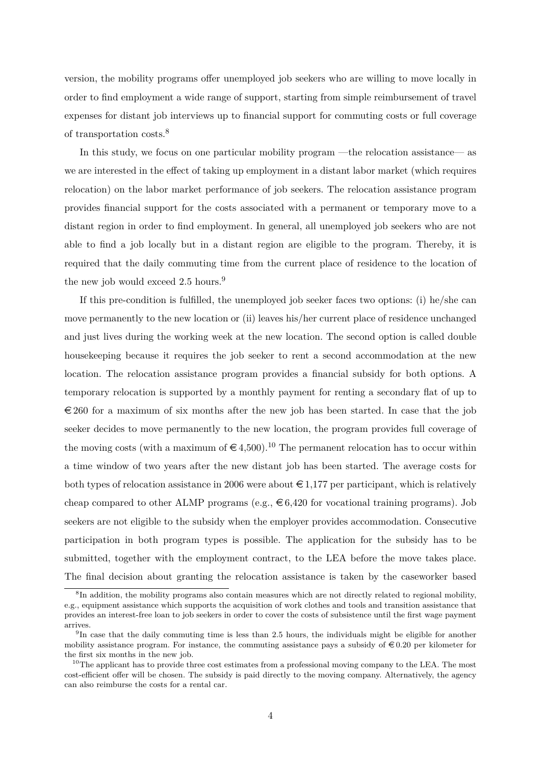version, the mobility programs offer unemployed job seekers who are willing to move locally in order to find employment a wide range of support, starting from simple reimbursement of travel expenses for distant job interviews up to financial support for commuting costs or full coverage of transportation costs.<sup>8</sup>

In this study, we focus on one particular mobility program —the relocation assistance— as we are interested in the effect of taking up employment in a distant labor market (which requires relocation) on the labor market performance of job seekers. The relocation assistance program provides financial support for the costs associated with a permanent or temporary move to a distant region in order to find employment. In general, all unemployed job seekers who are not able to find a job locally but in a distant region are eligible to the program. Thereby, it is required that the daily commuting time from the current place of residence to the location of the new job would exceed 2.5 hours.<sup>9</sup>

If this pre-condition is fulfilled, the unemployed job seeker faces two options: (i) he/she can move permanently to the new location or (ii) leaves his/her current place of residence unchanged and just lives during the working week at the new location. The second option is called double housekeeping because it requires the job seeker to rent a second accommodation at the new location. The relocation assistance program provides a financial subsidy for both options. A temporary relocation is supported by a monthly payment for renting a secondary flat of up to  $\epsilon$  260 for a maximum of six months after the new job has been started. In case that the job seeker decides to move permanently to the new location, the program provides full coverage of the moving costs (with a maximum of  $\epsilon$  4,500).<sup>10</sup> The permanent relocation has to occur within a time window of two years after the new distant job has been started. The average costs for both types of relocation assistance in 2006 were about  $\epsilon \in 1,177$  per participant, which is relatively cheap compared to other ALMP programs (e.g.,  $\epsilon$ 6,420 for vocational training programs). Job seekers are not eligible to the subsidy when the employer provides accommodation. Consecutive participation in both program types is possible. The application for the subsidy has to be submitted, together with the employment contract, to the LEA before the move takes place. The final decision about granting the relocation assistance is taken by the caseworker based

<sup>&</sup>lt;sup>8</sup>In addition, the mobility programs also contain measures which are not directly related to regional mobility, e.g., equipment assistance which supports the acquisition of work clothes and tools and transition assistance that provides an interest-free loan to job seekers in order to cover the costs of subsistence until the first wage payment arrives.

<sup>&</sup>lt;sup>9</sup>In case that the daily commuting time is less than 2.5 hours, the individuals might be eligible for another mobility assistance program. For instance, the commuting assistance pays a subsidy of  $\epsilon$ 0.20 per kilometer for the first six months in the new job.

 $10$ The applicant has to provide three cost estimates from a professional moving company to the LEA. The most cost-efficient offer will be chosen. The subsidy is paid directly to the moving company. Alternatively, the agency can also reimburse the costs for a rental car.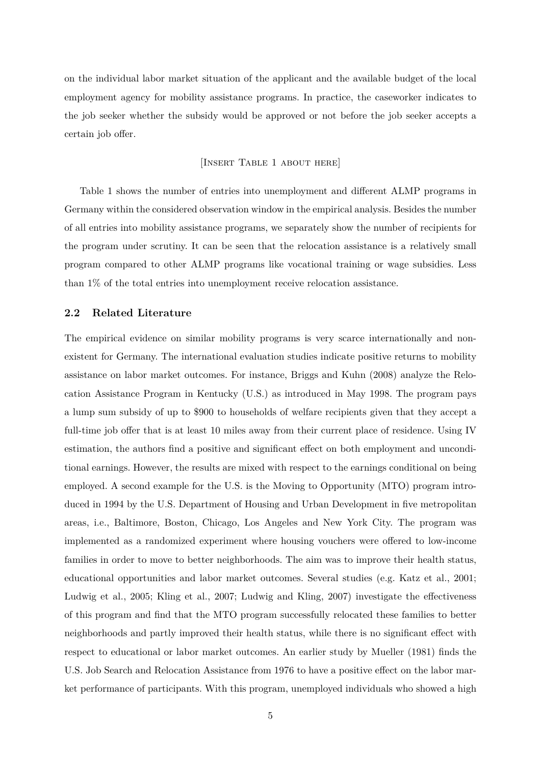on the individual labor market situation of the applicant and the available budget of the local employment agency for mobility assistance programs. In practice, the caseworker indicates to the job seeker whether the subsidy would be approved or not before the job seeker accepts a certain job offer.

#### [Insert Table 1 about here]

Table 1 shows the number of entries into unemployment and different ALMP programs in Germany within the considered observation window in the empirical analysis. Besides the number of all entries into mobility assistance programs, we separately show the number of recipients for the program under scrutiny. It can be seen that the relocation assistance is a relatively small program compared to other ALMP programs like vocational training or wage subsidies. Less than 1% of the total entries into unemployment receive relocation assistance.

#### **2.2 Related Literature**

The empirical evidence on similar mobility programs is very scarce internationally and nonexistent for Germany. The international evaluation studies indicate positive returns to mobility assistance on labor market outcomes. For instance, Briggs and Kuhn (2008) analyze the Relocation Assistance Program in Kentucky (U.S.) as introduced in May 1998. The program pays a lump sum subsidy of up to \$900 to households of welfare recipients given that they accept a full-time job offer that is at least 10 miles away from their current place of residence. Using IV estimation, the authors find a positive and significant effect on both employment and unconditional earnings. However, the results are mixed with respect to the earnings conditional on being employed. A second example for the U.S. is the Moving to Opportunity (MTO) program introduced in 1994 by the U.S. Department of Housing and Urban Development in five metropolitan areas, i.e., Baltimore, Boston, Chicago, Los Angeles and New York City. The program was implemented as a randomized experiment where housing vouchers were offered to low-income families in order to move to better neighborhoods. The aim was to improve their health status, educational opportunities and labor market outcomes. Several studies (e.g. Katz et al., 2001; Ludwig et al., 2005; Kling et al., 2007; Ludwig and Kling, 2007) investigate the effectiveness of this program and find that the MTO program successfully relocated these families to better neighborhoods and partly improved their health status, while there is no significant effect with respect to educational or labor market outcomes. An earlier study by Mueller (1981) finds the U.S. Job Search and Relocation Assistance from 1976 to have a positive effect on the labor market performance of participants. With this program, unemployed individuals who showed a high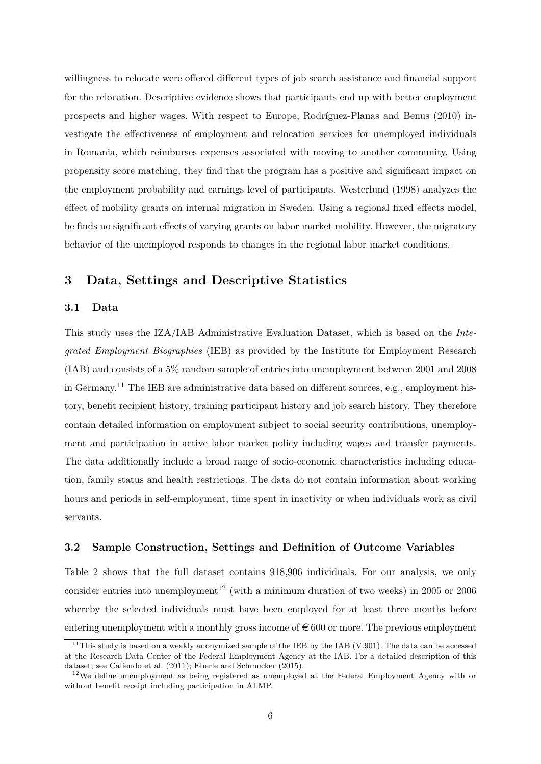willingness to relocate were offered different types of job search assistance and financial support for the relocation. Descriptive evidence shows that participants end up with better employment prospects and higher wages. With respect to Europe, Rodríguez-Planas and Benus (2010) investigate the effectiveness of employment and relocation services for unemployed individuals in Romania, which reimburses expenses associated with moving to another community. Using propensity score matching, they find that the program has a positive and significant impact on the employment probability and earnings level of participants. Westerlund (1998) analyzes the effect of mobility grants on internal migration in Sweden. Using a regional fixed effects model, he finds no significant effects of varying grants on labor market mobility. However, the migratory behavior of the unemployed responds to changes in the regional labor market conditions.

### **3 Data, Settings and Descriptive Statistics**

#### **3.1 Data**

This study uses the IZA/IAB Administrative Evaluation Dataset, which is based on the *Integrated Employment Biographies* (IEB) as provided by the Institute for Employment Research (IAB) and consists of a 5% random sample of entries into unemployment between 2001 and 2008 in Germany.<sup>11</sup> The IEB are administrative data based on different sources, e.g., employment history, benefit recipient history, training participant history and job search history. They therefore contain detailed information on employment subject to social security contributions, unemployment and participation in active labor market policy including wages and transfer payments. The data additionally include a broad range of socio-economic characteristics including education, family status and health restrictions. The data do not contain information about working hours and periods in self-employment, time spent in inactivity or when individuals work as civil servants.

#### **3.2 Sample Construction, Settings and Definition of Outcome Variables**

Table 2 shows that the full dataset contains 918,906 individuals. For our analysis, we only consider entries into unemployment<sup>12</sup> (with a minimum duration of two weeks) in 2005 or 2006 whereby the selected individuals must have been employed for at least three months before entering unemployment with a monthly gross income of  $\epsilon$  600 or more. The previous employment

 $11$ This study is based on a weakly anonymized sample of the IEB by the IAB (V.901). The data can be accessed at the Research Data Center of the Federal Employment Agency at the IAB. For a detailed description of this dataset, see Caliendo et al. (2011); Eberle and Schmucker (2015).

<sup>&</sup>lt;sup>12</sup>We define unemployment as being registered as unemployed at the Federal Employment Agency with or without benefit receipt including participation in ALMP.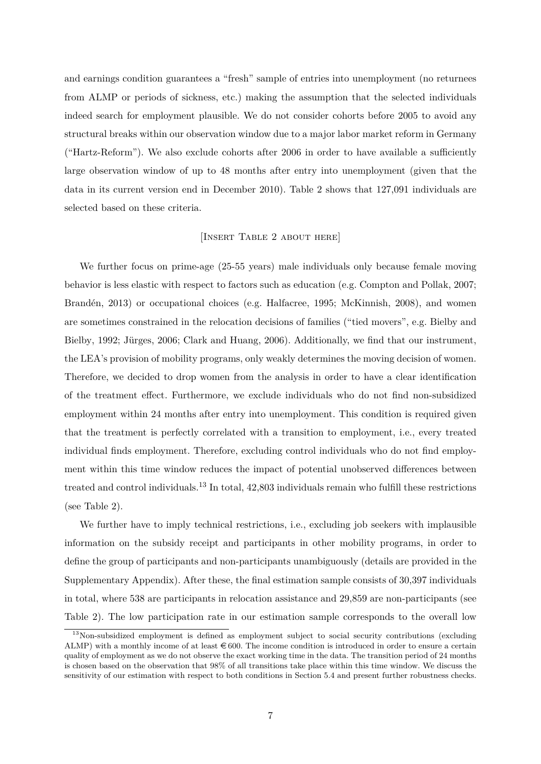and earnings condition guarantees a "fresh" sample of entries into unemployment (no returnees from ALMP or periods of sickness, etc.) making the assumption that the selected individuals indeed search for employment plausible. We do not consider cohorts before 2005 to avoid any structural breaks within our observation window due to a major labor market reform in Germany ("Hartz-Reform"). We also exclude cohorts after 2006 in order to have available a sufficiently large observation window of up to 48 months after entry into unemployment (given that the data in its current version end in December 2010). Table 2 shows that 127,091 individuals are selected based on these criteria.

#### [Insert Table 2 about here]

We further focus on prime-age (25-55 years) male individuals only because female moving behavior is less elastic with respect to factors such as education (e.g. Compton and Pollak, 2007; Brandén, 2013) or occupational choices (e.g. Halfacree, 1995; McKinnish, 2008), and women are sometimes constrained in the relocation decisions of families ("tied movers", e.g. Bielby and Bielby, 1992; Jürges, 2006; Clark and Huang, 2006). Additionally, we find that our instrument, the LEA's provision of mobility programs, only weakly determines the moving decision of women. Therefore, we decided to drop women from the analysis in order to have a clear identification of the treatment effect. Furthermore, we exclude individuals who do not find non-subsidized employment within 24 months after entry into unemployment. This condition is required given that the treatment is perfectly correlated with a transition to employment, i.e., every treated individual finds employment. Therefore, excluding control individuals who do not find employment within this time window reduces the impact of potential unobserved differences between treated and control individuals.<sup>13</sup> In total, 42,803 individuals remain who fulfill these restrictions (see Table 2).

We further have to imply technical restrictions, i.e., excluding job seekers with implausible information on the subsidy receipt and participants in other mobility programs, in order to define the group of participants and non-participants unambiguously (details are provided in the Supplementary Appendix). After these, the final estimation sample consists of 30,397 individuals in total, where 538 are participants in relocation assistance and 29,859 are non-participants (see Table 2). The low participation rate in our estimation sample corresponds to the overall low

<sup>&</sup>lt;sup>13</sup>Non-subsidized employment is defined as employment subject to social security contributions (excluding ALMP) with a monthly income of at least  $\in 600$ . The income condition is introduced in order to ensure a certain quality of employment as we do not observe the exact working time in the data. The transition period of 24 months is chosen based on the observation that 98% of all transitions take place within this time window. We discuss the sensitivity of our estimation with respect to both conditions in Section 5.4 and present further robustness checks.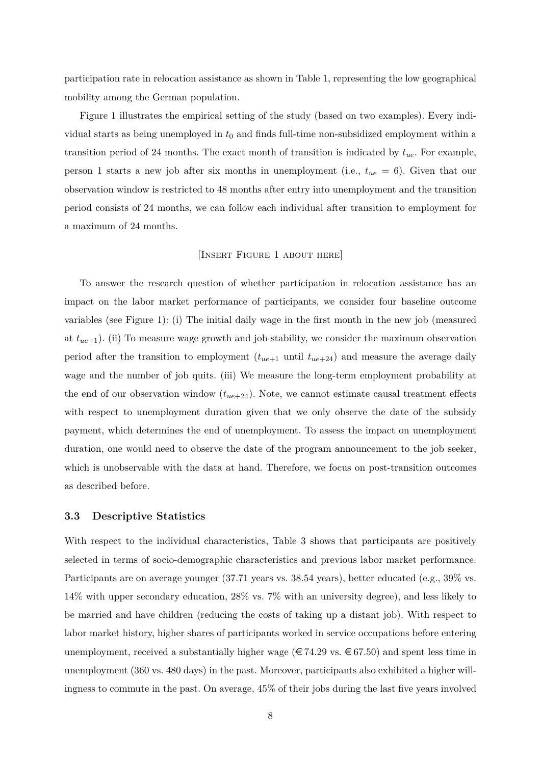participation rate in relocation assistance as shown in Table 1, representing the low geographical mobility among the German population.

Figure 1 illustrates the empirical setting of the study (based on two examples). Every individual starts as being unemployed in  $t_0$  and finds full-time non-subsidized employment within a transition period of 24 months. The exact month of transition is indicated by *tue*. For example, person 1 starts a new job after six months in unemployment (i.e., *tue* = 6). Given that our observation window is restricted to 48 months after entry into unemployment and the transition period consists of 24 months, we can follow each individual after transition to employment for a maximum of 24 months.

#### [Insert Figure 1 about here]

To answer the research question of whether participation in relocation assistance has an impact on the labor market performance of participants, we consider four baseline outcome variables (see Figure 1): (i) The initial daily wage in the first month in the new job (measured at *tue*+1). (ii) To measure wage growth and job stability, we consider the maximum observation period after the transition to employment  $(t_{ue+1}$  until  $t_{ue+24}$  and measure the average daily wage and the number of job quits. (iii) We measure the long-term employment probability at the end of our observation window  $(t_{ue+24})$ . Note, we cannot estimate causal treatment effects with respect to unemployment duration given that we only observe the date of the subsidy payment, which determines the end of unemployment. To assess the impact on unemployment duration, one would need to observe the date of the program announcement to the job seeker, which is unobservable with the data at hand. Therefore, we focus on post-transition outcomes as described before.

#### **3.3 Descriptive Statistics**

With respect to the individual characteristics, Table 3 shows that participants are positively selected in terms of socio-demographic characteristics and previous labor market performance. Participants are on average younger (37.71 years vs. 38.54 years), better educated (e.g., 39% vs. 14% with upper secondary education, 28% vs. 7% with an university degree), and less likely to be married and have children (reducing the costs of taking up a distant job). With respect to labor market history, higher shares of participants worked in service occupations before entering unemployment, received a substantially higher wage ( $\in 74.29$  vs.  $\in 67.50$ ) and spent less time in unemployment (360 vs. 480 days) in the past. Moreover, participants also exhibited a higher willingness to commute in the past. On average, 45% of their jobs during the last five years involved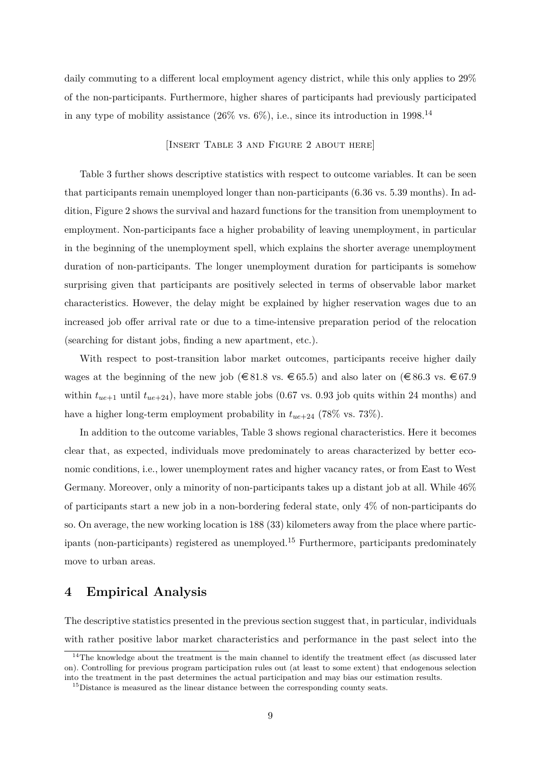daily commuting to a different local employment agency district, while this only applies to 29% of the non-participants. Furthermore, higher shares of participants had previously participated in any type of mobility assistance  $(26\% \text{ vs. } 6\%)$ , i.e., since its introduction in 1998.<sup>14</sup>

#### [Insert Table 3 and Figure 2 about here]

Table 3 further shows descriptive statistics with respect to outcome variables. It can be seen that participants remain unemployed longer than non-participants (6.36 vs. 5.39 months). In addition, Figure 2 shows the survival and hazard functions for the transition from unemployment to employment. Non-participants face a higher probability of leaving unemployment, in particular in the beginning of the unemployment spell, which explains the shorter average unemployment duration of non-participants. The longer unemployment duration for participants is somehow surprising given that participants are positively selected in terms of observable labor market characteristics. However, the delay might be explained by higher reservation wages due to an increased job offer arrival rate or due to a time-intensive preparation period of the relocation (searching for distant jobs, finding a new apartment, etc.).

With respect to post-transition labor market outcomes, participants receive higher daily wages at the beginning of the new job ( $\in$ 81.8 vs.  $\in$ 65.5) and also later on ( $\in$ 86.3 vs.  $\in$ 67.9 within  $t_{ue+1}$  until  $t_{ue+24}$ ), have more stable jobs (0.67 vs. 0.93 job quits within 24 months) and have a higher long-term employment probability in  $t_{ue+24}$  (78% vs. 73%).

In addition to the outcome variables, Table 3 shows regional characteristics. Here it becomes clear that, as expected, individuals move predominately to areas characterized by better economic conditions, i.e., lower unemployment rates and higher vacancy rates, or from East to West Germany. Moreover, only a minority of non-participants takes up a distant job at all. While 46% of participants start a new job in a non-bordering federal state, only 4% of non-participants do so. On average, the new working location is 188 (33) kilometers away from the place where participants (non-participants) registered as unemployed.<sup>15</sup> Furthermore, participants predominately move to urban areas.

### **4 Empirical Analysis**

The descriptive statistics presented in the previous section suggest that, in particular, individuals with rather positive labor market characteristics and performance in the past select into the

 $14$ The knowledge about the treatment is the main channel to identify the treatment effect (as discussed later on). Controlling for previous program participation rules out (at least to some extent) that endogenous selection into the treatment in the past determines the actual participation and may bias our estimation results.

<sup>&</sup>lt;sup>15</sup>Distance is measured as the linear distance between the corresponding county seats.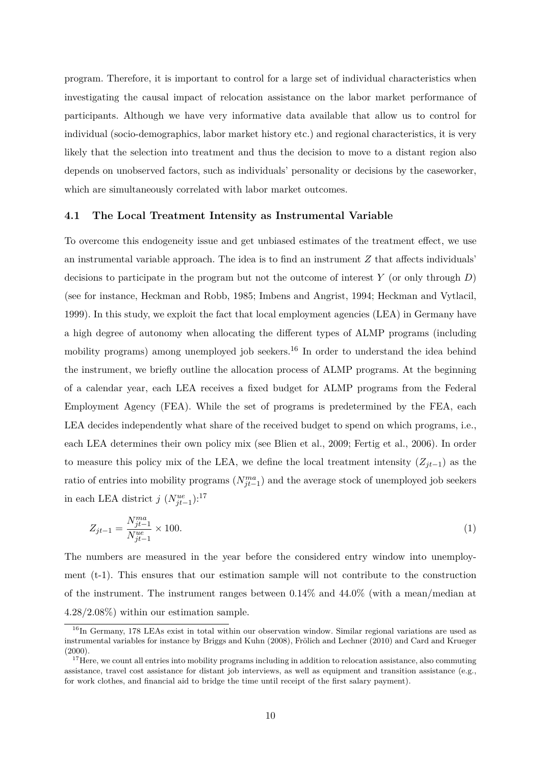program. Therefore, it is important to control for a large set of individual characteristics when investigating the causal impact of relocation assistance on the labor market performance of participants. Although we have very informative data available that allow us to control for individual (socio-demographics, labor market history etc.) and regional characteristics, it is very likely that the selection into treatment and thus the decision to move to a distant region also depends on unobserved factors, such as individuals' personality or decisions by the caseworker, which are simultaneously correlated with labor market outcomes.

#### **4.1 The Local Treatment Intensity as Instrumental Variable**

To overcome this endogeneity issue and get unbiased estimates of the treatment effect, we use an instrumental variable approach. The idea is to find an instrument *Z* that affects individuals' decisions to participate in the program but not the outcome of interest *Y* (or only through *D*) (see for instance, Heckman and Robb, 1985; Imbens and Angrist, 1994; Heckman and Vytlacil, 1999). In this study, we exploit the fact that local employment agencies (LEA) in Germany have a high degree of autonomy when allocating the different types of ALMP programs (including mobility programs) among unemployed job seekers.<sup>16</sup> In order to understand the idea behind the instrument, we briefly outline the allocation process of ALMP programs. At the beginning of a calendar year, each LEA receives a fixed budget for ALMP programs from the Federal Employment Agency (FEA). While the set of programs is predetermined by the FEA, each LEA decides independently what share of the received budget to spend on which programs, i.e., each LEA determines their own policy mix (see Blien et al., 2009; Fertig et al., 2006). In order to measure this policy mix of the LEA, we define the local treatment intensity  $(Z_{jt-1})$  as the ratio of entries into mobility programs  $(N_{jt-1}^{ma})$  and the average stock of unemployed job seekers in each LEA district *j*  $(N_{jt-1}^{ue})$ :<sup>17</sup>

$$
Z_{jt-1} = \frac{N_{jt-1}^{ma}}{N_{jt-1}^{ue}} \times 100.\t\t(1)
$$

The numbers are measured in the year before the considered entry window into unemployment (t-1). This ensures that our estimation sample will not contribute to the construction of the instrument. The instrument ranges between 0.14% and 44.0% (with a mean/median at 4.28/2.08%) within our estimation sample.

<sup>&</sup>lt;sup>16</sup>In Germany, 178 LEAs exist in total within our observation window. Similar regional variations are used as instrumental variables for instance by Briggs and Kuhn (2008), Frölich and Lechner (2010) and Card and Krueger (2000).

 $17$  Here, we count all entries into mobility programs including in addition to relocation assistance, also commuting assistance, travel cost assistance for distant job interviews, as well as equipment and transition assistance (e.g., for work clothes, and financial aid to bridge the time until receipt of the first salary payment).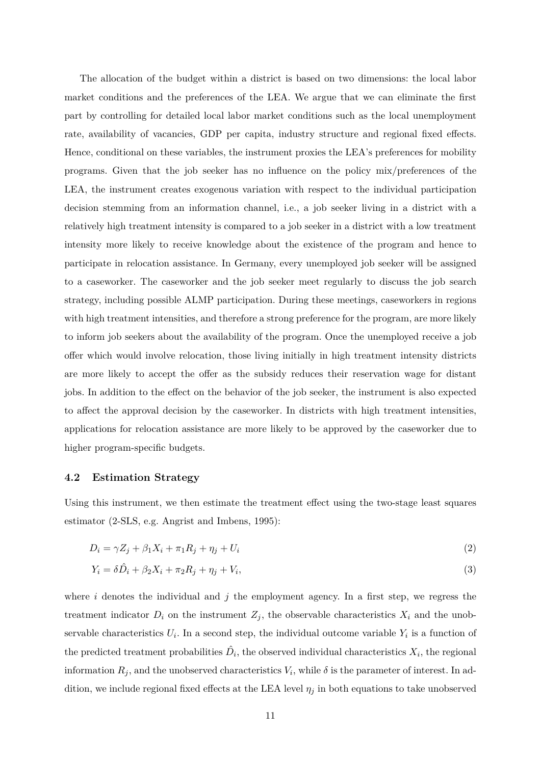The allocation of the budget within a district is based on two dimensions: the local labor market conditions and the preferences of the LEA. We argue that we can eliminate the first part by controlling for detailed local labor market conditions such as the local unemployment rate, availability of vacancies, GDP per capita, industry structure and regional fixed effects. Hence, conditional on these variables, the instrument proxies the LEA's preferences for mobility programs. Given that the job seeker has no influence on the policy mix/preferences of the LEA, the instrument creates exogenous variation with respect to the individual participation decision stemming from an information channel, i.e., a job seeker living in a district with a relatively high treatment intensity is compared to a job seeker in a district with a low treatment intensity more likely to receive knowledge about the existence of the program and hence to participate in relocation assistance. In Germany, every unemployed job seeker will be assigned to a caseworker. The caseworker and the job seeker meet regularly to discuss the job search strategy, including possible ALMP participation. During these meetings, caseworkers in regions with high treatment intensities, and therefore a strong preference for the program, are more likely to inform job seekers about the availability of the program. Once the unemployed receive a job offer which would involve relocation, those living initially in high treatment intensity districts are more likely to accept the offer as the subsidy reduces their reservation wage for distant jobs. In addition to the effect on the behavior of the job seeker, the instrument is also expected to affect the approval decision by the caseworker. In districts with high treatment intensities, applications for relocation assistance are more likely to be approved by the caseworker due to higher program-specific budgets.

#### **4.2 Estimation Strategy**

Using this instrument, we then estimate the treatment effect using the two-stage least squares estimator (2-SLS, e.g. Angrist and Imbens, 1995):

$$
D_i = \gamma Z_j + \beta_1 X_i + \pi_1 R_j + \eta_j + U_i \tag{2}
$$

$$
Y_i = \delta \hat{D}_i + \beta_2 X_i + \pi_2 R_j + \eta_j + V_i,\tag{3}
$$

where *i* denotes the individual and *j* the employment agency. In a first step, we regress the treatment indicator  $D_i$  on the instrument  $Z_j$ , the observable characteristics  $X_i$  and the unobservable characteristics  $U_i$ . In a second step, the individual outcome variable  $Y_i$  is a function of the predicted treatment probabilities  $\hat{D}_i$ , the observed individual characteristics  $X_i$ , the regional information  $R_j$ , and the unobserved characteristics  $V_i$ , while  $\delta$  is the parameter of interest. In addition, we include regional fixed effects at the LEA level  $\eta_j$  in both equations to take unobserved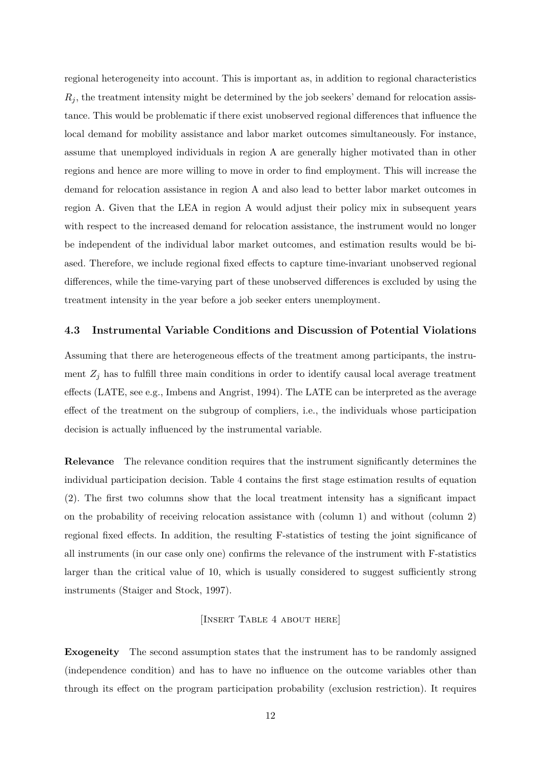regional heterogeneity into account. This is important as, in addition to regional characteristics  $R_i$ , the treatment intensity might be determined by the job seekers' demand for relocation assistance. This would be problematic if there exist unobserved regional differences that influence the local demand for mobility assistance and labor market outcomes simultaneously. For instance, assume that unemployed individuals in region A are generally higher motivated than in other regions and hence are more willing to move in order to find employment. This will increase the demand for relocation assistance in region A and also lead to better labor market outcomes in region A. Given that the LEA in region A would adjust their policy mix in subsequent years with respect to the increased demand for relocation assistance, the instrument would no longer be independent of the individual labor market outcomes, and estimation results would be biased. Therefore, we include regional fixed effects to capture time-invariant unobserved regional differences, while the time-varying part of these unobserved differences is excluded by using the treatment intensity in the year before a job seeker enters unemployment.

#### **4.3 Instrumental Variable Conditions and Discussion of Potential Violations**

Assuming that there are heterogeneous effects of the treatment among participants, the instrument  $Z_j$  has to fulfill three main conditions in order to identify causal local average treatment effects (LATE, see e.g., Imbens and Angrist, 1994). The LATE can be interpreted as the average effect of the treatment on the subgroup of compliers, i.e., the individuals whose participation decision is actually influenced by the instrumental variable.

**Relevance** The relevance condition requires that the instrument significantly determines the individual participation decision. Table 4 contains the first stage estimation results of equation (2). The first two columns show that the local treatment intensity has a significant impact on the probability of receiving relocation assistance with (column 1) and without (column 2) regional fixed effects. In addition, the resulting F-statistics of testing the joint significance of all instruments (in our case only one) confirms the relevance of the instrument with F-statistics larger than the critical value of 10, which is usually considered to suggest sufficiently strong instruments (Staiger and Stock, 1997).

#### [Insert Table 4 about here]

**Exogeneity** The second assumption states that the instrument has to be randomly assigned (independence condition) and has to have no influence on the outcome variables other than through its effect on the program participation probability (exclusion restriction). It requires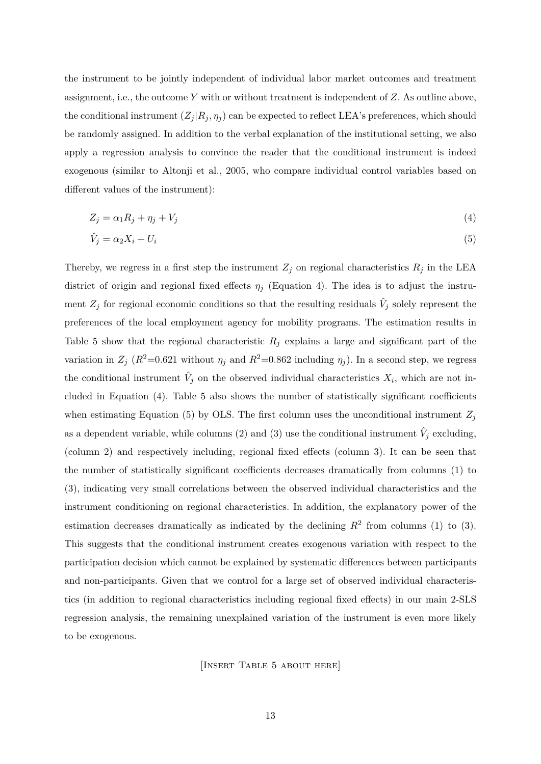the instrument to be jointly independent of individual labor market outcomes and treatment assignment, i.e., the outcome *Y* with or without treatment is independent of *Z*. As outline above, the conditional instrument  $(Z_i | R_i, \eta_i)$  can be expected to reflect LEA's preferences, which should be randomly assigned. In addition to the verbal explanation of the institutional setting, we also apply a regression analysis to convince the reader that the conditional instrument is indeed exogenous (similar to Altonji et al., 2005, who compare individual control variables based on different values of the instrument):

$$
Z_j = \alpha_1 R_j + \eta_j + V_j \tag{4}
$$

$$
\hat{V}_j = \alpha_2 X_i + U_i \tag{5}
$$

Thereby, we regress in a first step the instrument  $Z_j$  on regional characteristics  $R_j$  in the LEA district of origin and regional fixed effects  $\eta_i$  (Equation 4). The idea is to adjust the instrument  $Z_j$  for regional economic conditions so that the resulting residuals  $\hat{V}_j$  solely represent the preferences of the local employment agency for mobility programs. The estimation results in Table 5 show that the regional characteristic  $R_j$  explains a large and significant part of the variation in  $Z_j$  ( $R^2=0.621$  without  $\eta_j$  and  $R^2=0.862$  including  $\eta_j$ ). In a second step, we regress the conditional instrument  $\hat{V}_j$  on the observed individual characteristics  $X_i$ , which are not included in Equation (4). Table 5 also shows the number of statistically significant coefficients when estimating Equation (5) by OLS. The first column uses the unconditional instrument  $Z_j$ as a dependent variable, while columns  $(2)$  and  $(3)$  use the conditional instrument  $\hat{V}_j$  excluding, (column 2) and respectively including, regional fixed effects (column 3). It can be seen that the number of statistically significant coefficients decreases dramatically from columns (1) to (3), indicating very small correlations between the observed individual characteristics and the instrument conditioning on regional characteristics. In addition, the explanatory power of the estimation decreases dramatically as indicated by the declining  $R^2$  from columns (1) to (3). This suggests that the conditional instrument creates exogenous variation with respect to the participation decision which cannot be explained by systematic differences between participants and non-participants. Given that we control for a large set of observed individual characteristics (in addition to regional characteristics including regional fixed effects) in our main 2-SLS regression analysis, the remaining unexplained variation of the instrument is even more likely to be exogenous.

[Insert Table 5 about here]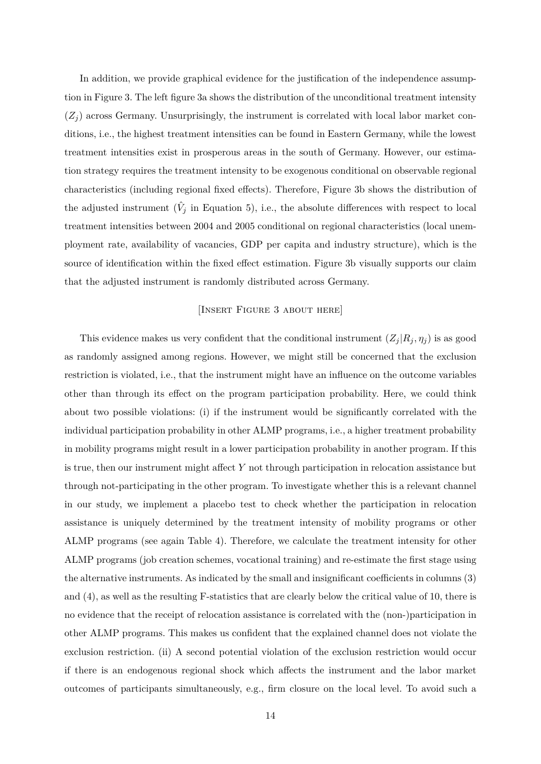In addition, we provide graphical evidence for the justification of the independence assumption in Figure 3. The left figure 3a shows the distribution of the unconditional treatment intensity  $(Z_i)$  across Germany. Unsurprisingly, the instrument is correlated with local labor market conditions, i.e., the highest treatment intensities can be found in Eastern Germany, while the lowest treatment intensities exist in prosperous areas in the south of Germany. However, our estimation strategy requires the treatment intensity to be exogenous conditional on observable regional characteristics (including regional fixed effects). Therefore, Figure 3b shows the distribution of the adjusted instrument  $(\hat{V}_j$  in Equation 5), i.e., the absolute differences with respect to local treatment intensities between 2004 and 2005 conditional on regional characteristics (local unemployment rate, availability of vacancies, GDP per capita and industry structure), which is the source of identification within the fixed effect estimation. Figure 3b visually supports our claim that the adjusted instrument is randomly distributed across Germany.

#### [INSERT FIGURE 3 ABOUT HERE]

This evidence makes us very confident that the conditional instrument  $(Z_j | R_j, \eta_j)$  is as good as randomly assigned among regions. However, we might still be concerned that the exclusion restriction is violated, i.e., that the instrument might have an influence on the outcome variables other than through its effect on the program participation probability. Here, we could think about two possible violations: (i) if the instrument would be significantly correlated with the individual participation probability in other ALMP programs, i.e., a higher treatment probability in mobility programs might result in a lower participation probability in another program. If this is true, then our instrument might affect *Y* not through participation in relocation assistance but through not-participating in the other program. To investigate whether this is a relevant channel in our study, we implement a placebo test to check whether the participation in relocation assistance is uniquely determined by the treatment intensity of mobility programs or other ALMP programs (see again Table 4). Therefore, we calculate the treatment intensity for other ALMP programs (job creation schemes, vocational training) and re-estimate the first stage using the alternative instruments. As indicated by the small and insignificant coefficients in columns (3) and (4), as well as the resulting F-statistics that are clearly below the critical value of 10, there is no evidence that the receipt of relocation assistance is correlated with the (non-)participation in other ALMP programs. This makes us confident that the explained channel does not violate the exclusion restriction. (ii) A second potential violation of the exclusion restriction would occur if there is an endogenous regional shock which affects the instrument and the labor market outcomes of participants simultaneously, e.g., firm closure on the local level. To avoid such a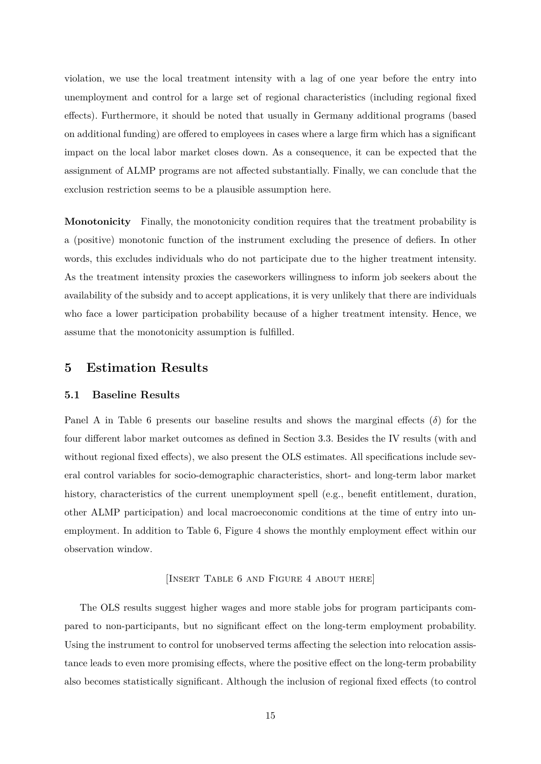violation, we use the local treatment intensity with a lag of one year before the entry into unemployment and control for a large set of regional characteristics (including regional fixed effects). Furthermore, it should be noted that usually in Germany additional programs (based on additional funding) are offered to employees in cases where a large firm which has a significant impact on the local labor market closes down. As a consequence, it can be expected that the assignment of ALMP programs are not affected substantially. Finally, we can conclude that the exclusion restriction seems to be a plausible assumption here.

**Monotonicity** Finally, the monotonicity condition requires that the treatment probability is a (positive) monotonic function of the instrument excluding the presence of defiers. In other words, this excludes individuals who do not participate due to the higher treatment intensity. As the treatment intensity proxies the caseworkers willingness to inform job seekers about the availability of the subsidy and to accept applications, it is very unlikely that there are individuals who face a lower participation probability because of a higher treatment intensity. Hence, we assume that the monotonicity assumption is fulfilled.

### **5 Estimation Results**

#### **5.1 Baseline Results**

Panel A in Table 6 presents our baseline results and shows the marginal effects  $(\delta)$  for the four different labor market outcomes as defined in Section 3.3. Besides the IV results (with and without regional fixed effects), we also present the OLS estimates. All specifications include several control variables for socio-demographic characteristics, short- and long-term labor market history, characteristics of the current unemployment spell (e.g., benefit entitlement, duration, other ALMP participation) and local macroeconomic conditions at the time of entry into unemployment. In addition to Table 6, Figure 4 shows the monthly employment effect within our observation window.

#### [Insert Table 6 and Figure 4 about here]

The OLS results suggest higher wages and more stable jobs for program participants compared to non-participants, but no significant effect on the long-term employment probability. Using the instrument to control for unobserved terms affecting the selection into relocation assistance leads to even more promising effects, where the positive effect on the long-term probability also becomes statistically significant. Although the inclusion of regional fixed effects (to control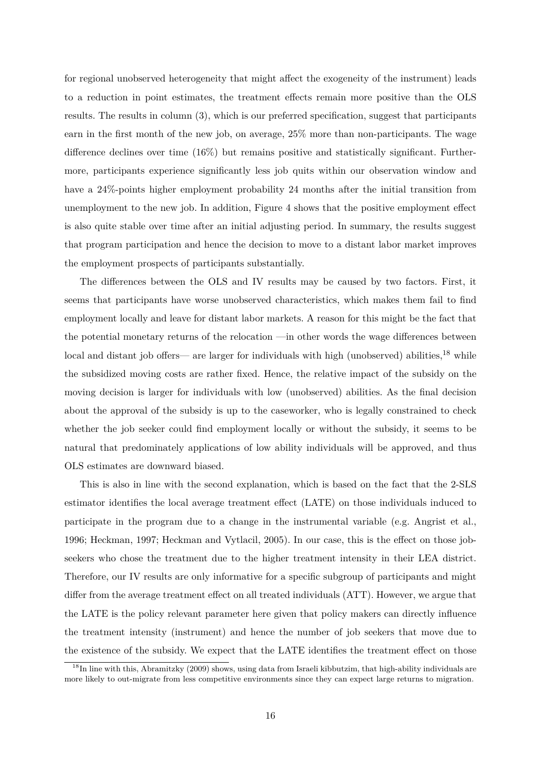for regional unobserved heterogeneity that might affect the exogeneity of the instrument) leads to a reduction in point estimates, the treatment effects remain more positive than the OLS results. The results in column (3), which is our preferred specification, suggest that participants earn in the first month of the new job, on average, 25% more than non-participants. The wage difference declines over time (16%) but remains positive and statistically significant. Furthermore, participants experience significantly less job quits within our observation window and have a 24%-points higher employment probability 24 months after the initial transition from unemployment to the new job. In addition, Figure 4 shows that the positive employment effect is also quite stable over time after an initial adjusting period. In summary, the results suggest that program participation and hence the decision to move to a distant labor market improves the employment prospects of participants substantially.

The differences between the OLS and IV results may be caused by two factors. First, it seems that participants have worse unobserved characteristics, which makes them fail to find employment locally and leave for distant labor markets. A reason for this might be the fact that the potential monetary returns of the relocation —in other words the wage differences between local and distant job offers— are larger for individuals with high (unobserved) abilities,<sup>18</sup> while the subsidized moving costs are rather fixed. Hence, the relative impact of the subsidy on the moving decision is larger for individuals with low (unobserved) abilities. As the final decision about the approval of the subsidy is up to the caseworker, who is legally constrained to check whether the job seeker could find employment locally or without the subsidy, it seems to be natural that predominately applications of low ability individuals will be approved, and thus OLS estimates are downward biased.

This is also in line with the second explanation, which is based on the fact that the 2-SLS estimator identifies the local average treatment effect (LATE) on those individuals induced to participate in the program due to a change in the instrumental variable (e.g. Angrist et al., 1996; Heckman, 1997; Heckman and Vytlacil, 2005). In our case, this is the effect on those jobseekers who chose the treatment due to the higher treatment intensity in their LEA district. Therefore, our IV results are only informative for a specific subgroup of participants and might differ from the average treatment effect on all treated individuals (ATT). However, we argue that the LATE is the policy relevant parameter here given that policy makers can directly influence the treatment intensity (instrument) and hence the number of job seekers that move due to the existence of the subsidy. We expect that the LATE identifies the treatment effect on those

 $18$ In line with this, Abramitzky (2009) shows, using data from Israeli kibbutzim, that high-ability individuals are more likely to out-migrate from less competitive environments since they can expect large returns to migration.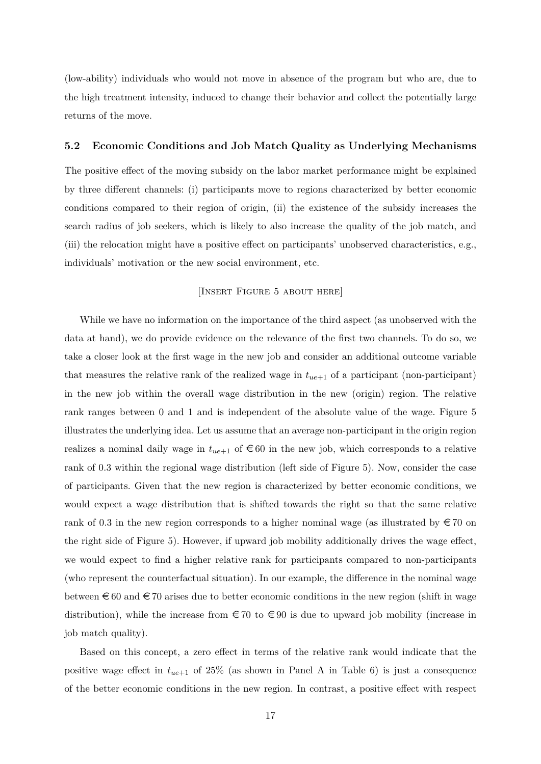(low-ability) individuals who would not move in absence of the program but who are, due to the high treatment intensity, induced to change their behavior and collect the potentially large returns of the move.

#### **5.2 Economic Conditions and Job Match Quality as Underlying Mechanisms**

The positive effect of the moving subsidy on the labor market performance might be explained by three different channels: (i) participants move to regions characterized by better economic conditions compared to their region of origin, (ii) the existence of the subsidy increases the search radius of job seekers, which is likely to also increase the quality of the job match, and (iii) the relocation might have a positive effect on participants' unobserved characteristics, e.g., individuals' motivation or the new social environment, etc.

#### [INSERT FIGURE 5 ABOUT HERE]

While we have no information on the importance of the third aspect (as unobserved with the data at hand), we do provide evidence on the relevance of the first two channels. To do so, we take a closer look at the first wage in the new job and consider an additional outcome variable that measures the relative rank of the realized wage in  $t_{ue+1}$  of a participant (non-participant) in the new job within the overall wage distribution in the new (origin) region. The relative rank ranges between 0 and 1 and is independent of the absolute value of the wage. Figure 5 illustrates the underlying idea. Let us assume that an average non-participant in the origin region realizes a nominal daily wage in  $t_{ue+1}$  of  $\in 60$  in the new job, which corresponds to a relative rank of 0.3 within the regional wage distribution (left side of Figure 5). Now, consider the case of participants. Given that the new region is characterized by better economic conditions, we would expect a wage distribution that is shifted towards the right so that the same relative rank of 0.3 in the new region corresponds to a higher nominal wage (as illustrated by  $\epsilon$  70 on the right side of Figure 5). However, if upward job mobility additionally drives the wage effect, we would expect to find a higher relative rank for participants compared to non-participants (who represent the counterfactual situation). In our example, the difference in the nominal wage between  $\epsilon$  60 and  $\epsilon$  70 arises due to better economic conditions in the new region (shift in wage distribution), while the increase from  $\epsilon$  70 to  $\epsilon$  90 is due to upward job mobility (increase in job match quality).

Based on this concept, a zero effect in terms of the relative rank would indicate that the positive wage effect in  $t_{ue+1}$  of  $25\%$  (as shown in Panel A in Table 6) is just a consequence of the better economic conditions in the new region. In contrast, a positive effect with respect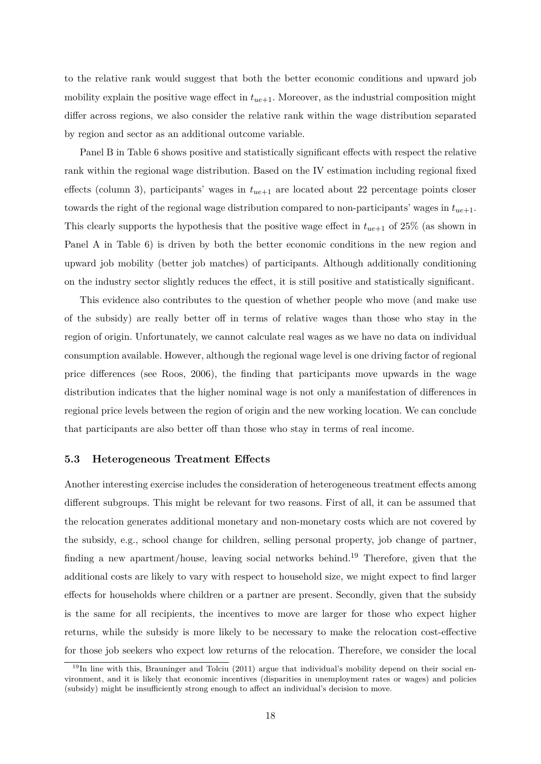to the relative rank would suggest that both the better economic conditions and upward job mobility explain the positive wage effect in  $t_{ue+1}$ . Moreover, as the industrial composition might differ across regions, we also consider the relative rank within the wage distribution separated by region and sector as an additional outcome variable.

Panel B in Table 6 shows positive and statistically significant effects with respect the relative rank within the regional wage distribution. Based on the IV estimation including regional fixed effects (column 3), participants' wages in *tue*+1 are located about 22 percentage points closer towards the right of the regional wage distribution compared to non-participants' wages in *tue*+1. This clearly supports the hypothesis that the positive wage effect in *tue*+1 of 25% (as shown in Panel A in Table 6) is driven by both the better economic conditions in the new region and upward job mobility (better job matches) of participants. Although additionally conditioning on the industry sector slightly reduces the effect, it is still positive and statistically significant.

This evidence also contributes to the question of whether people who move (and make use of the subsidy) are really better off in terms of relative wages than those who stay in the region of origin. Unfortunately, we cannot calculate real wages as we have no data on individual consumption available. However, although the regional wage level is one driving factor of regional price differences (see Roos, 2006), the finding that participants move upwards in the wage distribution indicates that the higher nominal wage is not only a manifestation of differences in regional price levels between the region of origin and the new working location. We can conclude that participants are also better off than those who stay in terms of real income.

#### **5.3 Heterogeneous Treatment Effects**

Another interesting exercise includes the consideration of heterogeneous treatment effects among different subgroups. This might be relevant for two reasons. First of all, it can be assumed that the relocation generates additional monetary and non-monetary costs which are not covered by the subsidy, e.g., school change for children, selling personal property, job change of partner, finding a new apartment/house, leaving social networks behind.<sup>19</sup> Therefore, given that the additional costs are likely to vary with respect to household size, we might expect to find larger effects for households where children or a partner are present. Secondly, given that the subsidy is the same for all recipients, the incentives to move are larger for those who expect higher returns, while the subsidy is more likely to be necessary to make the relocation cost-effective for those job seekers who expect low returns of the relocation. Therefore, we consider the local

<sup>&</sup>lt;sup>19</sup>In line with this, Brauninger and Tolciu (2011) argue that individual's mobility depend on their social environment, and it is likely that economic incentives (disparities in unemployment rates or wages) and policies (subsidy) might be insufficiently strong enough to affect an individual's decision to move.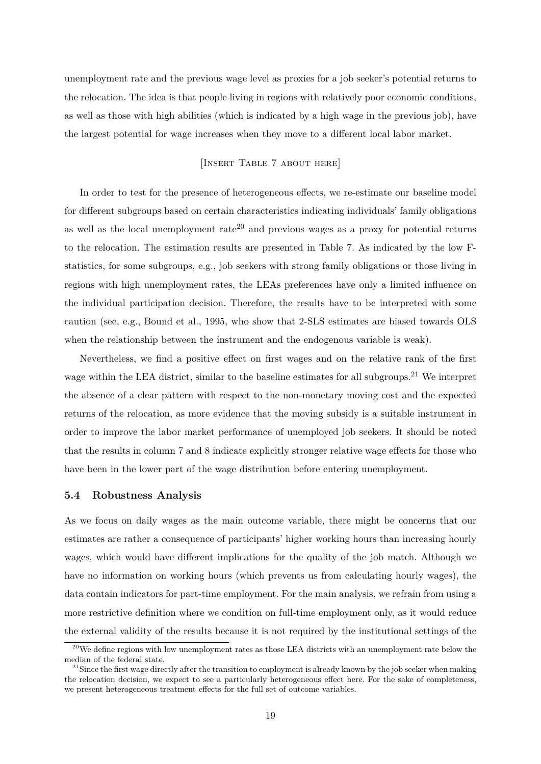unemployment rate and the previous wage level as proxies for a job seeker's potential returns to the relocation. The idea is that people living in regions with relatively poor economic conditions, as well as those with high abilities (which is indicated by a high wage in the previous job), have the largest potential for wage increases when they move to a different local labor market.

### [Insert Table 7 about here]

In order to test for the presence of heterogeneous effects, we re-estimate our baseline model for different subgroups based on certain characteristics indicating individuals' family obligations as well as the local unemployment  $rate^{20}$  and previous wages as a proxy for potential returns to the relocation. The estimation results are presented in Table 7. As indicated by the low Fstatistics, for some subgroups, e.g., job seekers with strong family obligations or those living in regions with high unemployment rates, the LEAs preferences have only a limited influence on the individual participation decision. Therefore, the results have to be interpreted with some caution (see, e.g., Bound et al., 1995, who show that 2-SLS estimates are biased towards OLS when the relationship between the instrument and the endogenous variable is weak).

Nevertheless, we find a positive effect on first wages and on the relative rank of the first wage within the LEA district, similar to the baseline estimates for all subgroups.<sup>21</sup> We interpret the absence of a clear pattern with respect to the non-monetary moving cost and the expected returns of the relocation, as more evidence that the moving subsidy is a suitable instrument in order to improve the labor market performance of unemployed job seekers. It should be noted that the results in column 7 and 8 indicate explicitly stronger relative wage effects for those who have been in the lower part of the wage distribution before entering unemployment.

#### **5.4 Robustness Analysis**

As we focus on daily wages as the main outcome variable, there might be concerns that our estimates are rather a consequence of participants' higher working hours than increasing hourly wages, which would have different implications for the quality of the job match. Although we have no information on working hours (which prevents us from calculating hourly wages), the data contain indicators for part-time employment. For the main analysis, we refrain from using a more restrictive definition where we condition on full-time employment only, as it would reduce the external validity of the results because it is not required by the institutional settings of the

 $^{20}$ We define regions with low unemployment rates as those LEA districts with an unemployment rate below the median of the federal state.

 $21$ Since the first wage directly after the transition to employment is already known by the job seeker when making the relocation decision, we expect to see a particularly heterogeneous effect here. For the sake of completeness, we present heterogeneous treatment effects for the full set of outcome variables.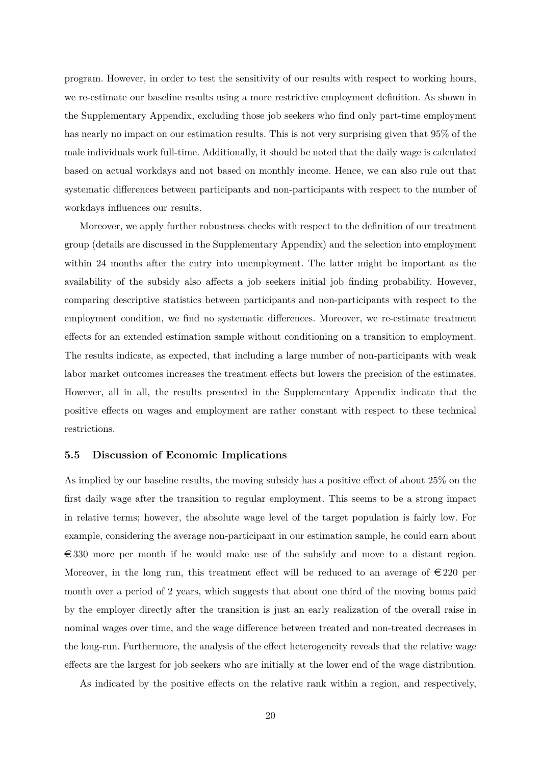program. However, in order to test the sensitivity of our results with respect to working hours, we re-estimate our baseline results using a more restrictive employment definition. As shown in the Supplementary Appendix, excluding those job seekers who find only part-time employment has nearly no impact on our estimation results. This is not very surprising given that 95% of the male individuals work full-time. Additionally, it should be noted that the daily wage is calculated based on actual workdays and not based on monthly income. Hence, we can also rule out that systematic differences between participants and non-participants with respect to the number of workdays influences our results.

Moreover, we apply further robustness checks with respect to the definition of our treatment group (details are discussed in the Supplementary Appendix) and the selection into employment within 24 months after the entry into unemployment. The latter might be important as the availability of the subsidy also affects a job seekers initial job finding probability. However, comparing descriptive statistics between participants and non-participants with respect to the employment condition, we find no systematic differences. Moreover, we re-estimate treatment effects for an extended estimation sample without conditioning on a transition to employment. The results indicate, as expected, that including a large number of non-participants with weak labor market outcomes increases the treatment effects but lowers the precision of the estimates. However, all in all, the results presented in the Supplementary Appendix indicate that the positive effects on wages and employment are rather constant with respect to these technical restrictions.

#### **5.5 Discussion of Economic Implications**

As implied by our baseline results, the moving subsidy has a positive effect of about 25% on the first daily wage after the transition to regular employment. This seems to be a strong impact in relative terms; however, the absolute wage level of the target population is fairly low. For example, considering the average non-participant in our estimation sample, he could earn about  $\epsilon$  330 more per month if he would make use of the subsidy and move to a distant region. Moreover, in the long run, this treatment effect will be reduced to an average of  $\epsilon$  220 per month over a period of 2 years, which suggests that about one third of the moving bonus paid by the employer directly after the transition is just an early realization of the overall raise in nominal wages over time, and the wage difference between treated and non-treated decreases in the long-run. Furthermore, the analysis of the effect heterogeneity reveals that the relative wage effects are the largest for job seekers who are initially at the lower end of the wage distribution.

As indicated by the positive effects on the relative rank within a region, and respectively,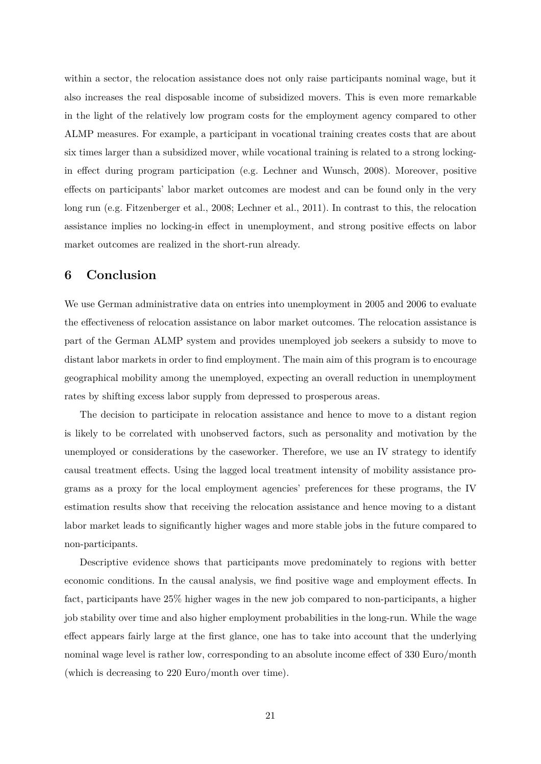within a sector, the relocation assistance does not only raise participants nominal wage, but it also increases the real disposable income of subsidized movers. This is even more remarkable in the light of the relatively low program costs for the employment agency compared to other ALMP measures. For example, a participant in vocational training creates costs that are about six times larger than a subsidized mover, while vocational training is related to a strong lockingin effect during program participation (e.g. Lechner and Wunsch, 2008). Moreover, positive effects on participants' labor market outcomes are modest and can be found only in the very long run (e.g. Fitzenberger et al., 2008; Lechner et al., 2011). In contrast to this, the relocation assistance implies no locking-in effect in unemployment, and strong positive effects on labor market outcomes are realized in the short-run already.

## **6 Conclusion**

We use German administrative data on entries into unemployment in 2005 and 2006 to evaluate the effectiveness of relocation assistance on labor market outcomes. The relocation assistance is part of the German ALMP system and provides unemployed job seekers a subsidy to move to distant labor markets in order to find employment. The main aim of this program is to encourage geographical mobility among the unemployed, expecting an overall reduction in unemployment rates by shifting excess labor supply from depressed to prosperous areas.

The decision to participate in relocation assistance and hence to move to a distant region is likely to be correlated with unobserved factors, such as personality and motivation by the unemployed or considerations by the caseworker. Therefore, we use an IV strategy to identify causal treatment effects. Using the lagged local treatment intensity of mobility assistance programs as a proxy for the local employment agencies' preferences for these programs, the IV estimation results show that receiving the relocation assistance and hence moving to a distant labor market leads to significantly higher wages and more stable jobs in the future compared to non-participants.

Descriptive evidence shows that participants move predominately to regions with better economic conditions. In the causal analysis, we find positive wage and employment effects. In fact, participants have 25% higher wages in the new job compared to non-participants, a higher job stability over time and also higher employment probabilities in the long-run. While the wage effect appears fairly large at the first glance, one has to take into account that the underlying nominal wage level is rather low, corresponding to an absolute income effect of 330 Euro/month (which is decreasing to 220 Euro/month over time).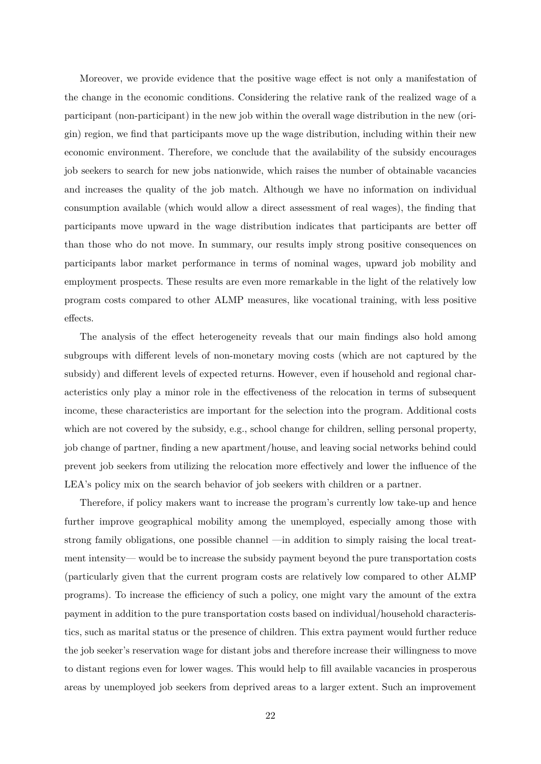Moreover, we provide evidence that the positive wage effect is not only a manifestation of the change in the economic conditions. Considering the relative rank of the realized wage of a participant (non-participant) in the new job within the overall wage distribution in the new (origin) region, we find that participants move up the wage distribution, including within their new economic environment. Therefore, we conclude that the availability of the subsidy encourages job seekers to search for new jobs nationwide, which raises the number of obtainable vacancies and increases the quality of the job match. Although we have no information on individual consumption available (which would allow a direct assessment of real wages), the finding that participants move upward in the wage distribution indicates that participants are better off than those who do not move. In summary, our results imply strong positive consequences on participants labor market performance in terms of nominal wages, upward job mobility and employment prospects. These results are even more remarkable in the light of the relatively low program costs compared to other ALMP measures, like vocational training, with less positive effects.

The analysis of the effect heterogeneity reveals that our main findings also hold among subgroups with different levels of non-monetary moving costs (which are not captured by the subsidy) and different levels of expected returns. However, even if household and regional characteristics only play a minor role in the effectiveness of the relocation in terms of subsequent income, these characteristics are important for the selection into the program. Additional costs which are not covered by the subsidy, e.g., school change for children, selling personal property, job change of partner, finding a new apartment/house, and leaving social networks behind could prevent job seekers from utilizing the relocation more effectively and lower the influence of the LEA's policy mix on the search behavior of job seekers with children or a partner.

Therefore, if policy makers want to increase the program's currently low take-up and hence further improve geographical mobility among the unemployed, especially among those with strong family obligations, one possible channel —in addition to simply raising the local treatment intensity— would be to increase the subsidy payment beyond the pure transportation costs (particularly given that the current program costs are relatively low compared to other ALMP programs). To increase the efficiency of such a policy, one might vary the amount of the extra payment in addition to the pure transportation costs based on individual/household characteristics, such as marital status or the presence of children. This extra payment would further reduce the job seeker's reservation wage for distant jobs and therefore increase their willingness to move to distant regions even for lower wages. This would help to fill available vacancies in prosperous areas by unemployed job seekers from deprived areas to a larger extent. Such an improvement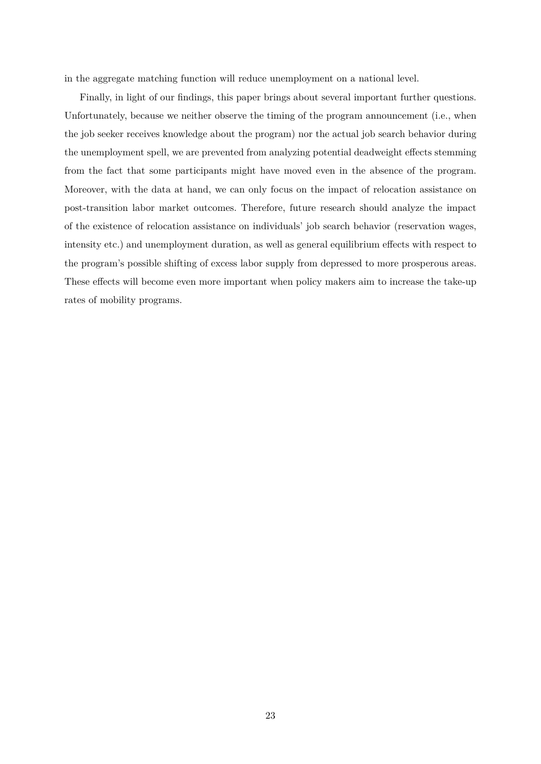in the aggregate matching function will reduce unemployment on a national level.

Finally, in light of our findings, this paper brings about several important further questions. Unfortunately, because we neither observe the timing of the program announcement (i.e., when the job seeker receives knowledge about the program) nor the actual job search behavior during the unemployment spell, we are prevented from analyzing potential deadweight effects stemming from the fact that some participants might have moved even in the absence of the program. Moreover, with the data at hand, we can only focus on the impact of relocation assistance on post-transition labor market outcomes. Therefore, future research should analyze the impact of the existence of relocation assistance on individuals' job search behavior (reservation wages, intensity etc.) and unemployment duration, as well as general equilibrium effects with respect to the program's possible shifting of excess labor supply from depressed to more prosperous areas. These effects will become even more important when policy makers aim to increase the take-up rates of mobility programs.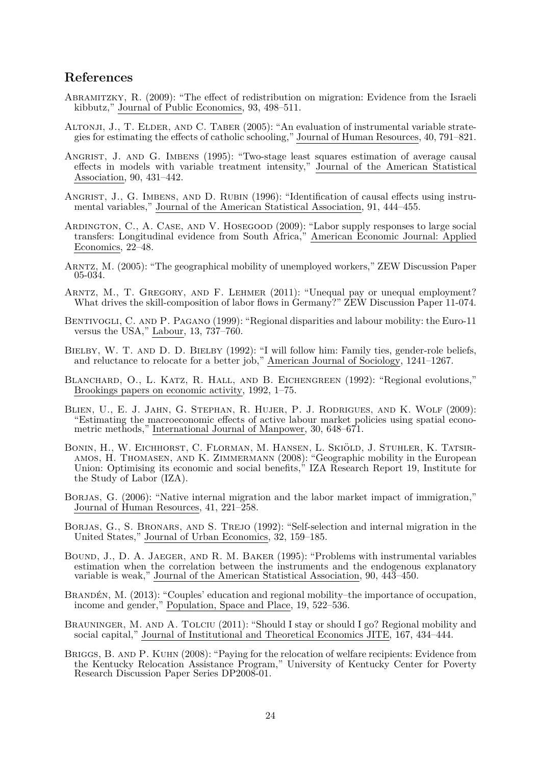## **References**

- Abramitzky, R. (2009): "The effect of redistribution on migration: Evidence from the Israeli kibbutz," Journal of Public Economics, 93, 498–511.
- ALTONJI, J., T. ELDER, AND C. TABER (2005): "An evaluation of instrumental variable strategies for estimating the effects of catholic schooling," Journal of Human Resources, 40, 791–821.
- ANGRIST, J. AND G. IMBENS (1995): "Two-stage least squares estimation of average causal effects in models with variable treatment intensity," Journal of the American Statistical Association, 90, 431–442.
- ANGRIST, J., G. IMBENS, AND D. RUBIN (1996): "Identification of causal effects using instrumental variables," Journal of the American Statistical Association, 91, 444–455.
- Ardington, C., A. Case, and V. Hosegood (2009): "Labor supply responses to large social transfers: Longitudinal evidence from South Africa," American Economic Journal: Applied Economics, 22–48.
- Arntz, M. (2005): "The geographical mobility of unemployed workers," ZEW Discussion Paper 05-034.
- Arntz, M., T. Gregory, and F. Lehmer (2011): "Unequal pay or unequal employment? What drives the skill-composition of labor flows in Germany?" ZEW Discussion Paper 11-074.
- BENTIVOGLI, C. AND P. PAGANO (1999): "Regional disparities and labour mobility: the Euro-11 versus the USA," Labour, 13, 737–760.
- BIELBY, W. T. AND D. D. BIELBY (1992): "I will follow him: Family ties, gender-role beliefs, and reluctance to relocate for a better job," <u>American Journal of Sociology</u>, 1241–1267.
- Blanchard, O., L. Katz, R. Hall, and B. Eichengreen (1992): "Regional evolutions," Brookings papers on economic activity, 1992, 1–75.
- Blien, U., E. J. Jahn, G. Stephan, R. Hujer, P. J. Rodrigues, and K. Wolf (2009): "Estimating the macroeconomic effects of active labour market policies using spatial econometric methods," International Journal of Manpower, 30, 648–671.
- BONIN, H., W. EICHHORST, C. FLORMAN, M. HANSEN, L. SKIÖLD, J. STUHLER, K. TATSIR-AMOS, H. THOMASEN, AND K. ZIMMERMANN (2008): "Geographic mobility in the European Union: Optimising its economic and social benefits," IZA Research Report 19, Institute for the Study of Labor (IZA).
- BORJAS, G. (2006): "Native internal migration and the labor market impact of immigration," Journal of Human Resources, 41, 221–258.
- BORJAS, G., S. BRONARS, AND S. TREJO (1992): "Self-selection and internal migration in the United States," Journal of Urban Economics, 32, 159–185.
- Bound, J., D. A. Jaeger, and R. M. Baker (1995): "Problems with instrumental variables estimation when the correlation between the instruments and the endogenous explanatory variable is weak," Journal of the American Statistical Association, 90, 443–450.
- BRANDÉN, M.  $(2013)$ : "Couples' education and regional mobility–the importance of occupation, income and gender," Population, Space and Place, 19, 522–536.
- BRAUNINGER, M. AND A. TOLCIU (2011): "Should I stay or should I go? Regional mobility and social capital," Journal of Institutional and Theoretical Economics JITE, 167, 434–444.
- Briggs, B. and P. Kuhn (2008): "Paying for the relocation of welfare recipients: Evidence from the Kentucky Relocation Assistance Program," University of Kentucky Center for Poverty Research Discussion Paper Series DP2008-01.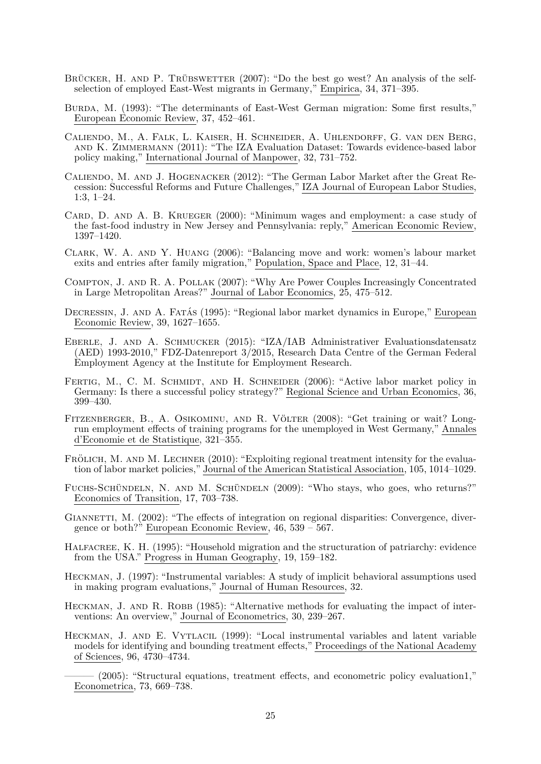- BRÜCKER, H. AND P. TRÜBSWETTER  $(2007)$ : "Do the best go west? An analysis of the selfselection of employed East-West migrants in Germany," Empirica, 34, 371–395.
- Burda, M. (1993): "The determinants of East-West German migration: Some first results," European Economic Review, 37, 452–461.
- Caliendo, M., A. Falk, L. Kaiser, H. Schneider, A. Uhlendorff, G. van den Berg, and K. Zimmermann (2011): "The IZA Evaluation Dataset: Towards evidence-based labor policy making," International Journal of Manpower, 32, 731–752.
- Caliendo, M. and J. Hogenacker (2012): "The German Labor Market after the Great Recession: Successful Reforms and Future Challenges," IZA Journal of European Labor Studies, 1:3, 1–24.
- CARD, D. AND A. B. KRUEGER (2000): "Minimum wages and employment: a case study of the fast-food industry in New Jersey and Pennsylvania: reply," American Economic Review, 1397–1420.
- Clark, W. A. and Y. Huang (2006): "Balancing move and work: women's labour market exits and entries after family migration," Population, Space and Place, 12, 31–44.
- Compton, J. and R. A. Pollak (2007): "Why Are Power Couples Increasingly Concentrated in Large Metropolitan Areas?" Journal of Labor Economics, 25, 475–512.
- DECRESSIN, J. AND A. FATÁS (1995): "Regional labor market dynamics in Europe," European Economic Review, 39, 1627–1655.
- Eberle, J. and A. Schmucker (2015): "IZA/IAB Administrativer Evaluationsdatensatz (AED) 1993-2010," FDZ-Datenreport 3/2015, Research Data Centre of the German Federal Employment Agency at the Institute for Employment Research.
- FERTIG, M., C. M. SCHMIDT, AND H. SCHNEIDER (2006): "Active labor market policy in Germany: Is there a successful policy strategy?" Regional Science and Urban Economics, 36, 399–430.
- FITZENBERGER, B., A. OSIKOMINU, AND R. VÖLTER (2008): "Get training or wait? Longrun employment effects of training programs for the unemployed in West Germany," Annales d'Economie et de Statistique, 321–355.
- FRÖLICH, M. AND M. LECHNER (2010): "Exploiting regional treatment intensity for the evaluation of labor market policies," Journal of the American Statistical Association, 105, 1014–1029.
- FUCHS-SCHÜNDELN, N. AND M. SCHÜNDELN  $(2009)$ : "Who stays, who goes, who returns?" Economics of Transition, 17, 703–738.
- GIANNETTI, M. (2002): "The effects of integration on regional disparities: Convergence, divergence or both?" European Economic Review, 46, 539 – 567.
- Halfacree, K. H. (1995): "Household migration and the structuration of patriarchy: evidence from the USA." Progress in Human Geography, 19, 159–182.
- Heckman, J. (1997): "Instrumental variables: A study of implicit behavioral assumptions used in making program evaluations," Journal of Human Resources, 32.
- HECKMAN, J. AND R. ROBB (1985): "Alternative methods for evaluating the impact of interventions: An overview," Journal of Econometrics, 30, 239–267.
- HECKMAN, J. AND E. VYTLACIL (1999): "Local instrumental variables and latent variable models for identifying and bounding treatment effects," Proceedings of the National Academy of Sciences, 96, 4730–4734.
	- $(2005)$ : "Structural equations, treatment effects, and econometric policy evaluation1," Econometrica, 73, 669–738.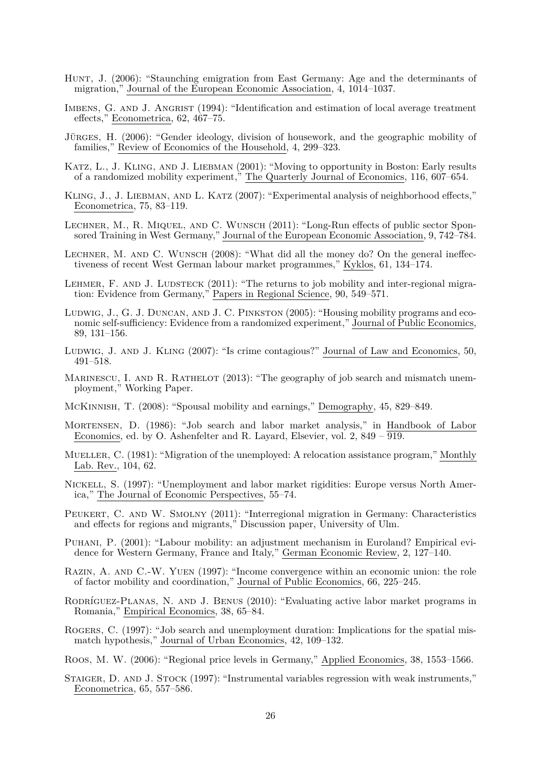- Hunt, J. (2006): "Staunching emigration from East Germany: Age and the determinants of migration," Journal of the European Economic Association, 4, 1014–1037.
- IMBENS, G. AND J. ANGRIST (1994): "Identification and estimation of local average treatment effects," Econometrica, 62, 467–75.
- JÜRGES, H. (2006): "Gender ideology, division of housework, and the geographic mobility of families," Review of Economics of the Household, 4, 299–323.
- KATZ, L., J. KLING, AND J. LIEBMAN (2001): "Moving to opportunity in Boston: Early results of a randomized mobility experiment," The Quarterly Journal of Economics, 116, 607–654.
- Kling, J., J. Liebman, and L. Katz (2007): "Experimental analysis of neighborhood effects," Econometrica, 75, 83–119.
- Lechner, M., R. Miquel, and C. Wunsch (2011): "Long-Run effects of public sector Sponsored Training in West Germany," Journal of the European Economic Association, 9, 742–784.
- LECHNER, M. AND C. WUNSCH (2008): "What did all the money do? On the general ineffectiveness of recent West German labour market programmes," Kyklos, 61, 134–174.
- LEHMER, F. AND J. LUDSTECK (2011): "The returns to job mobility and inter-regional migration: Evidence from Germany," Papers in Regional Science, 90, 549–571.
- LUDWIG, J., G. J. DUNCAN, AND J. C. PINKSTON (2005): "Housing mobility programs and economic self-sufficiency: Evidence from a randomized experiment," Journal of Public Economics, 89, 131–156.
- Ludwig, J. and J. Kling (2007): "Is crime contagious?" Journal of Law and Economics, 50, 491–518.
- MARINESCU, I. AND R. RATHELOT (2013): "The geography of job search and mismatch unemployment," Working Paper.
- McKinnish, T. (2008): "Spousal mobility and earnings," Demography, 45, 829–849.
- Mortensen, D. (1986): "Job search and labor market analysis," in Handbook of Labor Economics, ed. by O. Ashenfelter and R. Layard, Elsevier, vol.  $2, 849 - \overline{919}$ .
- MUELLER, C. (1981): "Migration of the unemployed: A relocation assistance program," Monthly Lab. Rev., 104, 62.
- Nickell, S. (1997): "Unemployment and labor market rigidities: Europe versus North America," The Journal of Economic Perspectives, 55–74.
- PEUKERT, C. AND W. SMOLNY (2011): "Interregional migration in Germany: Characteristics and effects for regions and migrants," Discussion paper, University of Ulm.
- Puhani, P. (2001): "Labour mobility: an adjustment mechanism in Euroland? Empirical evidence for Western Germany, France and Italy," German Economic Review, 2, 127–140.
- Razin, A. and C.-W. Yuen (1997): "Income convergence within an economic union: the role of factor mobility and coordination," Journal of Public Economics, 66, 225–245.
- RODRÍGUEZ-PLANAS, N. AND J. BENUS (2010): "Evaluating active labor market programs in Romania," Empirical Economics, 38, 65–84.
- Rogers, C. (1997): "Job search and unemployment duration: Implications for the spatial mismatch hypothesis," Journal of Urban Economics, 42, 109–132.

Roos, M. W. (2006): "Regional price levels in Germany," Applied Economics, 38, 1553–1566.

Staiger, D. and J. Stock (1997): "Instrumental variables regression with weak instruments," Econometrica, 65, 557–586.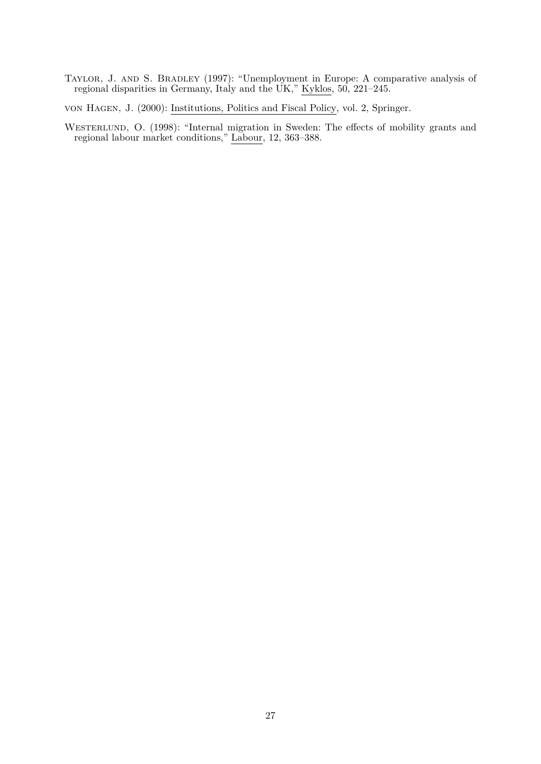Taylor, J. and S. Bradley (1997): "Unemployment in Europe: A comparative analysis of regional disparities in Germany, Italy and the UK," Kyklos, 50, 221–245.

von Hagen, J. (2000): Institutions, Politics and Fiscal Policy, vol. 2, Springer.

WESTERLUND, O. (1998): "Internal migration in Sweden: The effects of mobility grants and regional labour market conditions," Labour, 12, 363–388.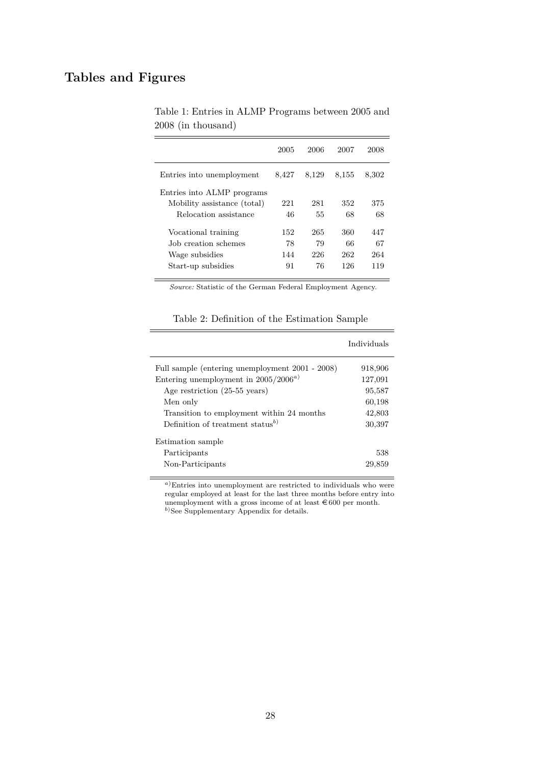## **Tables and Figures**

|                             | 2005  | 2006  | 2007  | 2008  |
|-----------------------------|-------|-------|-------|-------|
| Entries into unemployment   | 8,427 | 8,129 | 8,155 | 8,302 |
| Entries into ALMP programs  |       |       |       |       |
| Mobility assistance (total) | 221   | 281   | 352   | 375   |
| Relocation assistance       | 46    | 55    | 68    | 68    |
| Vocational training         | 152   | 265   | 360   | 447   |
| Job creation schemes        | 78    | 79    | 66    | 67    |
| Wage subsidies              | 144   | 226   | 262   | 264   |
| Start-up subsidies          | 91    | 76    | 126   | 119   |

Table 1: Entries in ALMP Programs between 2005 and 2008 (in thousand)

*Source:* Statistic of the German Federal Employment Agency.

| Table 2: Definition of the Estimation Sample |  |  |  |
|----------------------------------------------|--|--|--|
|----------------------------------------------|--|--|--|

|                                                                                           | Individuals        |
|-------------------------------------------------------------------------------------------|--------------------|
| Full sample (entering unemployment 2001 - 2008)<br>Entering unemployment in $2005/2006^a$ | 918,906<br>127,091 |
| Age restriction $(25-55 \text{ years})$<br>Men only                                       | 95,587<br>60,198   |
| Transition to employment within 24 months<br>Definition of treatment status <sup>b)</sup> | 42,803<br>30,397   |
| Estimation sample                                                                         |                    |
| Participants                                                                              | 538                |
| Non-Participants                                                                          | 29,859             |

 $a)$ Entries into unemployment are restricted to individuals who were regular employed at least for the last three months before entry into unemployment with a gross income of at least  $\epsilon$  600 per month. <sup>b</sup>)See Supplementary Appendix for details.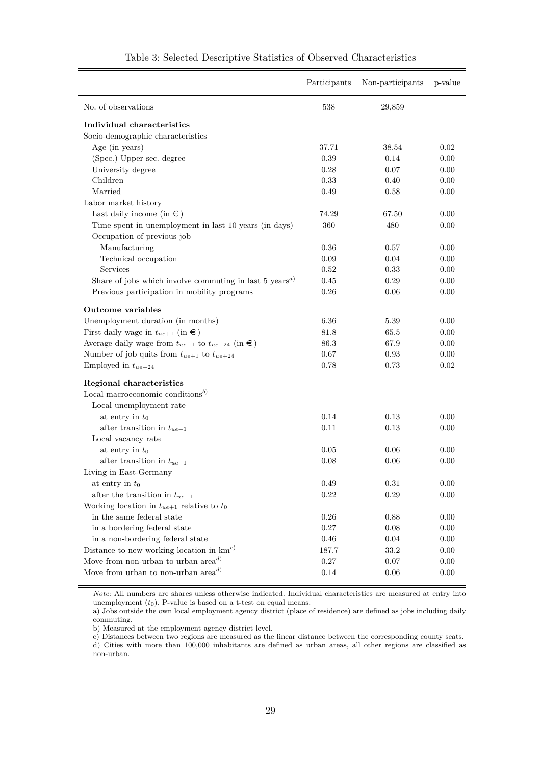|                                                                                  | Participants | Non-participants | p-value |
|----------------------------------------------------------------------------------|--------------|------------------|---------|
| No. of observations                                                              | 538          | 29,859           |         |
| Individual characteristics                                                       |              |                  |         |
| Socio-demographic characteristics                                                |              |                  |         |
| Age (in years)                                                                   | 37.71        | 38.54            | 0.02    |
| (Spec.) Upper sec. degree                                                        | 0.39         | 0.14             | 0.00    |
| University degree                                                                | 0.28         | 0.07             | 0.00    |
| Children                                                                         | 0.33         | 0.40             | 0.00    |
| Married                                                                          | 0.49         | 0.58             | 0.00    |
| Labor market history                                                             |              |                  |         |
| Last daily income (in $\epsilon$ )                                               | 74.29        | 67.50            | 0.00    |
| Time spent in unemployment in last 10 years (in days)                            | 360          | 480              | 0.00    |
| Occupation of previous job                                                       |              |                  |         |
| Manufacturing                                                                    | 0.36         | 0.57             | 0.00    |
| Technical occupation                                                             | 0.09         | 0.04             | 0.00    |
| Services                                                                         | 0.52         | 0.33             | 0.00    |
| Share of jobs which involve commuting in last 5 years <sup><math>a</math>)</sup> | 0.45         | 0.29             | 0.00    |
| Previous participation in mobility programs                                      | 0.26         | 0.06             | 0.00    |
| Outcome variables                                                                |              |                  |         |
| Unemployment duration (in months)                                                | 6.36         | 5.39             | 0.00    |
| First daily wage in $t_{ue+1}$ (in $\in$ )                                       | 81.8         | 65.5             | 0.00    |
| Average daily wage from $t_{ue+1}$ to $t_{ue+24}$ (in $\in$ )                    | 86.3         | 67.9             | 0.00    |
| Number of job quits from $t_{ue+1}$ to $t_{ue+24}$                               | 0.67         | 0.93             | 0.00    |
| Employed in $t_{ue+24}$                                                          | 0.78         | 0.73             | 0.02    |
| Regional characteristics                                                         |              |                  |         |
| Local macroeconomic conditions <sup>b)</sup>                                     |              |                  |         |
| Local unemployment rate                                                          |              |                  |         |
| at entry in $t_0$                                                                | 0.14         | 0.13             | 0.00    |
| after transition in $t_{ue+1}$                                                   | 0.11         | 0.13             | 0.00    |
| Local vacancy rate                                                               |              |                  |         |
| at entry in $t_0$                                                                | 0.05         | 0.06             | 0.00    |
| after transition in $t_{ue+1}$                                                   | 0.08         | 0.06             | 0.00    |
| Living in East-Germany                                                           |              |                  |         |
| at entry in $t_0$                                                                | $0.49\,$     | $\rm 0.31$       | 0.00    |
| after the transition in $t_{ue+1}$                                               | 0.22         | 0.29             | 0.00    |
| Working location in $t_{ue+1}$ relative to $t_0$                                 |              |                  |         |
| in the same federal state                                                        | $0.26\,$     | 0.88             | 0.00    |
| in a bordering federal state                                                     | 0.27         | 0.08             | 0.00    |
| in a non-bordering federal state                                                 | 0.46         | 0.04             | 0.00    |
| Distance to new working location in $kmc$ )                                      | 187.7        | 33.2             | 0.00    |
| Move from non-urban to urban $aread$                                             | 0.27         | 0.07             | 0.00    |
| Move from urban to non-urban $aread$                                             | 0.14         | 0.06             | 0.00    |

#### Table 3: Selected Descriptive Statistics of Observed Characteristics

*Note:* All numbers are shares unless otherwise indicated. Individual characteristics are measured at entry into unemployment  $(t_0)$ . P-value is based on a t-test on equal means.

a) Jobs outside the own local employment agency district (place of residence) are defined as jobs including daily commuting.

b) Measured at the employment agency district level.

c) Distances between two regions are measured as the linear distance between the corresponding county seats.

d) Cities with more than 100,000 inhabitants are defined as urban areas, all other regions are classified as non-urban.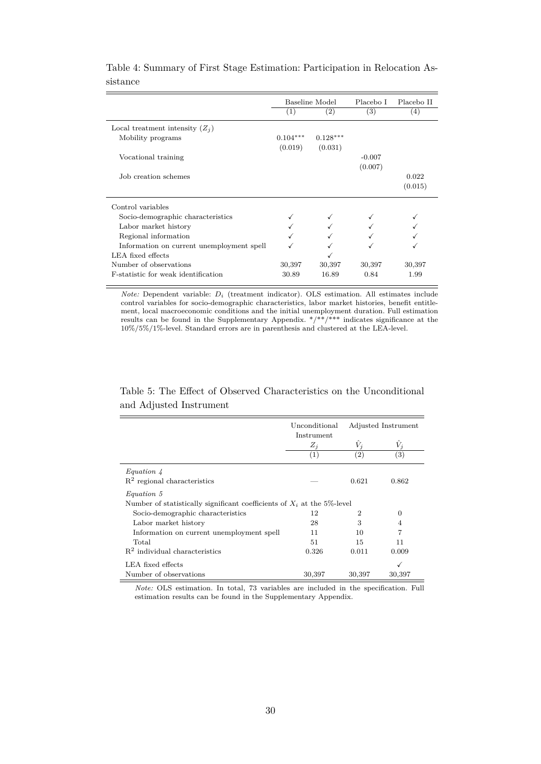|                                           |                  | Baseline Model    | Placebo I | Placebo II        |
|-------------------------------------------|------------------|-------------------|-----------|-------------------|
|                                           | $\left(1\right)$ | $\left( 2\right)$ | (3)       | $\left( 4\right)$ |
| Local treatment intensity $(Z_i)$         |                  |                   |           |                   |
| Mobility programs                         | $0.104***$       | $0.128***$        |           |                   |
|                                           | (0.019)          | (0.031)           |           |                   |
| Vocational training                       |                  |                   | $-0.007$  |                   |
|                                           |                  |                   | (0.007)   |                   |
| Job creation schemes                      |                  |                   |           | 0.022             |
|                                           |                  |                   |           | (0.015)           |
| Control variables                         |                  |                   |           |                   |
| Socio-demographic characteristics         |                  |                   |           |                   |
| Labor market history                      |                  |                   |           |                   |
| Regional information                      |                  |                   |           |                   |
| Information on current unemployment spell |                  |                   |           |                   |
| LEA fixed effects                         |                  |                   |           |                   |
| Number of observations                    | 30,397           | 30,397            | 30,397    | 30,397            |
| F-statistic for weak identification       | 30.89            | 16.89             | 0.84      | 1.99              |

Table 4: Summary of First Stage Estimation: Participation in Relocation Assistance

*Note:* Dependent variable: *D<sup>i</sup>* (treatment indicator). OLS estimation. All estimates include control variables for socio-demographic characteristics, labor market histories, benefit entitlement, local macroeconomic conditions and the initial unemployment duration. Full estimation results can be found in the Supplementary Appendix.  $*/**$  indicates significance at the 10%/5%/1%-level. Standard errors are in parenthesis and clustered at the LEA-level.

## Table 5: The Effect of Observed Characteristics on the Unconditional and Adjusted Instrument

|                                                                           | Unconditional       |                   | Adjusted Instrument |
|---------------------------------------------------------------------------|---------------------|-------------------|---------------------|
|                                                                           | Instrument<br>$Z_i$ | $V_i$             |                     |
|                                                                           | (1)                 | $\left( 2\right)$ | (3)                 |
|                                                                           |                     |                   |                     |
| Equation 4                                                                |                     |                   |                     |
| $R2$ regional characteristics                                             |                     | 0.621             | 0.862               |
| Equation 5                                                                |                     |                   |                     |
| Number of statistically significant coefficients of $X_i$ at the 5%-level |                     |                   |                     |
| Socio-demographic characteristics                                         | 12                  | $\overline{2}$    | $\Omega$            |
| Labor market history                                                      | 28                  | 3                 | 4                   |
| Information on current unemployment spell                                 | 11                  | 10                | 7                   |
| Total                                                                     | 51                  | 15                | 11                  |
| $R2$ individual characteristics                                           | 0.326               | 0.011             | 0.009               |
| LEA fixed effects                                                         |                     |                   |                     |
| Number of observations                                                    | 30,397              | 30,397            | 30,397              |

*Note:* OLS estimation. In total, 73 variables are included in the specification. Full estimation results can be found in the Supplementary Appendix.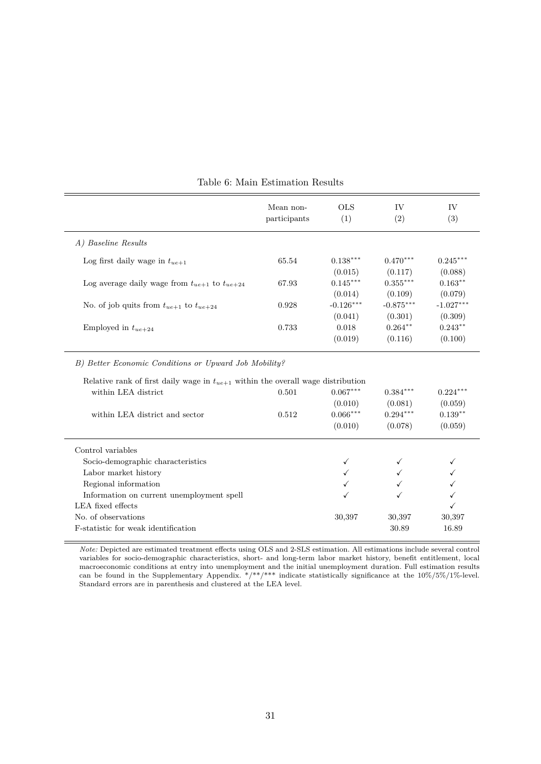|                                                                                      | Mean non-    | <b>OLS</b>            | IV                    | IV                    |
|--------------------------------------------------------------------------------------|--------------|-----------------------|-----------------------|-----------------------|
|                                                                                      | participants | (1)                   | (2)                   | (3)                   |
| A) Baseline Results                                                                  |              |                       |                       |                       |
| Log first daily wage in $t_{ue+1}$                                                   | 65.54        | $0.138***$            | $0.470***$            | $0.245***$            |
| Log average daily wage from $t_{ue+1}$ to $t_{ue+24}$                                | 67.93        | (0.015)<br>$0.145***$ | (0.117)<br>$0.355***$ | (0.088)<br>$0.163***$ |
|                                                                                      |              | (0.014)               | (0.109)               | (0.079)               |
| No. of job quits from $t_{ue+1}$ to $t_{ue+24}$                                      | 0.928        | $-0.126***$           | $-0.875***$           | $-1.027***$           |
| Employed in $t_{ue+24}$                                                              | 0.733        | (0.041)<br>0.018      | (0.301)<br>$0.264***$ | (0.309)<br>$0.243**$  |
|                                                                                      |              | (0.019)               | (0.116)               | (0.100)               |
| B) Better Economic Conditions or Upward Job Mobility?                                |              |                       |                       |                       |
| Relative rank of first daily wage in $t_{ue+1}$ within the overall wage distribution |              |                       |                       |                       |
| within LEA district                                                                  | 0.501        | $0.067***$            | $0.384***$            | $0.224***$            |
|                                                                                      |              | (0.010)               | (0.081)               | (0.059)               |
| within LEA district and sector                                                       | 0.512        | $0.066***$<br>(0.010) | $0.294***$<br>(0.078) | $0.139**$<br>(0.059)  |
| Control variables                                                                    |              |                       |                       |                       |
| Socio-demographic characteristics                                                    |              |                       |                       |                       |
| Labor market history                                                                 |              |                       |                       |                       |
| Regional information                                                                 |              |                       |                       |                       |
| Information on current unemployment spell                                            |              |                       |                       |                       |
| LEA fixed effects                                                                    |              |                       |                       |                       |
| No. of observations                                                                  |              | 30,397                | 30,397                | 30,397                |
| F-statistic for weak identification                                                  |              |                       | 30.89                 | 16.89                 |

| Table 6: Main Estimation Results |  |  |
|----------------------------------|--|--|
|----------------------------------|--|--|

*Note:* Depicted are estimated treatment effects using OLS and 2-SLS estimation. All estimations include several control variables for socio-demographic characteristics, short- and long-term labor market history, benefit entitlement, local macroeconomic conditions at entry into unemployment and the initial unemployment duration. Full estimation results can be found in the Supplementary Appendix.  $*/**/**$  indicate statistically significance at the  $10\%/5\%/1\%$ -level. Standard errors are in parenthesis and clustered at the LEA level.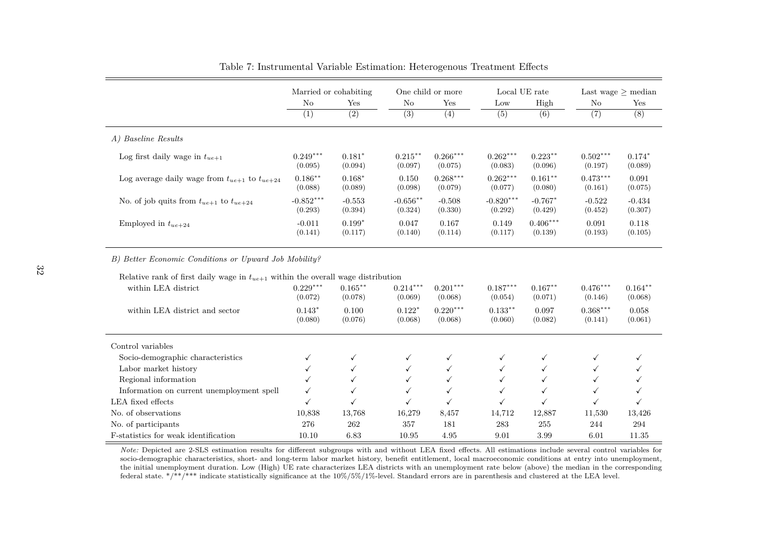|                                                                                      | Married or cohabiting<br>One child or more |                       |                        |                       | Local UE rate          | Last wage $>$ median  |                       |                       |
|--------------------------------------------------------------------------------------|--------------------------------------------|-----------------------|------------------------|-----------------------|------------------------|-----------------------|-----------------------|-----------------------|
|                                                                                      | No                                         | Yes                   | N <sub>o</sub>         | Yes                   | Low                    | High                  | N <sub>o</sub>        | Yes                   |
|                                                                                      | (1)                                        | (2)                   | (3)                    | (4)                   | (5)                    | (6)                   | (7)                   | (8)                   |
| A) Baseline Results                                                                  |                                            |                       |                        |                       |                        |                       |                       |                       |
| Log first daily wage in $t_{ue+1}$                                                   | $0.249***$<br>(0.095)                      | $0.181*$<br>(0.094)   | $0.215***$<br>(0.097)  | $0.266***$<br>(0.075) | $0.262***$<br>(0.083)  | $0.223***$<br>(0.096) | $0.502***$<br>(0.197) | $0.174*$<br>(0.089)   |
| Log average daily wage from $t_{ue+1}$ to $t_{ue+24}$                                | $0.186***$<br>(0.088)                      | $0.168*$<br>(0.089)   | 0.150<br>(0.098)       | $0.268***$<br>(0.079) | $0.262***$<br>(0.077)  | $0.161**$<br>(0.080)  | $0.473***$<br>(0.161) | 0.091<br>(0.075)      |
| No. of job quits from $t_{ue+1}$ to $t_{ue+24}$                                      | $-0.852***$<br>(0.293)                     | $-0.553$<br>(0.394)   | $-0.656***$<br>(0.324) | $-0.508$<br>(0.330)   | $-0.820***$<br>(0.292) | $-0.767*$<br>(0.429)  | $-0.522$<br>(0.452)   | $-0.434$<br>(0.307)   |
| Employed in $t_{ue+24}$                                                              | $-0.011$<br>(0.141)                        | $0.199*$<br>(0.117)   | 0.047<br>(0.140)       | 0.167<br>(0.114)      | 0.149<br>(0.117)       | $0.406***$<br>(0.139) | 0.091<br>(0.193)      | 0.118<br>(0.105)      |
| B) Better Economic Conditions or Upward Job Mobility?                                |                                            |                       |                        |                       |                        |                       |                       |                       |
| Relative rank of first daily wage in $t_{ue+1}$ within the overall wage distribution |                                            |                       |                        |                       |                        |                       |                       |                       |
| within LEA district                                                                  | $0.229***$<br>(0.072)                      | $0.165***$<br>(0.078) | $0.214***$<br>(0.069)  | $0.201***$<br>(0.068) | $0.187***$<br>(0.054)  | $0.167**$<br>(0.071)  | $0.476***$<br>(0.146) | $0.164***$<br>(0.068) |
| within LEA district and sector                                                       | $0.143*$<br>(0.080)                        | 0.100<br>(0.076)      | $0.122*$<br>(0.068)    | $0.220***$<br>(0.068) | $0.133***$<br>(0.060)  | 0.097<br>(0.082)      | $0.368***$<br>(0.141) | 0.058<br>(0.061)      |
| Control variables                                                                    |                                            |                       |                        |                       |                        |                       |                       |                       |
| Socio-demographic characteristics                                                    | $\checkmark$                               | ✓                     | ✓                      | ✓                     | ✓                      | ✓                     | ✓                     | ✓                     |
| Labor market history                                                                 | $\checkmark$                               | ✓                     | ✓                      | ✓                     | ✓                      | ✓                     | $\checkmark$          |                       |
| Regional information                                                                 | ✓                                          | ✓                     | ✓                      | $\checkmark$          | ✓                      | ✓                     | ✓                     |                       |
| Information on current unemployment spell                                            | ✓                                          | ✓                     | $\checkmark$           | $\checkmark$          |                        | ✓                     | ✓                     |                       |
| LEA fixed effects                                                                    | ✓                                          | $\checkmark$          | ✓                      | $\checkmark$          | ✓                      | ✓                     | ✓                     |                       |
| No. of observations                                                                  | 10,838                                     | 13,768                | 16,279                 | 8,457                 | 14,712                 | 12,887                | 11,530                | 13,426                |
| No. of participants                                                                  | 276                                        | 262                   | 357                    | 181                   | 283                    | 255                   | 244                   | 294                   |
| F-statistics for weak identification                                                 | 10.10                                      | 6.83                  | 10.95                  | 4.95                  | 9.01                   | 3.99                  | 6.01                  | 11.35                 |

Table 7: Instrumental Variable Estimation: Heterogenous Treatment Effects

*Note:* Depicted are 2-SLS estimation results for different subgroups with and without LEA fixed effects. All estimations include several control variables for socio-demographic characteristics, short- and long-term labor market history, benefit entitlement, local macroeconomic conditions at entry into unemployment, the initial unemployment duration. Low (High) UE rate characterizes LEA districts with an unemployment rate below (above) the median in the correspondingfederal state. \*/\*\*/\*\*\* indicate statistically significance at the 10%/5%/1%-level. Standard errors are in parenthesis and clustered at the LEA level.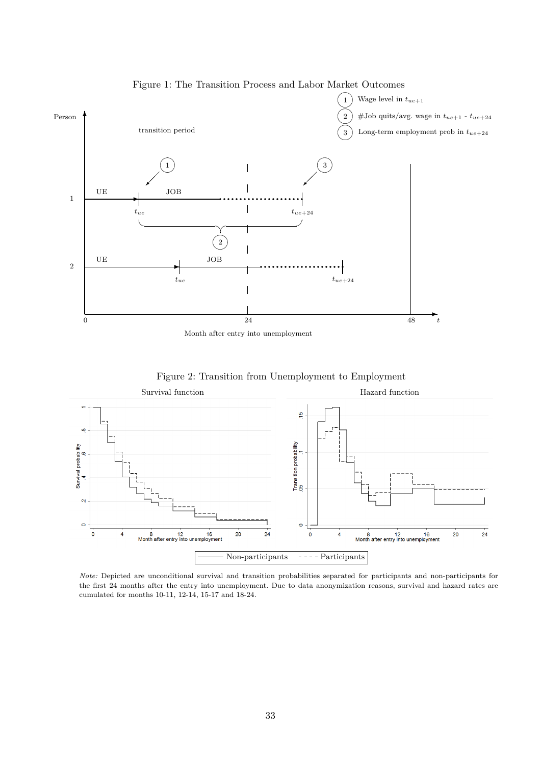

Figure 1: The Transition Process and Labor Market Outcomes



Figure 2: Transition from Unemployment to Employment

*Note:* Depicted are unconditional survival and transition probabilities separated for participants and non-participants for the first 24 months after the entry into unemployment. Due to data anonymization reasons, survival and hazard rates are cumulated for months 10-11, 12-14, 15-17 and 18-24.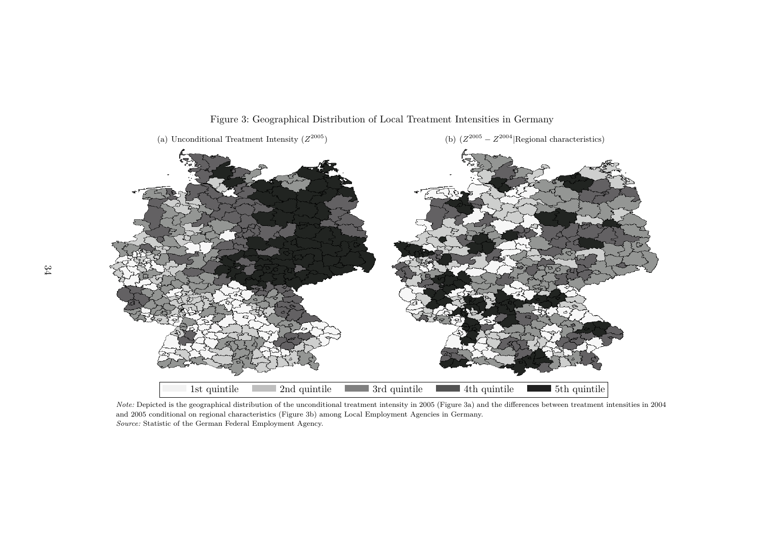

Figure 3: Geographical Distribution of Local Treatment Intensities in Germany

*Note:* Depicted is the geographical distribution of the unconditional treatment intensity in <sup>2005</sup> (Figure 3a) and the differences between treatment intensities in <sup>2004</sup>and <sup>2005</sup> conditional on regional characteristics (Figure 3b) among Local Employment Agencies in Germany.*Source:* Statistic of the German Federal Employment Agency.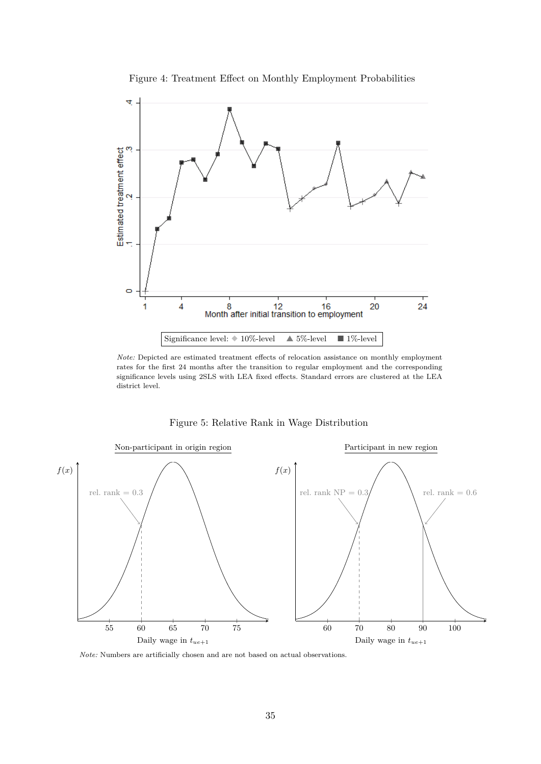

Figure 4: Treatment Effect on Monthly Employment Probabilities

*Note:* Depicted are estimated treatment effects of relocation assistance on monthly employment rates for the first 24 months after the transition to regular employment and the corresponding significance levels using 2SLS with LEA fixed effects. Standard errors are clustered at the LEA district level.

Figure 5: Relative Rank in Wage Distribution



*Note:* Numbers are artificially chosen and are not based on actual observations.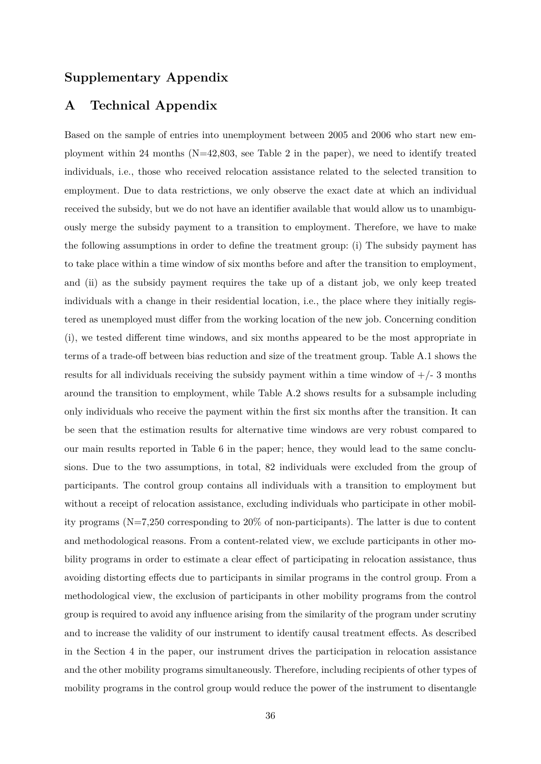## **Supplementary Appendix**

## **A Technical Appendix**

Based on the sample of entries into unemployment between 2005 and 2006 who start new employment within 24 months (N=42,803, see Table 2 in the paper), we need to identify treated individuals, i.e., those who received relocation assistance related to the selected transition to employment. Due to data restrictions, we only observe the exact date at which an individual received the subsidy, but we do not have an identifier available that would allow us to unambiguously merge the subsidy payment to a transition to employment. Therefore, we have to make the following assumptions in order to define the treatment group: (i) The subsidy payment has to take place within a time window of six months before and after the transition to employment, and (ii) as the subsidy payment requires the take up of a distant job, we only keep treated individuals with a change in their residential location, i.e., the place where they initially registered as unemployed must differ from the working location of the new job. Concerning condition (i), we tested different time windows, and six months appeared to be the most appropriate in terms of a trade-off between bias reduction and size of the treatment group. Table A.1 shows the results for all individuals receiving the subsidy payment within a time window of  $+/- 3$  months around the transition to employment, while Table A.2 shows results for a subsample including only individuals who receive the payment within the first six months after the transition. It can be seen that the estimation results for alternative time windows are very robust compared to our main results reported in Table 6 in the paper; hence, they would lead to the same conclusions. Due to the two assumptions, in total, 82 individuals were excluded from the group of participants. The control group contains all individuals with a transition to employment but without a receipt of relocation assistance, excluding individuals who participate in other mobility programs (N=7,250 corresponding to 20% of non-participants). The latter is due to content and methodological reasons. From a content-related view, we exclude participants in other mobility programs in order to estimate a clear effect of participating in relocation assistance, thus avoiding distorting effects due to participants in similar programs in the control group. From a methodological view, the exclusion of participants in other mobility programs from the control group is required to avoid any influence arising from the similarity of the program under scrutiny and to increase the validity of our instrument to identify causal treatment effects. As described in the Section 4 in the paper, our instrument drives the participation in relocation assistance and the other mobility programs simultaneously. Therefore, including recipients of other types of mobility programs in the control group would reduce the power of the instrument to disentangle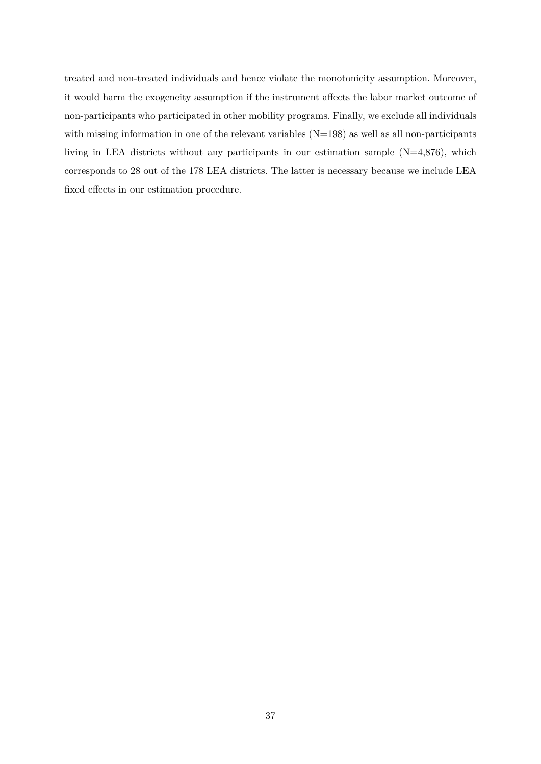treated and non-treated individuals and hence violate the monotonicity assumption. Moreover, it would harm the exogeneity assumption if the instrument affects the labor market outcome of non-participants who participated in other mobility programs. Finally, we exclude all individuals with missing information in one of the relevant variables  $(N=198)$  as well as all non-participants living in LEA districts without any participants in our estimation sample (N=4,876), which corresponds to 28 out of the 178 LEA districts. The latter is necessary because we include LEA fixed effects in our estimation procedure.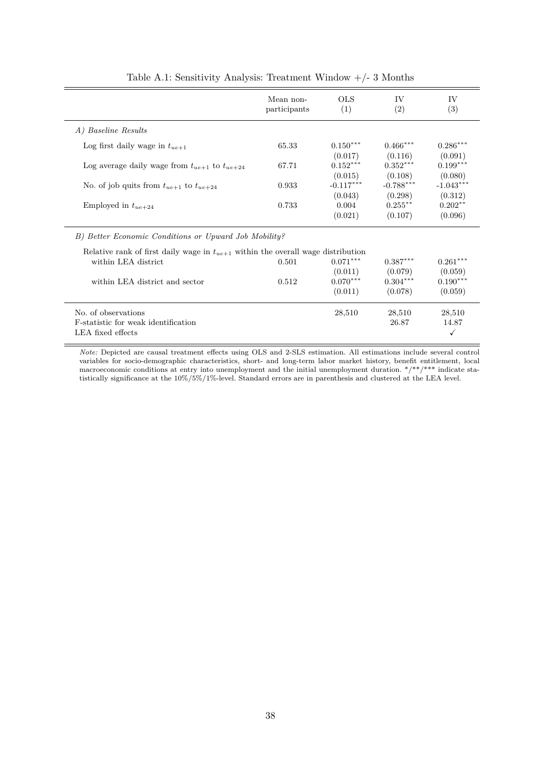|                                                                                      | Mean non-<br>participants | <b>OLS</b><br>(1) | IV<br>(2)   | IV<br>(3)    |
|--------------------------------------------------------------------------------------|---------------------------|-------------------|-------------|--------------|
| A) Baseline Results                                                                  |                           |                   |             |              |
| Log first daily wage in $t_{ue+1}$                                                   | 65.33                     | $0.150***$        | $0.466***$  | $0.286***$   |
|                                                                                      |                           | (0.017)           | (0.116)     | (0.091)      |
| Log average daily wage from $t_{ue+1}$ to $t_{ue+24}$                                | 67.71                     | $0.152***$        | $0.352***$  | $0.199***$   |
|                                                                                      |                           | (0.015)           | (0.108)     | (0.080)      |
| No. of job quits from $t_{ue+1}$ to $t_{ue+24}$                                      | 0.933                     | $-0.117***$       | $-0.788***$ | $-1.043***$  |
|                                                                                      |                           | (0.043)           | (0.298)     | (0.312)      |
| Employed in $t_{ue+24}$                                                              | 0.733                     | 0.004             | $0.255***$  | $0.202**$    |
|                                                                                      |                           | (0.021)           | (0.107)     | (0.096)      |
| B) Better Economic Conditions or Upward Job Mobility?                                |                           |                   |             |              |
| Relative rank of first daily wage in $t_{ue+1}$ within the overall wage distribution |                           |                   |             |              |
| within LEA district                                                                  | 0.501                     | $0.071***$        | $0.387***$  | $0.261***$   |
|                                                                                      |                           | (0.011)           | (0.079)     | (0.059)      |
| within LEA district and sector                                                       | 0.512                     | $0.070***$        | $0.304***$  | $0.190***$   |
|                                                                                      |                           | (0.011)           | (0.078)     | (0.059)      |
| No. of observations                                                                  |                           | 28,510            | 28,510      | 28,510       |
| F-statistic for weak identification                                                  |                           |                   | 26.87       | 14.87        |
| LEA fixed effects                                                                    |                           |                   |             | $\checkmark$ |

Table A.1: Sensitivity Analysis: Treatment Window +/- 3 Months

*Note:* Depicted are causal treatment effects using OLS and 2-SLS estimation. All estimations include several control variables for socio-demographic characteristics, short- and long-term labor market history, benefit entitlement, local macroeconomic conditions at entry into unemployment and the initial unemployment duration. \*/\*\*/\*\*\* indicate statistically significance at the 10%/5%/1%-level. Standard errors are in parenthesis and clustered at the LEA level.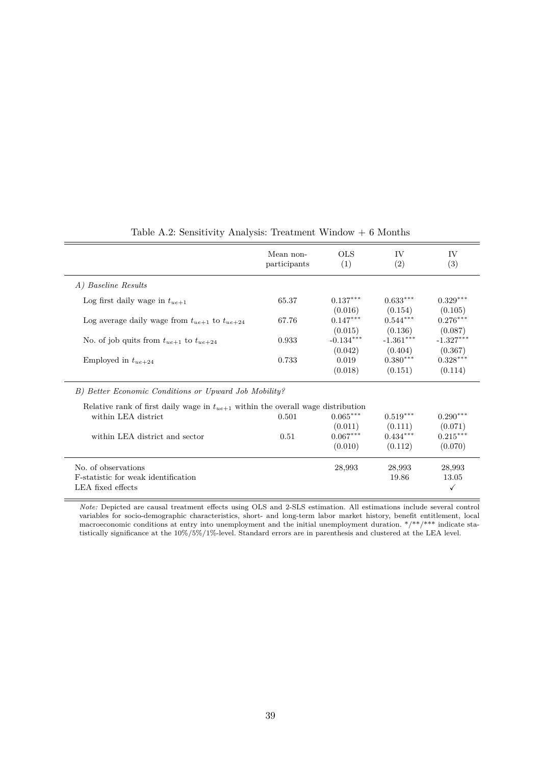|                                                                                      | Mean non-<br>participants | <b>OLS</b><br>(1)      | IV<br>(2)              | <b>IV</b><br>(3)       |
|--------------------------------------------------------------------------------------|---------------------------|------------------------|------------------------|------------------------|
| A) Baseline Results                                                                  |                           |                        |                        |                        |
| Log first daily wage in $t_{ue+1}$                                                   | 65.37                     | $0.137***$<br>(0.016)  | $0.633***$<br>(0.154)  | $0.329***$<br>(0.105)  |
| Log average daily wage from $t_{ue+1}$ to $t_{ue+24}$                                | 67.76                     | $0.147***$<br>(0.015)  | $0.544***$<br>(0.136)  | $0.276***$<br>(0.087)  |
| No. of job quits from $t_{ue+1}$ to $t_{ue+24}$                                      | 0.933                     | $-0.134***$<br>(0.042) | $-1.361***$<br>(0.404) | $-1.327***$<br>(0.367) |
| Employed in $t_{ue+24}$                                                              | 0.733                     | 0.019<br>(0.018)       | $0.380***$<br>(0.151)  | $0.328***$<br>(0.114)  |
| B) Better Economic Conditions or Upward Job Mobility?                                |                           |                        |                        |                        |
| Relative rank of first daily wage in $t_{ue+1}$ within the overall wage distribution |                           |                        |                        |                        |
| within LEA district                                                                  | 0.501                     | $0.065***$<br>(0.011)  | $0.519***$<br>(0.111)  | $0.290***$<br>(0.071)  |
| within LEA district and sector                                                       | 0.51                      | $0.067***$<br>(0.010)  | $0.434***$<br>(0.112)  | $0.215***$<br>(0.070)  |
| No. of observations<br>F-statistic for weak identification                           |                           | 28,993                 | 28,993<br>19.86        | 28,993<br>13.05        |
| LEA fixed effects                                                                    |                           |                        |                        | ✓                      |

#### Table A.2: Sensitivity Analysis: Treatment Window + 6 Months

*Note:* Depicted are causal treatment effects using OLS and 2-SLS estimation. All estimations include several control variables for socio-demographic characteristics, short- and long-term labor market history, benefit entitlement, local macroeconomic conditions at entry into unemployment and the initial unemployment duration. \*/\*\*/\*\*\* indicate statistically significance at the 10%/5%/1%-level. Standard errors are in parenthesis and clustered at the LEA level.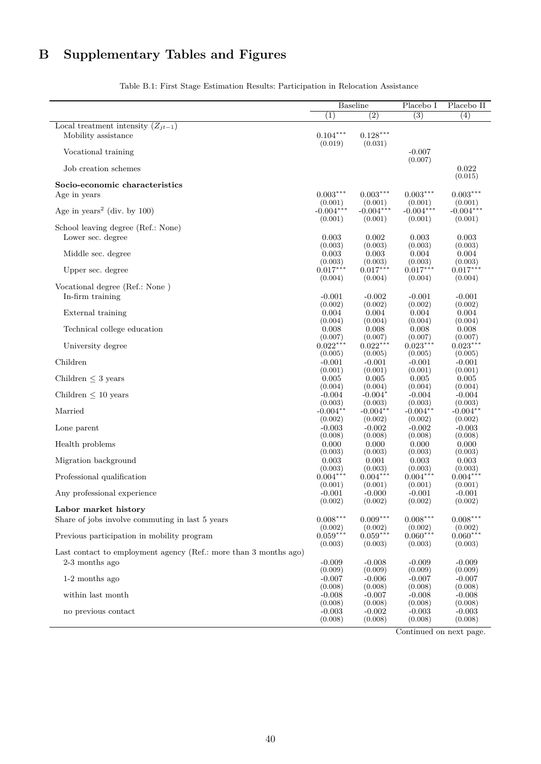## **B Supplementary Tables and Figures**

|                                                                  |                        | <b>Baseline</b>       | Placebo I                 | Placebo II             |
|------------------------------------------------------------------|------------------------|-----------------------|---------------------------|------------------------|
|                                                                  | (1)                    | (2)                   | $\overline{(3)}$          | $\overline{(4)}$       |
| Local treatment intensity $(Z_{jt-1})$                           |                        |                       |                           |                        |
| Mobility assistance                                              | $0.104***$             | $0.128***$            |                           |                        |
|                                                                  | (0.019)                | (0.031)               | $-0.007$                  |                        |
| Vocational training                                              |                        |                       | (0.007)                   |                        |
| Job creation schemes                                             |                        |                       |                           | 0.022                  |
| Socio-economic characteristics                                   |                        |                       |                           | (0.015)                |
| Age in years                                                     | $0.003***$             | $0.003***$            | $0.003***$                | $0.003***$             |
|                                                                  | (0.001)                | (0.001)               | (0.001)                   | (0.001)                |
| Age in years <sup>2</sup> (div. by 100)                          | $-0.004***$            | $-0.004***$           | $-0.004***$               | $-0.004***$            |
|                                                                  | (0.001)                | (0.001)               | (0.001)                   | (0.001)                |
| School leaving degree (Ref.: None)                               |                        |                       |                           |                        |
| Lower sec. degree                                                | 0.003<br>(0.003)       | 0.002                 | 0.003<br>(0.003)          | 0.003                  |
| Middle sec. degree                                               | 0.003                  | (0.003)<br>0.003      | 0.004                     | (0.003)<br>0.004       |
|                                                                  | (0.003)                | (0.003)               | (0.003)                   | (0.003)                |
| Upper sec. degree                                                | $0.017***$             | $0.017***$            | $0.017***$                | $0.017***$             |
|                                                                  | (0.004)                | (0.004)               | (0.004)                   | (0.004)                |
| Vocational degree (Ref.: None)                                   |                        |                       |                           |                        |
| In-firm training                                                 | $-0.001$               | $-0.002$              | $-0.001$                  | $-0.001$               |
| External training                                                | (0.002)<br>0.004       | (0.002)<br>0.004      | (0.002)<br>0.004          | (0.002)<br>0.004       |
|                                                                  | (0.004)                | (0.004)               | (0.004)                   | (0.004)                |
| Technical college education                                      | 0.008                  | 0.008                 | 0.008                     | 0.008                  |
|                                                                  | (0.007)                | (0.007)               | (0.007)                   | (0.007)                |
| University degree                                                | $0.022***$             | $0.022***$            | $0.023***$                | $0.023***$             |
|                                                                  | (0.005)                | (0.005)               | (0.005)                   | (0.005)                |
| Children                                                         | $-0.001$<br>(0.001)    | $-0.001$<br>(0.001)   | $-0.001$<br>(0.001)       | $-0.001$<br>(0.001)    |
| Children $\leq$ 3 years                                          | 0.005                  | 0.005                 | 0.005                     | 0.005                  |
|                                                                  | (0.004)                | (0.004)               | (0.004)                   | (0.004)                |
| Children $\leq 10$ years                                         | $-0.004$               | $-0.004*$             | $-0.004$                  | $-0.004$               |
|                                                                  | (0.003)<br>$-0.004***$ | (0.003)<br>$-0.004**$ | (0.003)<br>$-0.004**$     | (0.003)<br>$-0.004***$ |
| Married                                                          | (0.002)                | (0.002)               | (0.002)                   | (0.002)                |
| Lone parent                                                      | $-0.003$               | $-0.002$              | $-0.002$                  | $-0.003$               |
|                                                                  | (0.008)                | (0.008)               | (0.008)                   | (0.008)                |
| Health problems                                                  | 0.000                  | 0.000                 | 0.000                     | 0.000                  |
|                                                                  | (0.003)                | (0.003)               | (0.003)                   | (0.003)                |
| Migration background                                             | 0.003<br>(0.003)       | 0.001<br>(0.003)      | 0.003<br>(0.003)          | 0.003<br>(0.003)       |
| Professional qualification                                       | $0.004***$             | $0.004***$            | $0.004***$                | $0.004***$             |
|                                                                  | (0.001)                | (0.001)               | (0.001)                   | (0.001)                |
| Any professional experience                                      | $-0.001$               | $-0.000$              | $-0.001$                  | $-0.001$               |
|                                                                  | (0.002)                | (0.002)               | (0.002)                   | (0.002)                |
| Labor market history                                             |                        | $0.009***$            |                           | $0.008***$             |
| Share of jobs involve commuting in last 5 years                  | $0.008***$<br>(0.002)  | (0.002)               | $0.008***$<br>(0.002)     | (0.002)                |
| Previous participation in mobility program                       | $0.059***$             | $0.059***$            | $0.060***$                | $0.060***$             |
|                                                                  | (0.003)                | (0.003)               | (0.003)                   | (0.003)                |
| Last contact to employment agency (Ref.: more than 3 months ago) |                        |                       |                           |                        |
| 2-3 months ago                                                   | $-0.009$               | $-0.008$              | $-0.009$                  | $-0.009$               |
|                                                                  | (0.009)                | (0.009)               | (0.009)                   | (0.009)                |
| 1-2 months ago                                                   | $-0.007$<br>(0.008)    | $-0.006$<br>(0.008)   | $-0.007$<br>(0.008)       | $-0.007$<br>(0.008)    |
| within last month                                                | $-0.008$               | $-0.007$              | $-0.008$                  | $-0.008$               |
|                                                                  | (0.008)                | (0.008)               | (0.008)                   | (0.008)                |
| no previous contact                                              | $-0.003$               | $-0.002$              | $-0.003$                  | $-0.003$               |
|                                                                  | (0.008)                | (0.008)               | (0.008)                   | (0.008)                |
|                                                                  |                        |                       | $C_{\alpha\alpha}$ tinuad |                        |

Table B.1: First Stage Estimation Results: Participation in Relocation Assistance

Continued on next page.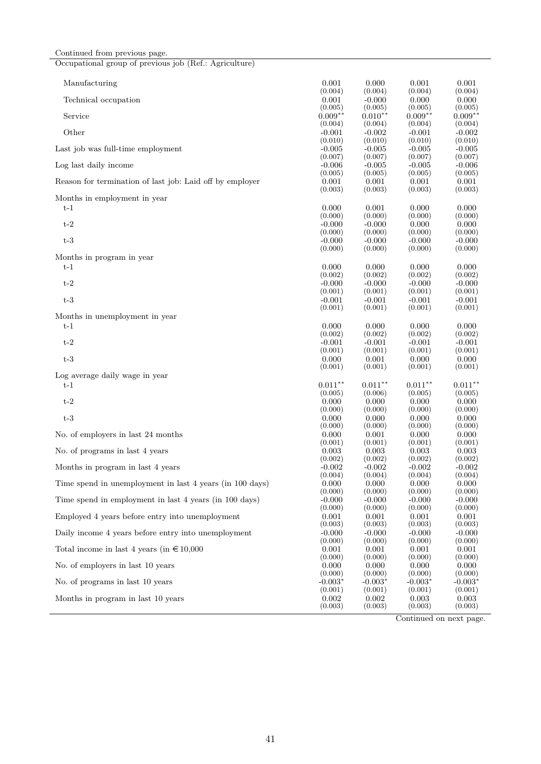| Manufacturing<br>0.001<br>0.000<br>0.001<br>0.001<br>(0.004)<br>(0.004)<br>(0.004)<br>(0.004)<br>Technical occupation<br>0.001<br>$-0.000$<br>0.000<br>0.000<br>(0.005)<br>(0.005)<br>(0.005)<br>(0.005)<br>$0.009**$<br>Service<br>$0.010**$<br>$0.009**$<br>$0.009**$<br>(0.004)<br>(0.004)<br>(0.004)<br>(0.004)<br>Other<br>$-0.002$<br>$-0.001$<br>$-0.001$<br>$-0.002$<br>(0.010)<br>(0.010)<br>(0.010)<br>(0.010)<br>$-0.005$<br>Last job was full-time employment<br>$-0.005$<br>$-0.005$<br>$-0.005$<br>(0.007)<br>(0.007)<br>(0.007)<br>(0.007)<br>Log last daily income<br>$-0.005$<br>$-0.006$<br>$-0.006$<br>$-0.005$<br>(0.005)<br>(0.005)<br>(0.005)<br>(0.005)<br>Reason for termination of last job: Laid off by employer<br>0.001<br>0.001<br>0.001<br>0.001<br>(0.003)<br>(0.003)<br>(0.003)<br>(0.003)<br>Months in employment in year<br>$t-1$<br>0.000<br>0.000<br>0.001<br>0.000<br>(0.000)<br>(0.000)<br>(0.000)<br>(0.000)<br>$t-2$<br>$-0.000$<br>$-0.000$<br>0.000<br>0.000<br>(0.000)<br>(0.000)<br>(0.000)<br>(0.000)<br>$t-3$<br>$-0.000$<br>$-0.000$<br>$-0.000$<br>$-0.000$<br>(0.000)<br>(0.000)<br>(0.000)<br>(0.000)<br>Months in program in year<br>0.000<br>0.000<br>$t-1$<br>0.000<br>0.000<br>(0.002)<br>(0.002)<br>(0.002)<br>(0.002)<br>$t-2$<br>$-0.000$<br>$-0.000$<br>$-0.000$<br>$-0.000$<br>(0.001)<br>(0.001)<br>(0.001)<br>(0.001)<br>$t-3$<br>$-0.001$<br>$-0.001$<br>$-0.001$<br>$-0.001$<br>(0.001)<br>(0.001)<br>(0.001)<br>(0.001)<br>Months in unemployment in year<br>$t-1$<br>0.000<br>0.000<br>0.000<br>0.000<br>(0.002)<br>(0.002)<br>(0.002)<br>(0.002)<br>$t-2$<br>$-0.001$<br>$-0.001$<br>$-0.001$<br>$-0.001$<br>(0.001)<br>(0.001)<br>(0.001)<br>(0.001)<br>$t-3$<br>0.000<br>0.000<br>0.001<br>0.000<br>(0.001)<br>(0.001)<br>(0.001)<br>(0.001)<br>Log average daily wage in year<br>$0.011***$<br>$0.011***$<br>$0.011***$<br>$0.011***$<br>$t-1$<br>(0.005)<br>(0.006)<br>(0.005)<br>(0.005)<br>0.000<br>0.000<br>0.000<br>0.000<br>$t-2$<br>(0.000)<br>(0.000)<br>(0.000)<br>(0.000)<br>$t-3$<br>0.000<br>0.000<br>0.000<br>0.000<br>(0.000)<br>(0.000)<br>(0.000)<br>(0.000)<br>0.000<br>0.001<br>0.000<br>0.000<br>No. of employers in last 24 months<br>(0.001)<br>(0.001)<br>(0.001)<br>(0.001)<br>0.003<br>0.003<br>0.003<br>0.003<br>No. of programs in last 4 years<br>(0.002)<br>(0.002)<br>(0.002)<br>Months in program in last 4 years<br>$-0.002$<br>$-0.002$<br>$-0.002$<br>$-0.002$<br>(0.004)<br>(0.004)<br>(0.004)<br>(0.004)<br>Time spend in unemployment in last 4 years (in 100 days)<br>0.000<br>0.000<br>0.000<br>0.000<br>(0.000)<br>(0.000)<br>(0.000)<br>(0.000)<br>Time spend in employment in last 4 years (in 100 days)<br>$-0.000$<br>$-0.000$<br>$-0.000$<br>$-0.000$<br>(0.000)<br>(0.000)<br>(0.000)<br>(0.000)<br>Employed 4 years before entry into unemployment<br>0.001<br>0.001<br>0.001<br>0.001<br>(0.003)<br>(0.003)<br>(0.003)<br>(0.003)<br>Daily income 4 years before entry into unemployment<br>$-0.000$<br>$-0.000$<br>$-0.000$<br>$-0.000$<br>(0.000)<br>(0.000)<br>(0.000)<br>(0.000)<br>Total income in last 4 years (in $\text{\large\ensuremath{\in}} 10,000$<br>0.001<br>0.001<br>0.001<br>0.001<br>(0.000)<br>(0.000)<br>(0.000)<br>(0.000)<br>No. of employers in last 10 years<br>0.000<br>0.000<br>0.000<br>0.000<br>(0.000)<br>(0.000)<br>(0.000)<br>(0.000)<br>No. of programs in last 10 years<br>$-0.003*$<br>$-0.003*$<br>$-0.003*$<br>$-0.003^*$<br>(0.001)<br>(0.001)<br>(0.001)<br>(0.001)<br>Months in program in last 10 years<br>0.002<br>0.003<br>0.003<br>0.002<br>(0.003)<br>(0.003)<br>(0.003)<br>(0.003) | Continued from previous page.                          |  |         |
|-----------------------------------------------------------------------------------------------------------------------------------------------------------------------------------------------------------------------------------------------------------------------------------------------------------------------------------------------------------------------------------------------------------------------------------------------------------------------------------------------------------------------------------------------------------------------------------------------------------------------------------------------------------------------------------------------------------------------------------------------------------------------------------------------------------------------------------------------------------------------------------------------------------------------------------------------------------------------------------------------------------------------------------------------------------------------------------------------------------------------------------------------------------------------------------------------------------------------------------------------------------------------------------------------------------------------------------------------------------------------------------------------------------------------------------------------------------------------------------------------------------------------------------------------------------------------------------------------------------------------------------------------------------------------------------------------------------------------------------------------------------------------------------------------------------------------------------------------------------------------------------------------------------------------------------------------------------------------------------------------------------------------------------------------------------------------------------------------------------------------------------------------------------------------------------------------------------------------------------------------------------------------------------------------------------------------------------------------------------------------------------------------------------------------------------------------------------------------------------------------------------------------------------------------------------------------------------------------------------------------------------------------------------------------------------------------------------------------------------------------------------------------------------------------------------------------------------------------------------------------------------------------------------------------------------------------------------------------------------------------------------------------------------------------------------------------------------------------------------------------------------------------------------------------------------------------------------------------------------------------------------------------------------------------------------------------------------------------------------------------------------------------------------------------------------------------------------------------------------------------------------------------------------------------------------------------------------------------------------------------------------------------------|--------------------------------------------------------|--|---------|
|                                                                                                                                                                                                                                                                                                                                                                                                                                                                                                                                                                                                                                                                                                                                                                                                                                                                                                                                                                                                                                                                                                                                                                                                                                                                                                                                                                                                                                                                                                                                                                                                                                                                                                                                                                                                                                                                                                                                                                                                                                                                                                                                                                                                                                                                                                                                                                                                                                                                                                                                                                                                                                                                                                                                                                                                                                                                                                                                                                                                                                                                                                                                                                                                                                                                                                                                                                                                                                                                                                                                                                                                                                                     | Occupational group of previous job (Ref.: Agriculture) |  |         |
|                                                                                                                                                                                                                                                                                                                                                                                                                                                                                                                                                                                                                                                                                                                                                                                                                                                                                                                                                                                                                                                                                                                                                                                                                                                                                                                                                                                                                                                                                                                                                                                                                                                                                                                                                                                                                                                                                                                                                                                                                                                                                                                                                                                                                                                                                                                                                                                                                                                                                                                                                                                                                                                                                                                                                                                                                                                                                                                                                                                                                                                                                                                                                                                                                                                                                                                                                                                                                                                                                                                                                                                                                                                     |                                                        |  |         |
|                                                                                                                                                                                                                                                                                                                                                                                                                                                                                                                                                                                                                                                                                                                                                                                                                                                                                                                                                                                                                                                                                                                                                                                                                                                                                                                                                                                                                                                                                                                                                                                                                                                                                                                                                                                                                                                                                                                                                                                                                                                                                                                                                                                                                                                                                                                                                                                                                                                                                                                                                                                                                                                                                                                                                                                                                                                                                                                                                                                                                                                                                                                                                                                                                                                                                                                                                                                                                                                                                                                                                                                                                                                     |                                                        |  |         |
|                                                                                                                                                                                                                                                                                                                                                                                                                                                                                                                                                                                                                                                                                                                                                                                                                                                                                                                                                                                                                                                                                                                                                                                                                                                                                                                                                                                                                                                                                                                                                                                                                                                                                                                                                                                                                                                                                                                                                                                                                                                                                                                                                                                                                                                                                                                                                                                                                                                                                                                                                                                                                                                                                                                                                                                                                                                                                                                                                                                                                                                                                                                                                                                                                                                                                                                                                                                                                                                                                                                                                                                                                                                     |                                                        |  |         |
|                                                                                                                                                                                                                                                                                                                                                                                                                                                                                                                                                                                                                                                                                                                                                                                                                                                                                                                                                                                                                                                                                                                                                                                                                                                                                                                                                                                                                                                                                                                                                                                                                                                                                                                                                                                                                                                                                                                                                                                                                                                                                                                                                                                                                                                                                                                                                                                                                                                                                                                                                                                                                                                                                                                                                                                                                                                                                                                                                                                                                                                                                                                                                                                                                                                                                                                                                                                                                                                                                                                                                                                                                                                     |                                                        |  |         |
|                                                                                                                                                                                                                                                                                                                                                                                                                                                                                                                                                                                                                                                                                                                                                                                                                                                                                                                                                                                                                                                                                                                                                                                                                                                                                                                                                                                                                                                                                                                                                                                                                                                                                                                                                                                                                                                                                                                                                                                                                                                                                                                                                                                                                                                                                                                                                                                                                                                                                                                                                                                                                                                                                                                                                                                                                                                                                                                                                                                                                                                                                                                                                                                                                                                                                                                                                                                                                                                                                                                                                                                                                                                     |                                                        |  |         |
|                                                                                                                                                                                                                                                                                                                                                                                                                                                                                                                                                                                                                                                                                                                                                                                                                                                                                                                                                                                                                                                                                                                                                                                                                                                                                                                                                                                                                                                                                                                                                                                                                                                                                                                                                                                                                                                                                                                                                                                                                                                                                                                                                                                                                                                                                                                                                                                                                                                                                                                                                                                                                                                                                                                                                                                                                                                                                                                                                                                                                                                                                                                                                                                                                                                                                                                                                                                                                                                                                                                                                                                                                                                     |                                                        |  |         |
|                                                                                                                                                                                                                                                                                                                                                                                                                                                                                                                                                                                                                                                                                                                                                                                                                                                                                                                                                                                                                                                                                                                                                                                                                                                                                                                                                                                                                                                                                                                                                                                                                                                                                                                                                                                                                                                                                                                                                                                                                                                                                                                                                                                                                                                                                                                                                                                                                                                                                                                                                                                                                                                                                                                                                                                                                                                                                                                                                                                                                                                                                                                                                                                                                                                                                                                                                                                                                                                                                                                                                                                                                                                     |                                                        |  |         |
|                                                                                                                                                                                                                                                                                                                                                                                                                                                                                                                                                                                                                                                                                                                                                                                                                                                                                                                                                                                                                                                                                                                                                                                                                                                                                                                                                                                                                                                                                                                                                                                                                                                                                                                                                                                                                                                                                                                                                                                                                                                                                                                                                                                                                                                                                                                                                                                                                                                                                                                                                                                                                                                                                                                                                                                                                                                                                                                                                                                                                                                                                                                                                                                                                                                                                                                                                                                                                                                                                                                                                                                                                                                     |                                                        |  |         |
|                                                                                                                                                                                                                                                                                                                                                                                                                                                                                                                                                                                                                                                                                                                                                                                                                                                                                                                                                                                                                                                                                                                                                                                                                                                                                                                                                                                                                                                                                                                                                                                                                                                                                                                                                                                                                                                                                                                                                                                                                                                                                                                                                                                                                                                                                                                                                                                                                                                                                                                                                                                                                                                                                                                                                                                                                                                                                                                                                                                                                                                                                                                                                                                                                                                                                                                                                                                                                                                                                                                                                                                                                                                     |                                                        |  |         |
|                                                                                                                                                                                                                                                                                                                                                                                                                                                                                                                                                                                                                                                                                                                                                                                                                                                                                                                                                                                                                                                                                                                                                                                                                                                                                                                                                                                                                                                                                                                                                                                                                                                                                                                                                                                                                                                                                                                                                                                                                                                                                                                                                                                                                                                                                                                                                                                                                                                                                                                                                                                                                                                                                                                                                                                                                                                                                                                                                                                                                                                                                                                                                                                                                                                                                                                                                                                                                                                                                                                                                                                                                                                     |                                                        |  |         |
|                                                                                                                                                                                                                                                                                                                                                                                                                                                                                                                                                                                                                                                                                                                                                                                                                                                                                                                                                                                                                                                                                                                                                                                                                                                                                                                                                                                                                                                                                                                                                                                                                                                                                                                                                                                                                                                                                                                                                                                                                                                                                                                                                                                                                                                                                                                                                                                                                                                                                                                                                                                                                                                                                                                                                                                                                                                                                                                                                                                                                                                                                                                                                                                                                                                                                                                                                                                                                                                                                                                                                                                                                                                     |                                                        |  |         |
|                                                                                                                                                                                                                                                                                                                                                                                                                                                                                                                                                                                                                                                                                                                                                                                                                                                                                                                                                                                                                                                                                                                                                                                                                                                                                                                                                                                                                                                                                                                                                                                                                                                                                                                                                                                                                                                                                                                                                                                                                                                                                                                                                                                                                                                                                                                                                                                                                                                                                                                                                                                                                                                                                                                                                                                                                                                                                                                                                                                                                                                                                                                                                                                                                                                                                                                                                                                                                                                                                                                                                                                                                                                     |                                                        |  |         |
|                                                                                                                                                                                                                                                                                                                                                                                                                                                                                                                                                                                                                                                                                                                                                                                                                                                                                                                                                                                                                                                                                                                                                                                                                                                                                                                                                                                                                                                                                                                                                                                                                                                                                                                                                                                                                                                                                                                                                                                                                                                                                                                                                                                                                                                                                                                                                                                                                                                                                                                                                                                                                                                                                                                                                                                                                                                                                                                                                                                                                                                                                                                                                                                                                                                                                                                                                                                                                                                                                                                                                                                                                                                     |                                                        |  |         |
|                                                                                                                                                                                                                                                                                                                                                                                                                                                                                                                                                                                                                                                                                                                                                                                                                                                                                                                                                                                                                                                                                                                                                                                                                                                                                                                                                                                                                                                                                                                                                                                                                                                                                                                                                                                                                                                                                                                                                                                                                                                                                                                                                                                                                                                                                                                                                                                                                                                                                                                                                                                                                                                                                                                                                                                                                                                                                                                                                                                                                                                                                                                                                                                                                                                                                                                                                                                                                                                                                                                                                                                                                                                     |                                                        |  |         |
|                                                                                                                                                                                                                                                                                                                                                                                                                                                                                                                                                                                                                                                                                                                                                                                                                                                                                                                                                                                                                                                                                                                                                                                                                                                                                                                                                                                                                                                                                                                                                                                                                                                                                                                                                                                                                                                                                                                                                                                                                                                                                                                                                                                                                                                                                                                                                                                                                                                                                                                                                                                                                                                                                                                                                                                                                                                                                                                                                                                                                                                                                                                                                                                                                                                                                                                                                                                                                                                                                                                                                                                                                                                     |                                                        |  |         |
|                                                                                                                                                                                                                                                                                                                                                                                                                                                                                                                                                                                                                                                                                                                                                                                                                                                                                                                                                                                                                                                                                                                                                                                                                                                                                                                                                                                                                                                                                                                                                                                                                                                                                                                                                                                                                                                                                                                                                                                                                                                                                                                                                                                                                                                                                                                                                                                                                                                                                                                                                                                                                                                                                                                                                                                                                                                                                                                                                                                                                                                                                                                                                                                                                                                                                                                                                                                                                                                                                                                                                                                                                                                     |                                                        |  |         |
|                                                                                                                                                                                                                                                                                                                                                                                                                                                                                                                                                                                                                                                                                                                                                                                                                                                                                                                                                                                                                                                                                                                                                                                                                                                                                                                                                                                                                                                                                                                                                                                                                                                                                                                                                                                                                                                                                                                                                                                                                                                                                                                                                                                                                                                                                                                                                                                                                                                                                                                                                                                                                                                                                                                                                                                                                                                                                                                                                                                                                                                                                                                                                                                                                                                                                                                                                                                                                                                                                                                                                                                                                                                     |                                                        |  |         |
|                                                                                                                                                                                                                                                                                                                                                                                                                                                                                                                                                                                                                                                                                                                                                                                                                                                                                                                                                                                                                                                                                                                                                                                                                                                                                                                                                                                                                                                                                                                                                                                                                                                                                                                                                                                                                                                                                                                                                                                                                                                                                                                                                                                                                                                                                                                                                                                                                                                                                                                                                                                                                                                                                                                                                                                                                                                                                                                                                                                                                                                                                                                                                                                                                                                                                                                                                                                                                                                                                                                                                                                                                                                     |                                                        |  |         |
|                                                                                                                                                                                                                                                                                                                                                                                                                                                                                                                                                                                                                                                                                                                                                                                                                                                                                                                                                                                                                                                                                                                                                                                                                                                                                                                                                                                                                                                                                                                                                                                                                                                                                                                                                                                                                                                                                                                                                                                                                                                                                                                                                                                                                                                                                                                                                                                                                                                                                                                                                                                                                                                                                                                                                                                                                                                                                                                                                                                                                                                                                                                                                                                                                                                                                                                                                                                                                                                                                                                                                                                                                                                     |                                                        |  |         |
|                                                                                                                                                                                                                                                                                                                                                                                                                                                                                                                                                                                                                                                                                                                                                                                                                                                                                                                                                                                                                                                                                                                                                                                                                                                                                                                                                                                                                                                                                                                                                                                                                                                                                                                                                                                                                                                                                                                                                                                                                                                                                                                                                                                                                                                                                                                                                                                                                                                                                                                                                                                                                                                                                                                                                                                                                                                                                                                                                                                                                                                                                                                                                                                                                                                                                                                                                                                                                                                                                                                                                                                                                                                     |                                                        |  |         |
|                                                                                                                                                                                                                                                                                                                                                                                                                                                                                                                                                                                                                                                                                                                                                                                                                                                                                                                                                                                                                                                                                                                                                                                                                                                                                                                                                                                                                                                                                                                                                                                                                                                                                                                                                                                                                                                                                                                                                                                                                                                                                                                                                                                                                                                                                                                                                                                                                                                                                                                                                                                                                                                                                                                                                                                                                                                                                                                                                                                                                                                                                                                                                                                                                                                                                                                                                                                                                                                                                                                                                                                                                                                     |                                                        |  |         |
|                                                                                                                                                                                                                                                                                                                                                                                                                                                                                                                                                                                                                                                                                                                                                                                                                                                                                                                                                                                                                                                                                                                                                                                                                                                                                                                                                                                                                                                                                                                                                                                                                                                                                                                                                                                                                                                                                                                                                                                                                                                                                                                                                                                                                                                                                                                                                                                                                                                                                                                                                                                                                                                                                                                                                                                                                                                                                                                                                                                                                                                                                                                                                                                                                                                                                                                                                                                                                                                                                                                                                                                                                                                     |                                                        |  |         |
|                                                                                                                                                                                                                                                                                                                                                                                                                                                                                                                                                                                                                                                                                                                                                                                                                                                                                                                                                                                                                                                                                                                                                                                                                                                                                                                                                                                                                                                                                                                                                                                                                                                                                                                                                                                                                                                                                                                                                                                                                                                                                                                                                                                                                                                                                                                                                                                                                                                                                                                                                                                                                                                                                                                                                                                                                                                                                                                                                                                                                                                                                                                                                                                                                                                                                                                                                                                                                                                                                                                                                                                                                                                     |                                                        |  |         |
|                                                                                                                                                                                                                                                                                                                                                                                                                                                                                                                                                                                                                                                                                                                                                                                                                                                                                                                                                                                                                                                                                                                                                                                                                                                                                                                                                                                                                                                                                                                                                                                                                                                                                                                                                                                                                                                                                                                                                                                                                                                                                                                                                                                                                                                                                                                                                                                                                                                                                                                                                                                                                                                                                                                                                                                                                                                                                                                                                                                                                                                                                                                                                                                                                                                                                                                                                                                                                                                                                                                                                                                                                                                     |                                                        |  |         |
|                                                                                                                                                                                                                                                                                                                                                                                                                                                                                                                                                                                                                                                                                                                                                                                                                                                                                                                                                                                                                                                                                                                                                                                                                                                                                                                                                                                                                                                                                                                                                                                                                                                                                                                                                                                                                                                                                                                                                                                                                                                                                                                                                                                                                                                                                                                                                                                                                                                                                                                                                                                                                                                                                                                                                                                                                                                                                                                                                                                                                                                                                                                                                                                                                                                                                                                                                                                                                                                                                                                                                                                                                                                     |                                                        |  |         |
|                                                                                                                                                                                                                                                                                                                                                                                                                                                                                                                                                                                                                                                                                                                                                                                                                                                                                                                                                                                                                                                                                                                                                                                                                                                                                                                                                                                                                                                                                                                                                                                                                                                                                                                                                                                                                                                                                                                                                                                                                                                                                                                                                                                                                                                                                                                                                                                                                                                                                                                                                                                                                                                                                                                                                                                                                                                                                                                                                                                                                                                                                                                                                                                                                                                                                                                                                                                                                                                                                                                                                                                                                                                     |                                                        |  |         |
|                                                                                                                                                                                                                                                                                                                                                                                                                                                                                                                                                                                                                                                                                                                                                                                                                                                                                                                                                                                                                                                                                                                                                                                                                                                                                                                                                                                                                                                                                                                                                                                                                                                                                                                                                                                                                                                                                                                                                                                                                                                                                                                                                                                                                                                                                                                                                                                                                                                                                                                                                                                                                                                                                                                                                                                                                                                                                                                                                                                                                                                                                                                                                                                                                                                                                                                                                                                                                                                                                                                                                                                                                                                     |                                                        |  |         |
|                                                                                                                                                                                                                                                                                                                                                                                                                                                                                                                                                                                                                                                                                                                                                                                                                                                                                                                                                                                                                                                                                                                                                                                                                                                                                                                                                                                                                                                                                                                                                                                                                                                                                                                                                                                                                                                                                                                                                                                                                                                                                                                                                                                                                                                                                                                                                                                                                                                                                                                                                                                                                                                                                                                                                                                                                                                                                                                                                                                                                                                                                                                                                                                                                                                                                                                                                                                                                                                                                                                                                                                                                                                     |                                                        |  |         |
|                                                                                                                                                                                                                                                                                                                                                                                                                                                                                                                                                                                                                                                                                                                                                                                                                                                                                                                                                                                                                                                                                                                                                                                                                                                                                                                                                                                                                                                                                                                                                                                                                                                                                                                                                                                                                                                                                                                                                                                                                                                                                                                                                                                                                                                                                                                                                                                                                                                                                                                                                                                                                                                                                                                                                                                                                                                                                                                                                                                                                                                                                                                                                                                                                                                                                                                                                                                                                                                                                                                                                                                                                                                     |                                                        |  |         |
|                                                                                                                                                                                                                                                                                                                                                                                                                                                                                                                                                                                                                                                                                                                                                                                                                                                                                                                                                                                                                                                                                                                                                                                                                                                                                                                                                                                                                                                                                                                                                                                                                                                                                                                                                                                                                                                                                                                                                                                                                                                                                                                                                                                                                                                                                                                                                                                                                                                                                                                                                                                                                                                                                                                                                                                                                                                                                                                                                                                                                                                                                                                                                                                                                                                                                                                                                                                                                                                                                                                                                                                                                                                     |                                                        |  |         |
|                                                                                                                                                                                                                                                                                                                                                                                                                                                                                                                                                                                                                                                                                                                                                                                                                                                                                                                                                                                                                                                                                                                                                                                                                                                                                                                                                                                                                                                                                                                                                                                                                                                                                                                                                                                                                                                                                                                                                                                                                                                                                                                                                                                                                                                                                                                                                                                                                                                                                                                                                                                                                                                                                                                                                                                                                                                                                                                                                                                                                                                                                                                                                                                                                                                                                                                                                                                                                                                                                                                                                                                                                                                     |                                                        |  |         |
|                                                                                                                                                                                                                                                                                                                                                                                                                                                                                                                                                                                                                                                                                                                                                                                                                                                                                                                                                                                                                                                                                                                                                                                                                                                                                                                                                                                                                                                                                                                                                                                                                                                                                                                                                                                                                                                                                                                                                                                                                                                                                                                                                                                                                                                                                                                                                                                                                                                                                                                                                                                                                                                                                                                                                                                                                                                                                                                                                                                                                                                                                                                                                                                                                                                                                                                                                                                                                                                                                                                                                                                                                                                     |                                                        |  |         |
|                                                                                                                                                                                                                                                                                                                                                                                                                                                                                                                                                                                                                                                                                                                                                                                                                                                                                                                                                                                                                                                                                                                                                                                                                                                                                                                                                                                                                                                                                                                                                                                                                                                                                                                                                                                                                                                                                                                                                                                                                                                                                                                                                                                                                                                                                                                                                                                                                                                                                                                                                                                                                                                                                                                                                                                                                                                                                                                                                                                                                                                                                                                                                                                                                                                                                                                                                                                                                                                                                                                                                                                                                                                     |                                                        |  | (0.002) |
|                                                                                                                                                                                                                                                                                                                                                                                                                                                                                                                                                                                                                                                                                                                                                                                                                                                                                                                                                                                                                                                                                                                                                                                                                                                                                                                                                                                                                                                                                                                                                                                                                                                                                                                                                                                                                                                                                                                                                                                                                                                                                                                                                                                                                                                                                                                                                                                                                                                                                                                                                                                                                                                                                                                                                                                                                                                                                                                                                                                                                                                                                                                                                                                                                                                                                                                                                                                                                                                                                                                                                                                                                                                     |                                                        |  |         |
|                                                                                                                                                                                                                                                                                                                                                                                                                                                                                                                                                                                                                                                                                                                                                                                                                                                                                                                                                                                                                                                                                                                                                                                                                                                                                                                                                                                                                                                                                                                                                                                                                                                                                                                                                                                                                                                                                                                                                                                                                                                                                                                                                                                                                                                                                                                                                                                                                                                                                                                                                                                                                                                                                                                                                                                                                                                                                                                                                                                                                                                                                                                                                                                                                                                                                                                                                                                                                                                                                                                                                                                                                                                     |                                                        |  |         |
|                                                                                                                                                                                                                                                                                                                                                                                                                                                                                                                                                                                                                                                                                                                                                                                                                                                                                                                                                                                                                                                                                                                                                                                                                                                                                                                                                                                                                                                                                                                                                                                                                                                                                                                                                                                                                                                                                                                                                                                                                                                                                                                                                                                                                                                                                                                                                                                                                                                                                                                                                                                                                                                                                                                                                                                                                                                                                                                                                                                                                                                                                                                                                                                                                                                                                                                                                                                                                                                                                                                                                                                                                                                     |                                                        |  |         |
|                                                                                                                                                                                                                                                                                                                                                                                                                                                                                                                                                                                                                                                                                                                                                                                                                                                                                                                                                                                                                                                                                                                                                                                                                                                                                                                                                                                                                                                                                                                                                                                                                                                                                                                                                                                                                                                                                                                                                                                                                                                                                                                                                                                                                                                                                                                                                                                                                                                                                                                                                                                                                                                                                                                                                                                                                                                                                                                                                                                                                                                                                                                                                                                                                                                                                                                                                                                                                                                                                                                                                                                                                                                     |                                                        |  |         |
|                                                                                                                                                                                                                                                                                                                                                                                                                                                                                                                                                                                                                                                                                                                                                                                                                                                                                                                                                                                                                                                                                                                                                                                                                                                                                                                                                                                                                                                                                                                                                                                                                                                                                                                                                                                                                                                                                                                                                                                                                                                                                                                                                                                                                                                                                                                                                                                                                                                                                                                                                                                                                                                                                                                                                                                                                                                                                                                                                                                                                                                                                                                                                                                                                                                                                                                                                                                                                                                                                                                                                                                                                                                     |                                                        |  |         |
|                                                                                                                                                                                                                                                                                                                                                                                                                                                                                                                                                                                                                                                                                                                                                                                                                                                                                                                                                                                                                                                                                                                                                                                                                                                                                                                                                                                                                                                                                                                                                                                                                                                                                                                                                                                                                                                                                                                                                                                                                                                                                                                                                                                                                                                                                                                                                                                                                                                                                                                                                                                                                                                                                                                                                                                                                                                                                                                                                                                                                                                                                                                                                                                                                                                                                                                                                                                                                                                                                                                                                                                                                                                     |                                                        |  |         |
|                                                                                                                                                                                                                                                                                                                                                                                                                                                                                                                                                                                                                                                                                                                                                                                                                                                                                                                                                                                                                                                                                                                                                                                                                                                                                                                                                                                                                                                                                                                                                                                                                                                                                                                                                                                                                                                                                                                                                                                                                                                                                                                                                                                                                                                                                                                                                                                                                                                                                                                                                                                                                                                                                                                                                                                                                                                                                                                                                                                                                                                                                                                                                                                                                                                                                                                                                                                                                                                                                                                                                                                                                                                     |                                                        |  |         |
|                                                                                                                                                                                                                                                                                                                                                                                                                                                                                                                                                                                                                                                                                                                                                                                                                                                                                                                                                                                                                                                                                                                                                                                                                                                                                                                                                                                                                                                                                                                                                                                                                                                                                                                                                                                                                                                                                                                                                                                                                                                                                                                                                                                                                                                                                                                                                                                                                                                                                                                                                                                                                                                                                                                                                                                                                                                                                                                                                                                                                                                                                                                                                                                                                                                                                                                                                                                                                                                                                                                                                                                                                                                     |                                                        |  |         |
|                                                                                                                                                                                                                                                                                                                                                                                                                                                                                                                                                                                                                                                                                                                                                                                                                                                                                                                                                                                                                                                                                                                                                                                                                                                                                                                                                                                                                                                                                                                                                                                                                                                                                                                                                                                                                                                                                                                                                                                                                                                                                                                                                                                                                                                                                                                                                                                                                                                                                                                                                                                                                                                                                                                                                                                                                                                                                                                                                                                                                                                                                                                                                                                                                                                                                                                                                                                                                                                                                                                                                                                                                                                     |                                                        |  |         |
|                                                                                                                                                                                                                                                                                                                                                                                                                                                                                                                                                                                                                                                                                                                                                                                                                                                                                                                                                                                                                                                                                                                                                                                                                                                                                                                                                                                                                                                                                                                                                                                                                                                                                                                                                                                                                                                                                                                                                                                                                                                                                                                                                                                                                                                                                                                                                                                                                                                                                                                                                                                                                                                                                                                                                                                                                                                                                                                                                                                                                                                                                                                                                                                                                                                                                                                                                                                                                                                                                                                                                                                                                                                     |                                                        |  |         |
|                                                                                                                                                                                                                                                                                                                                                                                                                                                                                                                                                                                                                                                                                                                                                                                                                                                                                                                                                                                                                                                                                                                                                                                                                                                                                                                                                                                                                                                                                                                                                                                                                                                                                                                                                                                                                                                                                                                                                                                                                                                                                                                                                                                                                                                                                                                                                                                                                                                                                                                                                                                                                                                                                                                                                                                                                                                                                                                                                                                                                                                                                                                                                                                                                                                                                                                                                                                                                                                                                                                                                                                                                                                     |                                                        |  |         |
|                                                                                                                                                                                                                                                                                                                                                                                                                                                                                                                                                                                                                                                                                                                                                                                                                                                                                                                                                                                                                                                                                                                                                                                                                                                                                                                                                                                                                                                                                                                                                                                                                                                                                                                                                                                                                                                                                                                                                                                                                                                                                                                                                                                                                                                                                                                                                                                                                                                                                                                                                                                                                                                                                                                                                                                                                                                                                                                                                                                                                                                                                                                                                                                                                                                                                                                                                                                                                                                                                                                                                                                                                                                     |                                                        |  |         |

Continued on next page.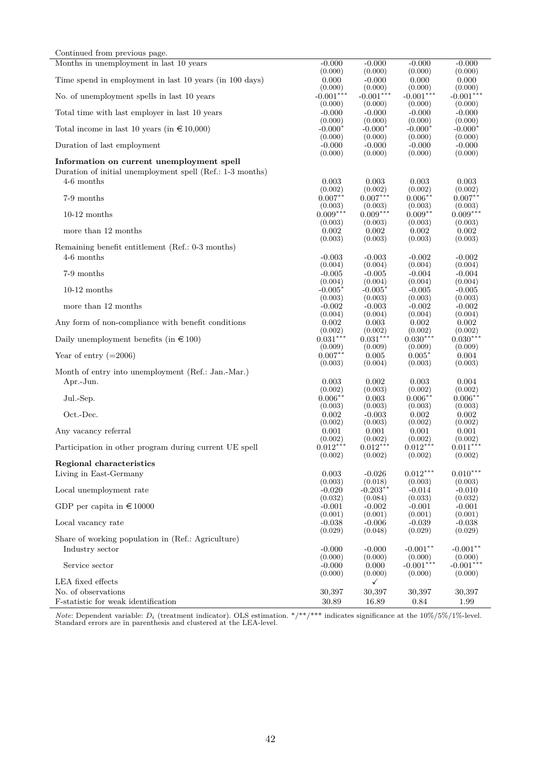| Continued from previous page.                                                                          |                       |                            |                        |                       |
|--------------------------------------------------------------------------------------------------------|-----------------------|----------------------------|------------------------|-----------------------|
| Months in unemployment in last 10 years                                                                | $-0.000$              | $-0.000$                   | $-0.000$               | $-0.000$              |
|                                                                                                        | (0.000)               | (0.000)                    | (0.000)                | (0.000)               |
| Time spend in employment in last 10 years (in 100 days)                                                | 0.000<br>(0.000)      | $-0.000$                   | 0.000<br>(0.000)       | 0.000<br>(0.000)      |
| No. of unemployment spells in last 10 years                                                            | $-0.001***$           | (0.000)<br>$-0.001***$     | $-0.001***$            | $-0.001***$           |
|                                                                                                        | (0.000)               | (0.000)                    | (0.000)                | (0.000)               |
| Total time with last employer in last 10 years                                                         | $-0.000$              | $-0.000$                   | $-0.000$               | $-0.000$              |
| Total income in last 10 years (in $\text{\textsterling} 10,000$ )                                      | (0.000)<br>$-0.000*$  | (0.000)<br>$-0.000*$       | (0.000)<br>$-0.000*$   | (0.000)<br>$-0.000*$  |
|                                                                                                        | (0.000)               | (0.000)                    | (0.000)                | (0.000)               |
| Duration of last employment                                                                            | $-0.000$              | $-0.000$                   | $-0.000$               | $-0.000$              |
| Information on current unemployment spell<br>Duration of initial unemployment spell (Ref.: 1-3 months) | (0.000)               | (0.000)                    | (0.000)                | (0.000)               |
| 4-6 months                                                                                             | 0.003                 | 0.003                      | 0.003                  | 0.003                 |
| 7-9 months                                                                                             | (0.002)<br>$0.007**$  | (0.002)<br>$0.007***$      | (0.002)<br>$0.006***$  | (0.002)<br>$0.007**$  |
|                                                                                                        | (0.003)               | (0.003)                    | (0.003)                | (0.003)               |
| $10-12$ months                                                                                         | $0.009***$            | $0.009***$                 | $0.009**$              | $0.009***$            |
| more than $12$ months                                                                                  | (0.003)<br>0.002      | (0.003)<br>0.002           | (0.003)<br>0.002       | (0.003)<br>0.002      |
|                                                                                                        | (0.003)               | (0.003)                    | (0.003)                | (0.003)               |
| Remaining benefit entitlement (Ref.: 0-3 months)                                                       |                       |                            |                        |                       |
| 4-6 months                                                                                             | $-0.003$              | $-0.003$                   | $-0.002$               | $-0.002$              |
| 7-9 months                                                                                             | (0.004)<br>$-0.005$   | (0.004)<br>$-0.005$        | (0.004)<br>$-0.004$    | (0.004)<br>$-0.004$   |
|                                                                                                        | (0.004)               | (0.004)                    | (0.004)                | (0.004)               |
| $10-12$ months                                                                                         | $-0.005*$             | $-0.005*$                  | $-0.005$               | $-0.005$              |
| more than 12 months                                                                                    | (0.003)<br>$-0.002$   | (0.003)<br>$-0.003$        | (0.003)<br>$-0.002$    | (0.003)<br>$-0.002$   |
|                                                                                                        | (0.004)               | (0.004)                    | (0.004)                | (0.004)               |
| Any form of non-compliance with benefit conditions                                                     | 0.002                 | 0.003                      | 0.002                  | 0.002                 |
| Daily unemployment benefits (in $\text{\large\ensuremath{\in}} 100$ )                                  | (0.002)<br>$0.031***$ | (0.002)<br>$0.031***$      | (0.002)<br>$0.030***$  | (0.002)<br>$0.030***$ |
|                                                                                                        | (0.009)               | (0.009)                    | (0.009)                | (0.009)               |
| Year of entry $(=2006)$                                                                                | $0.007**$             | 0.005                      | $0.005*$               | 0.004                 |
| Month of entry into unemployment (Ref.: Jan.-Mar.)                                                     | (0.003)               | (0.004)                    | (0.003)                | (0.003)               |
| Apr.-Jun.                                                                                              | 0.003                 | 0.002                      | 0.003                  | 0.004                 |
|                                                                                                        | (0.002)               | (0.003)                    | (0.002)                | (0.002)               |
| Jul.-Sep.                                                                                              | $0.006***$<br>(0.003) | 0.003<br>(0.003)           | $0.006***$<br>(0.003)  | $0.006***$<br>(0.003) |
| Oct.-Dec.                                                                                              | 0.002                 | $-0.003$                   | 0.002                  | 0.002                 |
|                                                                                                        | (0.002)               | (0.003)                    | (0.002)                | (0.002)               |
| Any vacancy referral                                                                                   | 0.001                 | 0.001                      | 0.001                  | 0.001                 |
| Participation in other program during current UE spell                                                 | (0.002)<br>$0.012*$   | (0.002)<br>$0.012^{\circ}$ | (0.002)<br>$0.012^{r}$ | (0.002)<br>0.011      |
|                                                                                                        | (0.002)               | (0.002)                    | (0.002)                | (0.002)               |
| Regional characteristics                                                                               |                       |                            |                        |                       |
| Living in East-Germany                                                                                 | 0.003<br>(0.003)      | $-0.026$<br>(0.018)        | $0.012***$<br>(0.003)  | $0.010***$<br>(0.003) |
| Local unemployment rate                                                                                | $-0.020$              | $-0.203**$                 | $-0.014$               | $-0.010$              |
|                                                                                                        | (0.032)               | (0.084)                    | (0.033)                | (0.032)               |
| GDP per capita in $\in$ 10000                                                                          | $-0.001$              | $-0.002$                   | $-0.001$               | $-0.001$              |
| Local vacancy rate                                                                                     | (0.001)<br>$-0.038$   | (0.001)<br>$-0.006$        | (0.001)<br>$-0.039$    | (0.001)<br>$-0.038$   |
|                                                                                                        | (0.029)               | (0.048)                    | (0.029)                | (0.029)               |
| Share of working population in (Ref.: Agriculture)                                                     |                       |                            |                        |                       |
| Industry sector                                                                                        | $-0.000$<br>(0.000)   | $-0.000$<br>(0.000)        | $-0.001**$<br>(0.000)  | $-0.001**$<br>(0.000) |
| Service sector                                                                                         | $-0.000$              | 0.000                      | $-0.001***$            | $-0.001***$           |
|                                                                                                        | (0.000)               | (0.000)                    | (0.000)                | (0.000)               |
| LEA fixed effects                                                                                      |                       | $\checkmark$               |                        |                       |
| No. of observations<br>F-statistic for weak identification                                             | 30,397<br>30.89       | 30,397<br>16.89            | 30,397<br>0.84         | 30,397<br>1.99        |
|                                                                                                        |                       |                            |                        |                       |

*Note*: Dependent variable:  $D_i$  (treatment indicator). OLS estimation.  $*/**$  *i*<sup>\*\*</sup>/\*\*\* indicates significance at the 10%/5%/1%-level.<br>Standard errors are in parenthesis and clustered at the LEA-level.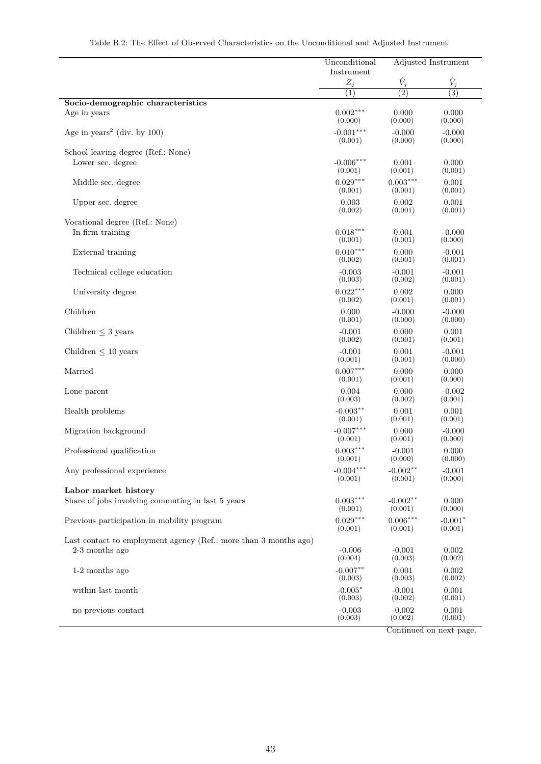|                                                                  | Unconditional<br>Adjusted Instrument |                  |                  |
|------------------------------------------------------------------|--------------------------------------|------------------|------------------|
|                                                                  | Instrument                           |                  |                  |
|                                                                  | $Z_j$                                | $\hat{V}_j$      | $\hat{V}_j$      |
|                                                                  | $\overline{(1)}$                     | $\overline{(2)}$ | $\overline{(3)}$ |
| Socio-demographic characteristics                                |                                      |                  |                  |
| Age in years                                                     | $0.002***$                           | 0.000            | 0.000            |
|                                                                  | (0.000)                              | (0.000)          | (0.000)          |
| Age in years <sup>2</sup> (div. by 100)                          | $-0.001***$                          | $-0.000$         | $-0.000$         |
|                                                                  | (0.001)                              | (0.000)          | (0.000)          |
| School leaving degree (Ref.: None)                               |                                      |                  |                  |
| Lower sec. degree                                                | $-0.006***$                          | 0.001            | 0.000            |
|                                                                  | (0.001)                              | (0.001)          | (0.001)          |
| Middle sec. degree                                               | $0.029***$                           | $0.003***$       | 0.001            |
|                                                                  | (0.001)                              | (0.001)          | (0.001)          |
| Upper sec. degree                                                | 0.003                                | 0.002            | 0.001            |
|                                                                  | (0.002)                              | (0.001)          | (0.001)          |
| Vocational degree (Ref.: None)                                   |                                      |                  |                  |
| In-firm training                                                 | $0.018***$                           | 0.001            | $-0.000$         |
|                                                                  | (0.001)                              | (0.001)          | (0.000)          |
| External training                                                | $0.010***$                           | 0.000            | $-0.001$         |
|                                                                  | (0.002)                              | (0.001)          | (0.001)          |
| Technical college education                                      | $-0.003$                             | $-0.001$         | $-0.001$         |
|                                                                  | (0.003)                              | (0.002)          | (0.001)          |
| University degree                                                | $0.022***$                           | 0.002            | 0.000            |
|                                                                  | (0.002)                              | (0.001)          | (0.001)          |
| Children                                                         | 0.000                                | $-0.000$         | $-0.000$         |
|                                                                  | (0.001)                              | (0.000)          | (0.000)          |
| Children $\leq$ 3 years                                          | $-0.001$                             | 0.000            | 0.001            |
|                                                                  | (0.002)                              | (0.001)          | (0.001)          |
| Children $\leq 10$ years                                         | $-0.001$                             | 0.001            | $-0.001$         |
|                                                                  | (0.001)                              | (0.001)          | (0.000)          |
| Married                                                          | $0.007***$                           | 0.000            | 0.000            |
|                                                                  | (0.001)                              | (0.001)          | (0.000)          |
| Lone parent                                                      | 0.004                                | 0.000            | $-0.002$         |
|                                                                  | (0.003)                              | (0.002)          | (0.001)          |
| Health problems                                                  | $-0.003**$                           | 0.001            | 0.001            |
|                                                                  | (0.001)                              | (0.001)          | (0.001)          |
| Migration background                                             | $-0.007***$                          | 0.000            | $-0.000$         |
|                                                                  | (0.001)                              | (0.001)          | (0.000)          |
| Professional qualification                                       | $0.003***$                           | $-0.001$         | 0.000            |
|                                                                  | (0.001)                              | (0.000)          | (0.000)          |
| Any professional experience                                      | $-0.004***$                          | $-0.002**$       | $-0.001$         |
|                                                                  | (0.001)                              | (0.001)          | (0.000)          |
| Labor market history                                             |                                      |                  |                  |
| Share of jobs involving commuting in last 5 years                | $0.003***$                           | $-0.002**$       | 0.000            |
|                                                                  | (0.001)                              | (0.001)          | (0.000)          |
| Previous participation in mobility program                       | $0.029***$                           | $0.006***$       | $-0.001*$        |
|                                                                  | (0.001)                              | (0.001)          | (0.001)          |
| Last contact to employment agency (Ref.: more than 3 months ago) |                                      |                  |                  |
| 2-3 months ago                                                   | $-0.006$                             | $-0.001$         | 0.002            |
|                                                                  | (0.004)                              | (0.003)          | (0.002)          |
| 1-2 months ago                                                   | $-0.007**$                           | 0.001            | 0.002            |
|                                                                  | (0.003)                              | (0.003)          | (0.002)          |
| within last month                                                | $-0.005*$                            | $-0.001$         | 0.001            |
|                                                                  | (0.003)                              | (0.002)          | (0.001)          |
| no previous contact                                              | $-0.003$                             | $-0.002$         | 0.001            |
|                                                                  | (0.003)                              | (0.002)          | (0.001)          |

### Table B.2: The Effect of Observed Characteristics on the Unconditional and Adjusted Instrument

Continued on next page.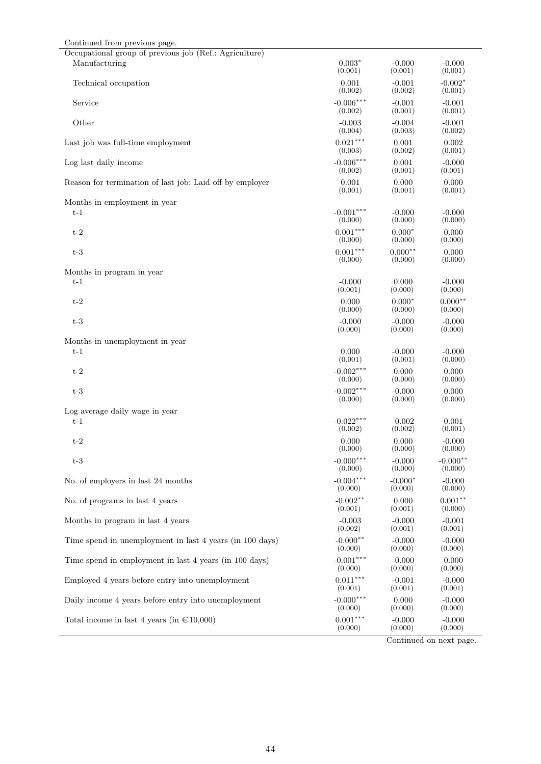| Continued from previous page.                            |             |           |            |
|----------------------------------------------------------|-------------|-----------|------------|
| Occupational group of previous job (Ref.: Agriculture)   |             |           |            |
| Manufacturing                                            | $0.003*$    | $-0.000$  | $-0.000$   |
|                                                          | (0.001)     | (0.001)   | (0.001)    |
| Technical occupation                                     | 0.001       | $-0.001$  | $-0.002*$  |
|                                                          | (0.002)     | (0.002)   | (0.001)    |
| Service                                                  | $-0.006***$ | $-0.001$  | $-0.001$   |
|                                                          | (0.002)     | (0.001)   | (0.001)    |
| Other                                                    | $-0.003$    | $-0.004$  | $-0.001$   |
|                                                          | (0.004)     | (0.003)   | (0.002)    |
| Last job was full-time employment                        | $0.021***$  | 0.001     | 0.002      |
|                                                          | (0.003)     | (0.002)   | (0.001)    |
| Log last daily income                                    | $-0.006***$ | 0.001     | $-0.000$   |
|                                                          | (0.002)     | (0.001)   | (0.001)    |
| Reason for termination of last job: Laid off by employer | 0.001       | 0.000     | 0.000      |
|                                                          | (0.001)     | (0.001)   | (0.001)    |
| Months in employment in year                             |             |           |            |
| $t-1$                                                    | $-0.001***$ | $-0.000$  | $-0.000$   |
|                                                          | (0.000)     | (0.000)   | (0.000)    |
| $t-2$                                                    | $0.001***$  | $0.000*$  | 0.000      |
|                                                          | (0.000)     | (0.000)   | (0.000)    |
| $\ensuremath{\mathrm{t-}3}$                              | $0.001***$  | $0.000**$ | 0.000      |
|                                                          | (0.000)     | (0.000)   | (0.000)    |
| Months in program in year                                |             |           |            |
| $t-1$                                                    | $-0.000$    | 0.000     | $-0.000$   |
|                                                          | (0.001)     | (0.000)   | (0.000)    |
| $t-2$                                                    | 0.000       | $0.000*$  | $0.000**$  |
|                                                          | (0.000)     | (0.000)   | (0.000)    |
| $\ensuremath{\mathrm{t-}3}$                              | $-0.000$    | $-0.000$  | $-0.000$   |
|                                                          | (0.000)     | (0.000)   | (0.000)    |
| Months in unemployment in year                           |             |           |            |
| $t-1$                                                    | 0.000       | $-0.000$  | $-0.000$   |
|                                                          | (0.001)     | (0.001)   | (0.000)    |
| $t-2$                                                    | $-0.002***$ | 0.000     | 0.000      |
|                                                          | (0.000)     | (0.000)   | (0.000)    |
| $t-3$                                                    | $-0.002***$ | $-0.000$  | 0.000      |
|                                                          | (0.000)     | (0.000)   | (0.000)    |
| Log average daily wage in year                           |             |           |            |
| $t-1$                                                    | $-0.022***$ | $-0.002$  | 0.001      |
|                                                          | (0.002)     | (0.002)   | (0.001)    |
| $t-2$                                                    | 0.000       | 0.000     | $-0.000$   |
|                                                          | (0.000)     | (0.000)   | (0.000)    |
| $t-3$                                                    | $-0.000***$ | $-0.000$  | $-0.000**$ |
|                                                          | (0.000)     | (0.000)   | (0.000)    |
| No. of employers in last 24 months                       | $-0.004***$ | $-0.000*$ | $-0.000$   |
|                                                          | (0.000)     | (0.000)   | (0.000)    |
| No. of programs in last 4 years                          | $-0.002**$  | 0.000     | $0.001**$  |
|                                                          | (0.001)     | (0.001)   | (0.000)    |
| Months in program in last 4 years                        | $-0.003$    | $-0.000$  | $-0.001$   |
|                                                          | (0.002)     | (0.001)   | (0.001)    |
| Time spend in unemployment in last 4 years (in 100 days) | $-0.000**$  | $-0.000$  | $-0.000$   |
|                                                          | (0.000)     | (0.000)   | (0.000)    |
| Time spend in employment in last 4 years (in 100 days)   | $-0.001***$ | $-0.000$  | 0.000      |
|                                                          | (0.000)     | (0.000)   | (0.000)    |
| Employed 4 years before entry into unemployment          | $0.011***$  | $-0.001$  | $-0.000$   |
|                                                          | (0.001)     | (0.001)   | (0.001)    |
| Daily income 4 years before entry into unemployment      | $-0.000***$ | 0.000     | $-0.000$   |
|                                                          | (0.000)     | (0.000)   | (0.000)    |
| Total income in last 4 years (in $\in$ 10,000)           | $0.001***$  | $-0.000$  | $-0.000$   |
|                                                          | (0.000)     | (0.000)   | (0.000)    |

Continued on next page.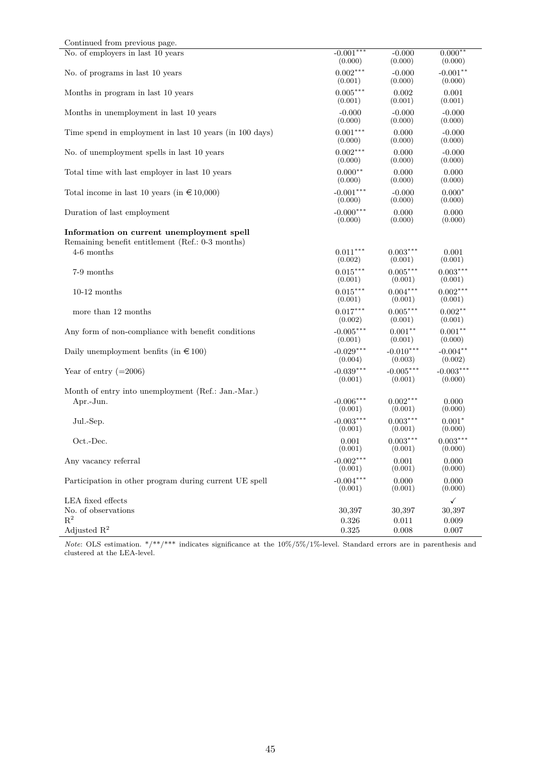| Continued from previous page.                                                                 |             |             |              |
|-----------------------------------------------------------------------------------------------|-------------|-------------|--------------|
| No. of employers in last 10 years                                                             | $-0.001***$ | $-0.000$    | $0.000**$    |
|                                                                                               | (0.000)     | (0.000)     | (0.000)      |
| No. of programs in last 10 years                                                              | $0.002***$  | $-0.000$    | $-0.001**$   |
|                                                                                               | (0.001)     | (0.000)     | (0.000)      |
| Months in program in last 10 years                                                            | $0.005***$  | 0.002       | 0.001        |
|                                                                                               | (0.001)     | (0.001)     | (0.001)      |
| Months in unemployment in last 10 years                                                       | $-0.000$    | $-0.000$    | $-0.000$     |
|                                                                                               | (0.000)     | (0.000)     | (0.000)      |
| Time spend in employment in last 10 years (in 100 days)                                       | $0.001***$  | 0.000       | $-0.000$     |
|                                                                                               | (0.000)     | (0.000)     | (0.000)      |
| No. of unemployment spells in last 10 years                                                   | $0.002***$  | 0.000       | $-0.000$     |
|                                                                                               | (0.000)     | (0.000)     | (0.000)      |
| Total time with last employer in last 10 years                                                | $0.000**$   | 0.000       | 0.000        |
|                                                                                               | (0.000)     | (0.000)     | (0.000)      |
| Total income in last 10 years (in $\text{\textsterling} 10,000$ )                             | $-0.001***$ | $-0.000$    | $0.000*$     |
|                                                                                               | (0.000)     | (0.000)     | (0.000)      |
| Duration of last employment                                                                   | $-0.000***$ | 0.000       | 0.000        |
|                                                                                               | (0.000)     | (0.000)     | (0.000)      |
| Information on current unemployment spell<br>Remaining benefit entitlement (Ref.: 0-3 months) |             |             |              |
| $4-6$ months                                                                                  | $0.011***$  | $0.003***$  | 0.001        |
|                                                                                               | (0.002)     | (0.001)     | (0.001)      |
| 7-9 months                                                                                    | $0.015***$  | $0.005***$  | $0.003***$   |
|                                                                                               | (0.001)     | (0.001)     | (0.001)      |
| $10-12$ months                                                                                | $0.015***$  | $0.004***$  | $0.002***$   |
|                                                                                               | (0.001)     | (0.001)     | (0.001)      |
| more than 12 months                                                                           | $0.017***$  | $0.005***$  | $0.002**$    |
|                                                                                               | (0.002)     | (0.001)     | (0.001)      |
| Any form of non-compliance with benefit conditions                                            | $-0.005***$ | $0.001**$   | $0.001**$    |
|                                                                                               | (0.001)     | (0.001)     | (0.000)      |
| Daily unemployment benfits (in $\in$ 100)                                                     | $-0.029***$ | $-0.010***$ | $-0.004**$   |
|                                                                                               | (0.004)     | (0.003)     | (0.002)      |
| Year of entry $(=2006)$                                                                       | $-0.039***$ | $-0.005***$ | $-0.003***$  |
|                                                                                               | (0.001)     | (0.001)     | (0.000)      |
| Month of entry into unemployment (Ref.: Jan.-Mar.)                                            |             |             |              |
| Apr.-Jun.                                                                                     | $-0.006***$ | $0.002***$  | 0.000        |
|                                                                                               | (0.001)     | (0.001)     | (0.000)      |
| Jul.-Sep.                                                                                     | $-0.003***$ | $0.003***$  | $0.001*$     |
|                                                                                               | (0.001)     | (0.001)     | (0.000)      |
| Oct.-Dec.                                                                                     | 0.001       | $0.003***$  | $0.003***$   |
|                                                                                               | (0.001)     | (0.001)     | (0.000)      |
| Any vacancy referral                                                                          | $-0.002***$ | 0.001       | 0.000        |
|                                                                                               | (0.001)     | (0.001)     | (0.000)      |
| Participation in other program during current UE spell                                        | $-0.004***$ | 0.000       | 0.000        |
|                                                                                               | (0.001)     | (0.001)     | (0.000)      |
| LEA fixed effects                                                                             |             |             | $\checkmark$ |
| No. of observations                                                                           | 30,397      | 30,397      | 30,397       |
| $R^2$                                                                                         | 0.326       | 0.011       | 0.009        |
| Adjusted $R^2$                                                                                | 0.325       | 0.008       | 0.007        |

*Note*: OLS estimation. \*/\*\*/\*\*\* indicates significance at the 10%/5%/1%-level. Standard errors are in parenthesis and clustered at the LEA-level.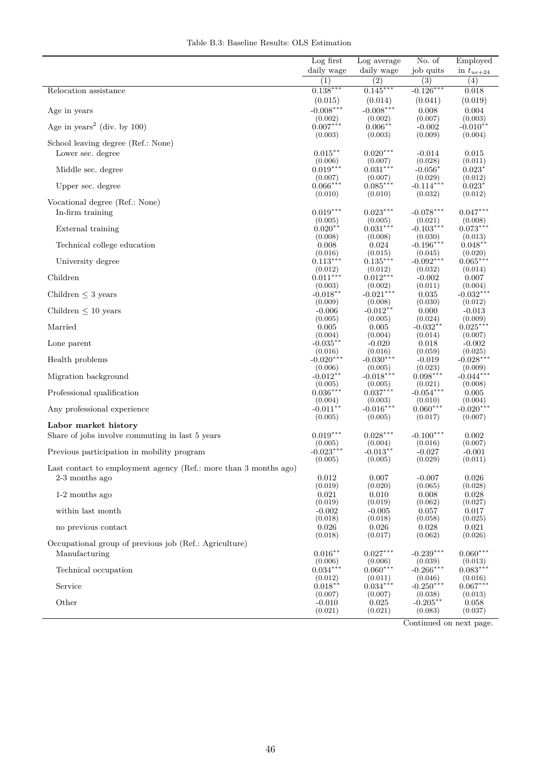| Table B.3: Baseline Results: OLS Estimation |
|---------------------------------------------|
|---------------------------------------------|

|                                                                  | Log first              | Log average            | No. of                 | Employed               |
|------------------------------------------------------------------|------------------------|------------------------|------------------------|------------------------|
|                                                                  | daily wage             | daily wage             | job quits              | in $t_{ue+24}$         |
|                                                                  | (1)                    | (2)                    | $\overline{(3)}$       | $\overline{(4)}$       |
| Relocation assistance                                            | $0.138***$             | $0.145***$             | $-0.126***$            | 0.018                  |
|                                                                  | (0.015)                | (0.014)                | (0.041)                | (0.019)                |
| Age in years                                                     | $-0.008***$            | $-0.008***$            | 0.008                  | 0.004                  |
|                                                                  | (0.002)                | (0.002)                | (0.007)                | (0.003)                |
| Age in years <sup>2</sup> (div. by 100)                          | $0.007***$             | $0.006**$              | $-0.002$               | $-0.010**$             |
| School leaving degree (Ref.: None)                               | (0.003)                | (0.003)                | (0.009)                | (0.004)                |
| Lower sec. degree                                                | $0.015***$             | $0.020***$             | $-0.014$               | 0.015                  |
|                                                                  | (0.006)                | (0.007)                | (0.028)                | (0.011)                |
| Middle sec. degree                                               | $0.019***$             | $0.031***$             | $-0.056*$              | $0.023*$               |
|                                                                  | (0.007)                | (0.007)                | (0.029)                | (0.012)                |
| Upper sec. degree                                                | $0.066***$             | $0.085***$             | $-0.114***$            | $0.023*$               |
|                                                                  | (0.010)                | (0.010)                | (0.032)                | (0.012)                |
| Vocational degree (Ref.: None)                                   |                        |                        |                        |                        |
| In-firm training                                                 | $0.019***$<br>(0.005)  | $0.023***$<br>(0.005)  | $-0.078***$<br>(0.021) | $0.047***$<br>(0.008)  |
| External training                                                | $0.020**$              | $0.031***$             | $-0.103***$            | $0.073***$             |
|                                                                  | (0.008)                | (0.008)                | (0.030)                | (0.013)                |
| Technical college education                                      | 0.008                  | 0.024                  | $-0.196***$            | $0.048***$             |
|                                                                  | (0.016)                | (0.015)                | (0.045)                | (0.020)                |
| University degree                                                | $0.113***$             | $0.135***$             | $-0.092***$            | $0.065***$             |
|                                                                  | (0.012)                | (0.012)                | (0.032)                | (0.014)                |
| Children                                                         | $0.011***$             | $0.012***$             | $-0.002$               | 0.007                  |
|                                                                  | (0.003)<br>$-0.018***$ | (0.002)<br>$-0.021***$ | (0.011)<br>0.035       | (0.004)<br>$-0.032***$ |
| Children $\leq$ 3 years                                          | (0.009)                | (0.008)                | (0.030)                | (0.012)                |
| Children $\leq 10$ years                                         | $-0.006$               | $-0.012**$             | 0.000                  | $-0.013$               |
|                                                                  | (0.005)                | (0.005)                | (0.024)                | (0.009)                |
| Married                                                          | 0.005                  | 0.005                  | $-0.032**$             | $0.025***$             |
|                                                                  | (0.004)                | (0.004)                | (0.014)                | (0.007)                |
| Lone parent                                                      | $-0.035***$            | $-0.020$               | 0.018                  | $-0.002$               |
|                                                                  | (0.016)<br>$-0.020***$ | (0.016)<br>$-0.030***$ | (0.059)<br>$-0.019$    | (0.025)                |
| Health problems                                                  | (0.006)                | (0.005)                | (0.023)                | $-0.028***$<br>(0.009) |
| Migration background                                             | $-0.012**$             | $-0.018***$            | $0.098***$             | $-0.044***$            |
|                                                                  | (0.005)                | (0.005)                | (0.021)                | (0.008)                |
| Professional qualification                                       | $0.036***$             | $0.037***$             | $-0.054***$            | 0.005                  |
|                                                                  | (0.004)                | (0.003)                | (0.010)                | (0.004)                |
| Any professional experience                                      | $-0.011**$             | $-0.016***$            | $0.060***$             | $-0.020***$            |
|                                                                  | (0.005)                | (0.005)                | (0.017)                | (0.007)                |
| Labor market history                                             | $0.019***$             | $0.028***$             | $-0.100***$            | 0.002                  |
| Share of jobs involve commuting in last 5 years                  | (0.005)                | (0.004)                | (0.016)                | (0.007)                |
| Previous participation in mobility program                       | $-0.023***$            | $-0.013**$             | $-0.027$               | $-0.001$               |
|                                                                  | (0.005)                | (0.005)                | (0.029)                | (0.011)                |
| Last contact to employment agency (Ref.: more than 3 months ago) |                        |                        |                        |                        |
| 2-3 months ago                                                   | 0.012                  | 0.007                  | $-0.007$               | 0.026                  |
|                                                                  | (0.019)                | (0.020)                | (0.065)                | (0.028)                |
| 1-2 months ago                                                   | 0.021                  | 0.010                  | 0.008                  | 0.028                  |
| within last month                                                | (0.019)<br>$-0.002$    | (0.019)<br>$-0.005$    | (0.062)<br>0.057       | (0.027)<br>0.017       |
|                                                                  | (0.018)                | (0.018)                | (0.058)                | (0.025)                |
| no previous contact                                              | 0.026                  | 0.026                  | 0.028                  | 0.021                  |
|                                                                  | (0.018)                | (0.017)                | (0.062)                | (0.026)                |
| Occupational group of previous job (Ref.: Agriculture)           |                        |                        |                        |                        |
| Manufacturing                                                    | $0.016***$             | $0.027***$             | $-0.239***$            | $0.060***$             |
|                                                                  | (0.006)                | (0.006)                | (0.039)                | (0.013)                |
| Technical occupation                                             | $0.034***$             | $0.060***$             | $-0.266***$            | $0.083***$             |
|                                                                  | (0.012)                | (0.011)<br>$0.034***$  | (0.046)                | (0.016)<br>$0.067***$  |
| Service                                                          | $0.018***$<br>(0.007)  | (0.007)                | $-0.250***$<br>(0.038) | (0.013)                |
| Other                                                            | $-0.010$               | 0.025                  | $-0.205***$            | 0.058                  |
|                                                                  | (0.021)                | (0.021)                | (0.083)                | (0.037)                |

Continued on next page.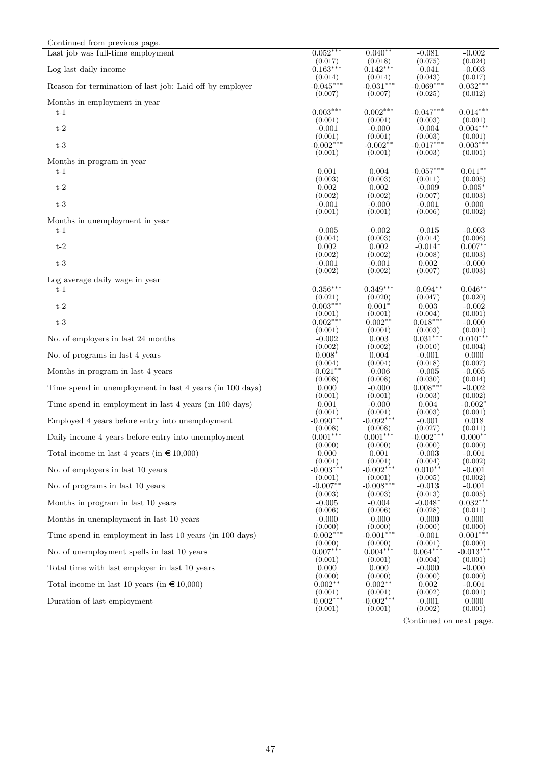| Continued from previous page.                                   |                        |                        |                        |                        |
|-----------------------------------------------------------------|------------------------|------------------------|------------------------|------------------------|
| Last job was full-time employment                               | $0.052***$             | $0.040**$              | $-0.081$               | $-0.002$               |
| Log last daily income                                           | (0.017)<br>$0.163***$  | (0.018)<br>$0.142***$  | (0.075)<br>$-0.041$    | (0.024)<br>$-0.003$    |
|                                                                 | (0.014)                | (0.014)                | (0.043)                | (0.017)                |
| Reason for termination of last job: Laid off by employer        | $-0.045***$<br>(0.007) | $-0.031***$<br>(0.007) | $-0.069***$<br>(0.025) | $0.032***$<br>(0.012)  |
| Months in employment in year                                    |                        |                        |                        |                        |
| $t-1$                                                           | $0.003***$             | $0.002***$             | $-0.047***$            | $0.014***$             |
| $t-2$                                                           | (0.001)<br>$-0.001$    | (0.001)<br>$-0.000$    | (0.003)<br>$-0.004$    | (0.001)<br>$0.004***$  |
|                                                                 | (0.001)                | (0.001)                | (0.003)                | (0.001)                |
| $t-3$                                                           | $-0.002***$<br>(0.001) | $-0.002**$<br>(0.001)  | $-0.017***$<br>(0.003) | $0.003***$<br>(0.001)  |
| Months in program in year                                       |                        |                        |                        |                        |
| $t-1$                                                           | 0.001                  | 0.004                  | $-0.057***$            | $0.011**$              |
|                                                                 | (0.003)                | (0.003)                | (0.011)                | (0.005)<br>$0.005*$    |
| $t-2$                                                           | 0.002<br>(0.002)       | 0.002<br>(0.002)       | $-0.009$<br>(0.007)    | (0.003)                |
| $t-3$                                                           | $-0.001$               | $-0.000$               | $-0.001$               | 0.000                  |
| Months in unemployment in year                                  | (0.001)                | (0.001)                | (0.006)                | (0.002)                |
| $t-1$                                                           | $-0.005$               | $-0.002$               | $-0.015$               | $-0.003$               |
|                                                                 | (0.004)                | (0.003)                | (0.014)                | (0.006)                |
| $t-2$                                                           | 0.002                  | 0.002                  | $-0.014*$              | $0.007**$              |
| $t-3$                                                           | (0.002)<br>$-0.001$    | (0.002)<br>$-0.001$    | (0.008)<br>0.002       | (0.003)<br>$-0.000$    |
|                                                                 | (0.002)                | (0.002)                | (0.007)                | (0.003)                |
| Log average daily wage in year                                  |                        |                        |                        |                        |
| $t-1$                                                           | $0.356***$<br>(0.021)  | $0.349***$<br>(0.020)  | $-0.094**$<br>(0.047)  | $0.046**$<br>(0.020)   |
| $t-2$                                                           | $0.003***$             | $0.001*$               | 0.003                  | $-0.002$               |
|                                                                 | (0.001)                | (0.001)                | (0.004)                | (0.001)                |
| $t-3$                                                           | $0.002***$<br>(0.001)  | $0.002***$<br>(0.001)  | $0.018***$<br>(0.003)  | $-0.000$<br>(0.001)    |
| No. of employers in last 24 months                              | $-0.002$               | 0.003                  | $0.031***$             | $0.010***$             |
|                                                                 | (0.002)<br>$0.008*$    | (0.002)<br>0.004       | (0.010)<br>$-0.001$    | (0.004)<br>0.000       |
| No. of programs in last 4 years                                 | (0.004)                | (0.004)                | (0.018)                | (0.007)                |
| Months in program in last 4 years                               | $-0.021**$             | $-0.006$               | $-0.005$               | $-0.005$               |
| Time spend in unemployment in last 4 years (in 100 days)        | (0.008)<br>0.000       | (0.008)<br>$-0.000$    | (0.030)<br>$0.008***$  | (0.014)<br>$-0.002$    |
|                                                                 | (0.001)                | (0.001)                | (0.003)                | (0.002)                |
| Time spend in employment in last 4 years (in 100 days)          | 0.001                  | $-0.000$               | 0.004                  | $-0.002*$              |
| Employed 4 years before entry into unemployment                 | (0.001)<br>$-0.090***$ | (0.001)<br>$-0.092***$ | (0.003)<br>$-0.001$    | (0.001)<br>0.018       |
|                                                                 | (0.008)                | (0.008)                | (0.027)                | (0.011)                |
| Daily income 4 years before entry into unemployment             | $0.001***$<br>(0.000)  | $0.001***$<br>(0.000)  | $-0.002$<br>(0.000)    | $0.000**$<br>(0.000)   |
| Total income in last 4 years (in $\text{\textsterling}10,000$ ) | 0.000                  | 0.001                  | $-0.003$               | $-0.001$               |
|                                                                 | (0.001)                | (0.001)                | (0.004)                | (0.002)                |
| No. of employers in last 10 years                               | $-0.003***$<br>(0.001) | $-0.002***$<br>(0.001) | $0.010**$<br>(0.005)   | $-0.001$<br>(0.002)    |
| No. of programs in last 10 years                                | $-0.007**$             | $-0.008***$            | $-0.013$               | $-0.001$               |
| Months in program in last 10 years                              | (0.003)<br>$-0.005$    | (0.003)<br>$-0.004$    | (0.013)<br>$-0.048*$   | (0.005)<br>$0.032***$  |
|                                                                 | (0.006)                | (0.006)                | (0.028)                | (0.011)                |
| Months in unemployment in last 10 years                         | $-0.000$<br>(0.000)    | $-0.000$<br>(0.000)    | $-0.000$<br>(0.000)    | 0.000                  |
| Time spend in employment in last 10 years (in 100 days)         | $-0.002***$            | $-0.001***$            | $-0.001$               | (0.000)<br>$0.001***$  |
|                                                                 | (0.000)                | (0.000)                | (0.001)                | (0.000)                |
| No. of unemployment spells in last 10 years                     | $0.007***$<br>(0.001)  | $0.004***$<br>(0.001)  | $0.064***$<br>(0.004)  | $-0.013***$<br>(0.001) |
| Total time with last employer in last 10 years                  | 0.000                  | 0.000                  | $-0.000$               | $-0.000$               |
|                                                                 | (0.000)                | (0.000)                | (0.000)                | (0.000)                |
| Total income in last 10 years (in $\in$ 10,000)                 | $0.002**$<br>(0.001)   | $0.002**$<br>(0.001)   | 0.002<br>(0.002)       | $-0.001$<br>(0.001)    |
| Duration of last employment                                     | $-0.002***$            | $-0.002***$            | $-0.001$               | 0.000                  |
|                                                                 | (0.001)                | (0.001)                | (0.002)                | (0.001)                |

Continued on next page.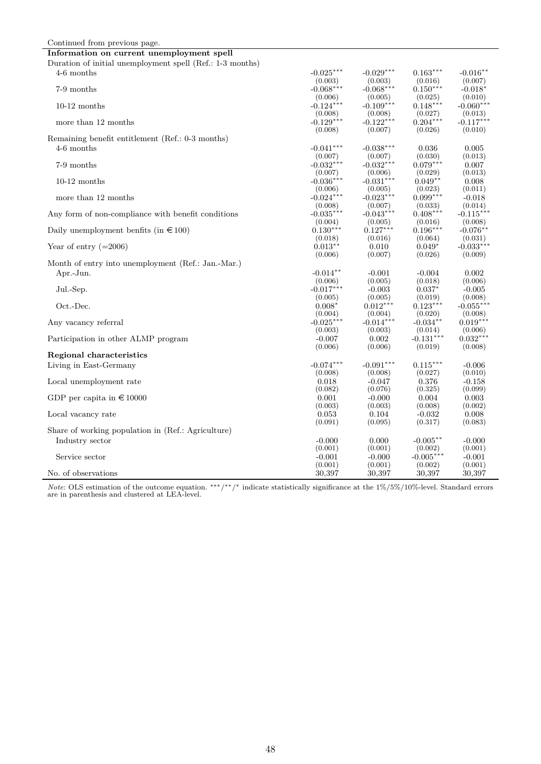| Continued from previous page.                                        |             |             |                      |                          |
|----------------------------------------------------------------------|-------------|-------------|----------------------|--------------------------|
| Information on current unemployment spell                            |             |             |                      |                          |
| Duration of initial unemployment spell (Ref.: 1-3 months)            |             |             |                      |                          |
| 4-6 months                                                           | $-0.025***$ | $-0.029***$ | $0.163***$           | $-0.016***$              |
|                                                                      | (0.003)     | (0.003)     | (0.016)              | (0.007)                  |
| 7-9 months                                                           | $-0.068***$ | $-0.068***$ | $0.150***$           | $-0.018*$                |
|                                                                      | (0.006)     | (0.005)     | (0.025)              | (0.010)                  |
| $10-12$ months                                                       | $-0.124***$ | $-0.109***$ | $0.148***$           | - $0.060^{\ast\ast\ast}$ |
|                                                                      | (0.008)     | (0.008)     | (0.027)              | (0.013)                  |
| more than 12 months                                                  | $-0.129***$ | $-0.122***$ | $0.204***$           | $-0.117***$              |
|                                                                      | (0.008)     | (0.007)     | (0.026)              | (0.010)                  |
| Remaining benefit entitlement (Ref.: 0-3 months)                     |             |             |                      |                          |
| 4-6 months                                                           | $-0.041***$ | $-0.038***$ | 0.036                | 0.005                    |
|                                                                      | (0.007)     | (0.007)     | (0.030)              | (0.013)                  |
| 7-9 months                                                           | $-0.032***$ | $-0.032***$ | $0.079***$           | 0.007                    |
|                                                                      | (0.007)     | (0.006)     | (0.029)              | (0.013)                  |
| $10-12$ months                                                       | $-0.036***$ | $-0.031***$ | $0.049**$            | 0.008                    |
|                                                                      | (0.006)     | (0.005)     | (0.023)              | (0.011)                  |
| more than 12 months                                                  | $-0.024***$ | $-0.023***$ | $0.099***$           | $-0.018$                 |
|                                                                      | (0.008)     | (0.007)     | (0.033)              | (0.014)                  |
| Any form of non-compliance with benefit conditions                   | $-0.035***$ | $-0.043***$ | $0.408***$           | $-0.115***$              |
|                                                                      | (0.004)     | (0.005)     | (0.016)              | (0.008)                  |
| Daily unemployment benfits (in $\text{\large\ensuremath{\in}} 100$ ) | $0.130***$  | $0.127***$  | $0.196***$           | $-0.076*$                |
|                                                                      | (0.018)     | (0.016)     | (0.064)              | (0.031)                  |
| Year of entry $(=2006)$                                              | $0.013***$  | 0.010       | $0.049*$             | $-0.033***$              |
|                                                                      | (0.006)     | (0.007)     | (0.026)              | (0.009)                  |
| Month of entry into unemployment (Ref.: Jan.-Mar.)                   |             |             |                      |                          |
| Apr.-Jun.                                                            | $-0.014**$  | $-0.001$    | $-0.004$             | 0.002                    |
|                                                                      | (0.006)     | (0.005)     | (0.018)              | (0.006)                  |
| Jul.-Sep.                                                            | $-0.017***$ | $-0.003$    | $0.037*$             | $-0.005$                 |
|                                                                      | (0.005)     | (0.005)     | (0.019)              | (0.008)                  |
| Oct.-Dec.                                                            | $0.008*$    | $0.012***$  | $0.123***$           | $-0.055***$              |
|                                                                      | (0.004)     | (0.004)     | (0.020)              | (0.008)                  |
| Any vacancy referral                                                 | $-0.025***$ | $-0.014***$ | -0.034 $^{\ast\ast}$ | $0.019***$               |
|                                                                      | (0.003)     | (0.003)     | (0.014)              | (0.006)                  |
| Participation in other ALMP program                                  | $-0.007$    | 0.002       | $-0.131***$          | $0.032***$               |
|                                                                      | (0.006)     | (0.006)     | (0.019)              | (0.008)                  |
| Regional characteristics                                             |             |             |                      |                          |
| Living in East-Germany                                               | $-0.074***$ | $-0.091***$ | $0.115***$           | $-0.006$                 |
|                                                                      | (0.008)     | (0.008)     | (0.027)              | (0.010)                  |
| Local unemployment rate                                              | 0.018       | $-0.047$    | 0.376                | $-0.158$                 |
|                                                                      | (0.082)     | (0.076)     | (0.325)              | (0.099)                  |
| GDP per capita in $\in$ 10000                                        | 0.001       | $-0.000$    | 0.004                | 0.003                    |
|                                                                      | (0.003)     | (0.003)     | (0.008)              | (0.002)                  |
| Local vacancy rate                                                   | 0.053       | 0.104       | $-0.032$             | 0.008                    |
|                                                                      | (0.091)     | (0.095)     | (0.317)              | (0.083)                  |
| Share of working population in (Ref.: Agriculture)                   |             |             |                      |                          |
| Industry sector                                                      | $-0.000$    | 0.000       | $-0.005**$           | $-0.000$                 |
|                                                                      | (0.001)     | (0.001)     | (0.002)              | (0.001)                  |
| Service sector                                                       | $-0.001$    | $-0.000$    | $-0.005***$          | $-0.001$                 |
|                                                                      | (0.001)     | (0.001)     | (0.002)              | (0.001)                  |
| No. of observations                                                  | 30,397      | 30,397      | 30,397               | 30,397                   |

*Note*: OLS estimation of the outcome equation. \*\*\*/\*\*/\* indicate statistically significance at the 1%/5%/10%-level. Standard errors are in parenthesis and clustered at LEA-level.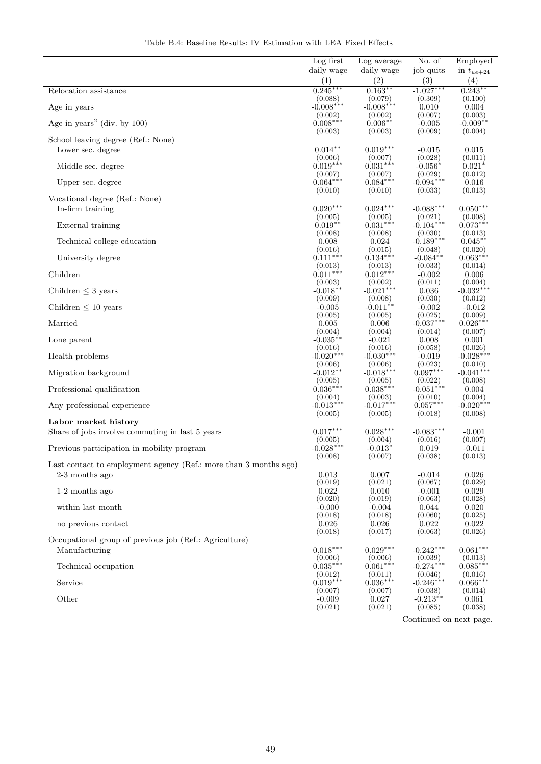| Table B.4: Baseline Results: IV Estimation with LEA Fixed Effects |  |  |  |  |
|-------------------------------------------------------------------|--|--|--|--|
|-------------------------------------------------------------------|--|--|--|--|

|                                                                  | $Log$ first            | Log average            | No. of                 | Employed               |
|------------------------------------------------------------------|------------------------|------------------------|------------------------|------------------------|
|                                                                  | daily wage             | daily wage             | job quits              | in $t_{ue+24}$         |
|                                                                  | (1)                    | $\overline{(2)}$       | $\overline{(3)}$       | $\overline{(4)}$       |
| Relocation assistance                                            | $0.245***$             | $0.163**$              | $-1.027***$            | $0.243**$              |
| Age in years                                                     | (0.088)<br>$-0.008***$ | (0.079)<br>$-0.008***$ | (0.309)<br>0.010       | (0.100)<br>0.004       |
|                                                                  | (0.002)                | (0.002)                | (0.007)                | (0.003)                |
| Age in years <sup>2</sup> (div. by 100)                          | $0.008***$             | $0.006***$             | $-0.005$               | $-0.009**$             |
| School leaving degree (Ref.: None)                               | (0.003)                | (0.003)                | (0.009)                | (0.004)                |
| Lower sec. degree                                                | $0.014***$             | $0.019***$             | $-0.015$               | 0.015                  |
|                                                                  | (0.006)                | (0.007)                | (0.028)                | (0.011)                |
| Middle sec. degree                                               | $0.019***$             | $0.031***$             | $-0.056*$              | $0.021^*$              |
|                                                                  | (0.007)                | (0.007)                | (0.029)                | (0.012)                |
| Upper sec. degree                                                | $0.064***$<br>(0.010)  | $0.084***$<br>(0.010)  | $-0.094***$<br>(0.033) | 0.016<br>(0.013)       |
| Vocational degree (Ref.: None)                                   |                        |                        |                        |                        |
| In-firm training                                                 | $0.020***$             | $0.024***$             | $-0.088***$            | $0.050***$             |
|                                                                  | (0.005)                | (0.005)                | (0.021)                | (0.008)                |
| External training                                                | $0.019**$<br>(0.008)   | $0.031***$<br>(0.008)  | $-0.104***$<br>(0.030) | $0.073***$<br>(0.013)  |
| Technical college education                                      | 0.008                  | 0.024                  | $-0.189***$            | $0.045***$             |
|                                                                  | (0.016)                | (0.015)                | (0.048)                | (0.020)                |
| University degree                                                | $0.111***$             | $0.134***$             | $-0.084***$            | $0.063***$             |
|                                                                  | (0.013)                | (0.013)                | (0.033)                | (0.014)                |
| Children                                                         | $0.011***$<br>(0.003)  | $0.012***$<br>(0.002)  | $-0.002$<br>(0.011)    | 0.006<br>(0.004)       |
| Children $\leq$ 3 years                                          | $-0.018**$             | $-0.021***$            | 0.036                  | $-0.032***$            |
|                                                                  | (0.009)                | (0.008)                | (0.030)                | (0.012)                |
| Children $\leq 10$ years                                         | $-0.005$               | $-0.011**$             | $-0.002$               | $-0.012$               |
| Married                                                          | (0.005)<br>0.005       | (0.005)<br>0.006       | (0.025)<br>$-0.037***$ | (0.009)<br>$0.026***$  |
|                                                                  | (0.004)                | (0.004)                | (0.014)                | (0.007)                |
| Lone parent                                                      | $-0.035**$             | $-0.021$               | 0.008                  | 0.001                  |
|                                                                  | (0.016)                | (0.016)                | (0.058)                | (0.026)                |
| Health problems                                                  | $-0.020***$            | $-0.030***$            | $-0.019$               | $-0.028***$            |
| Migration background                                             | (0.006)<br>$-0.012**$  | (0.006)<br>$-0.018***$ | (0.023)<br>$0.097***$  | (0.010)<br>$-0.041***$ |
|                                                                  | (0.005)                | (0.005)                | (0.022)                | (0.008)                |
| Professional qualification                                       | $0.036***$             | $0.038***$             | $-0.051***$            | 0.004                  |
|                                                                  | (0.004)<br>$-0.013***$ | (0.003)<br>$-0.017***$ | (0.010)<br>$0.057***$  | (0.004)<br>$-0.020***$ |
| Any professional experience                                      | (0.005)                | (0.005)                | (0.018)                | (0.008)                |
| Labor market history                                             |                        |                        |                        |                        |
| Share of jobs involve commuting in last 5 years                  | $0.017***$             | $0.028***$             | $-0.083***$            | $-0.001$               |
|                                                                  | (0.005)                | (0.004)                | (0.016)                | (0.007)                |
| Previous participation in mobility program                       | $-0.028***$            | $-0.013*$              | 0.019                  | $-0.011$               |
| Last contact to employment agency (Ref.: more than 3 months ago) | (0.008)                | (0.007)                | (0.038)                | (0.013)                |
| 2-3 months ago                                                   | 0.013                  | 0.007                  | $-0.014$               | 0.026                  |
|                                                                  | (0.019)                | (0.021)                | (0.067)                | (0.029)                |
| 1-2 months ago                                                   | 0.022                  | 0.010                  | $-0.001$               | 0.029                  |
|                                                                  | (0.020)                | (0.019)                | (0.063)                | (0.028)                |
| within last month                                                | $-0.000$<br>(0.018)    | $-0.004$<br>(0.018)    | 0.044<br>(0.060)       | 0.020<br>(0.025)       |
| no previous contact                                              | 0.026                  | 0.026                  | 0.022                  | 0.022                  |
|                                                                  | (0.018)                | (0.017)                | (0.063)                | (0.026)                |
| Occupational group of previous job (Ref.: Agriculture)           |                        |                        |                        |                        |
| Manufacturing                                                    | $0.018***$             | $0.029***$             | $-0.242***$            | $0.061***$             |
| Technical occupation                                             | (0.006)<br>$0.035***$  | (0.006)<br>$0.061***$  | (0.039)<br>$-0.274***$ | (0.013)<br>$0.085***$  |
|                                                                  | (0.012)                | (0.011)                | (0.046)                | (0.016)                |
| Service                                                          | $0.019***$             | $0.036***$             | $-0.246***$            | $0.066***$             |
|                                                                  | (0.007)                | (0.007)                | (0.038)                | (0.014)                |
| Other                                                            | $-0.009$<br>(0.021)    | 0.027<br>(0.021)       | $-0.213***$<br>(0.085) | 0.061<br>(0.038)       |
|                                                                  |                        |                        |                        |                        |

Continued on next page.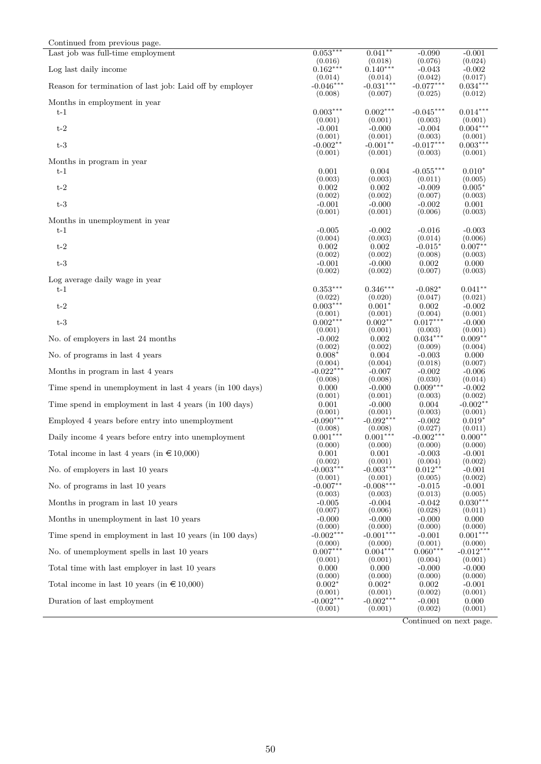| Continued from previous page.                            |                        |                         |                        |                       |
|----------------------------------------------------------|------------------------|-------------------------|------------------------|-----------------------|
| Last job was full-time employment                        | $0.053***$             | $0.041**$               | $-0.090$               | $-0.001$              |
| Log last daily income                                    | (0.016)<br>$0.162***$  | (0.018)<br>$0.140***$   | (0.076)<br>$-0.043$    | (0.024)<br>$-0.002$   |
|                                                          | (0.014)                | (0.014)                 | (0.042)                | (0.017)               |
| Reason for termination of last job: Laid off by employer | $-0.046***$<br>(0.008) | $-0.031***$<br>(0.007)  | $-0.077***$<br>(0.025) | $0.034***$<br>(0.012) |
| Months in employment in year                             |                        |                         |                        |                       |
| $t-1$                                                    | $0.003***$             | $0.002***$              | $-0.045***$            | $0.014***$            |
| $t-2$                                                    | (0.001)<br>$-0.001$    | (0.001)<br>$-0.000$     | (0.003)<br>$-0.004$    | (0.001)<br>$0.004***$ |
|                                                          | (0.001)                | (0.001)                 | (0.003)                | (0.001)               |
| $t-3$                                                    | $-0.002**$<br>(0.001)  | $-0.001**$<br>(0.001)   | $-0.017***$<br>(0.003) | $0.003***$<br>(0.001) |
| Months in program in year                                |                        |                         |                        |                       |
| $t-1$                                                    | 0.001                  | 0.004                   | $-0.055***$            | $0.010*$              |
| $t-2$                                                    | (0.003)<br>0.002       | (0.003)<br>0.002        | (0.011)<br>$-0.009$    | (0.005)<br>$0.005*$   |
|                                                          | (0.002)                | (0.002)                 | (0.007)                | (0.003)               |
| $t-3$                                                    | $-0.001$<br>(0.001)    | $-0.000$<br>(0.001)     | $-0.002$<br>(0.006)    | 0.001<br>(0.003)      |
| Months in unemployment in year                           |                        |                         |                        |                       |
| $t-1$                                                    | $-0.005$               | $-0.002$                | $-0.016$               | $-0.003$              |
| $t-2$                                                    | (0.004)<br>0.002       | (0.003)<br>0.002        | (0.014)<br>$-0.015*$   | (0.006)<br>$0.007***$ |
|                                                          | (0.002)                | (0.002)                 | (0.008)                | (0.003)               |
| $t-3$                                                    | $-0.001$<br>(0.002)    | $-0.000$<br>(0.002)     | 0.002<br>(0.007)       | 0.000<br>(0.003)      |
| Log average daily wage in year                           |                        |                         |                        |                       |
| $t-1$                                                    | $0.353***$             | $0.346***$              | $-0.082*$              | $0.041**$             |
| $t-2$                                                    | (0.022)<br>$0.003***$  | (0.020)<br>$0.001*$     | (0.047)<br>0.002       | (0.021)<br>$-0.002$   |
|                                                          | (0.001)                | (0.001)                 | (0.004)                | (0.001)               |
| $t-3$                                                    | $0.002***$<br>(0.001)  | $0.002^{**}$<br>(0.001) | $0.017***$<br>(0.003)  | $-0.000$<br>(0.001)   |
| No. of employers in last 24 months                       | $-0.002$               | 0.002                   | $0.034***$             | $0.009**$             |
| No. of programs in last 4 years                          | (0.002)<br>$0.008*$    | (0.002)<br>0.004        | (0.009)<br>$-0.003$    | (0.004)<br>0.000      |
|                                                          | (0.004)                | (0.004)                 | (0.018)                | (0.007)               |
| Months in program in last 4 years                        | $-0.022***$<br>(0.008) | $-0.007$<br>(0.008)     | $-0.002$<br>(0.030)    | $-0.006$<br>(0.014)   |
| Time spend in unemployment in last 4 years (in 100 days) | 0.000                  | $-0.000$                | $0.009***$             | $-0.002$              |
|                                                          | (0.001)<br>0.001       | (0.001)                 | (0.003)                | (0.002)<br>$-0.002**$ |
| Time spend in employment in last 4 years (in 100 days)   | (0.001)                | $-0.000$<br>(0.001)     | 0.004<br>(0.003)       | (0.001)               |
| Employed 4 years before entry into unemployment          | $-0.090***$            | $-0.092***$             | $-0.002$               | $0.019*$              |
| Daily income 4 years before entry into unemployment      | (0.008)<br>$0.001***$  | (0.008)<br>$0.001***$   | (0.027)<br>$-0.002***$ | (0.011)<br>$0.000**$  |
|                                                          | (0.000)                | (0.000)                 | (0.000)                | (0.000)               |
| Total income in last 4 years (in $\in$ 10,000)           | 0.001<br>(0.002)       | 0.001<br>(0.001)        | $-0.003$<br>(0.004)    | $-0.001$<br>(0.002)   |
| No. of employers in last 10 years                        | $-0.003***$            | $-0.003***$             | $0.012**$              | $-0.001$              |
| No. of programs in last 10 years                         | (0.001)<br>$-0.007**$  | (0.001)<br>$-0.008***$  | (0.005)<br>$-0.015$    | (0.002)<br>$-0.001$   |
|                                                          | (0.003)                | (0.003)                 | (0.013)                | (0.005)               |
| Months in program in last 10 years                       | $-0.005$<br>(0.007)    | $-0.004$<br>(0.006)     | $-0.042$<br>(0.028)    | $0.030***$<br>(0.011) |
| Months in unemployment in last 10 years                  | $-0.000$               | $-0.000$                | $-0.000$               | 0.000                 |
| Time spend in employment in last 10 years (in 100 days)  | (0.000)<br>$-0.002***$ | (0.000)<br>$-0.001***$  | (0.000)                | (0.000)<br>$0.001***$ |
|                                                          | (0.000)                | (0.000)                 | $-0.001$<br>(0.001)    | (0.000)               |
| No. of unemployment spells in last 10 years              | $0.007***$             | $0.004***$              | $0.060***$             | $-0.012***$           |
| Total time with last employer in last 10 years           | (0.001)<br>0.000       | (0.001)<br>0.000        | (0.004)<br>$-0.000$    | (0.001)<br>$-0.000$   |
|                                                          | (0.000)                | (0.000)                 | (0.000)                | (0.000)               |
| Total income in last 10 years (in $\in$ 10,000)          | $0.002*$<br>(0.001)    | $0.002*$<br>(0.001)     | 0.002<br>(0.002)       | $-0.001$<br>(0.001)   |
| Duration of last employment                              | $-0.002***$            | $-0.002***$             | $-0.001$               | 0.000                 |
|                                                          | (0.001)                | (0.001)                 | (0.002)                | (0.001)               |

 $\overline{a}$ 

Continued on next page.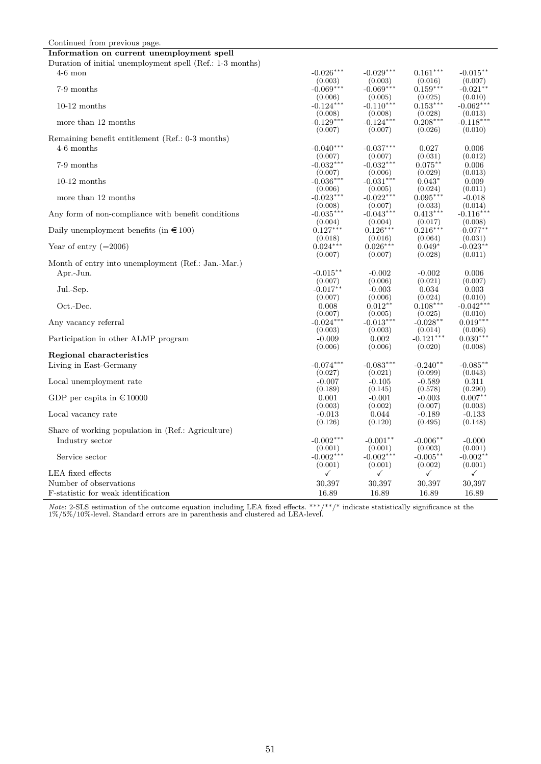| Continued from previous page.                             |              |             |              |                      |
|-----------------------------------------------------------|--------------|-------------|--------------|----------------------|
| Information on current unemployment spell                 |              |             |              |                      |
| Duration of initial unemployment spell (Ref.: 1-3 months) |              |             |              |                      |
| $4-6$ mon                                                 | $-0.026***$  | $-0.029***$ | $0.161***$   | $-0.015***$          |
|                                                           | (0.003)      | (0.003)     | (0.016)      | (0.007)              |
| 7-9 months                                                | $-0.069***$  | $-0.069***$ | $0.159***$   | $-0.021**$           |
|                                                           | (0.006)      | (0.005)     | (0.025)      | (0.010)              |
| $10-12$ months                                            | $-0.124***$  | $-0.110***$ | $0.153***$   | $-0.062***$          |
|                                                           | (0.008)      | (0.008)     | (0.028)      | (0.013)              |
| more than 12 months                                       | $-0.129***$  | $-0.124***$ | $0.208***$   | $-0.118***$          |
|                                                           | (0.007)      | (0.007)     | (0.026)      | (0.010)              |
| Remaining benefit entitlement (Ref.: 0-3 months)          |              |             |              |                      |
| 4-6 months                                                | $-0.040***$  | $-0.037***$ | 0.027        | 0.006                |
|                                                           | (0.007)      | (0.007)     | (0.031)      | (0.012)              |
| 7-9 months                                                | $-0.032***$  | $-0.032***$ | $0.075***$   | 0.006                |
|                                                           | (0.007)      | (0.006)     | (0.029)      | (0.013)              |
| $10-12$ months                                            | $-0.036***$  | $-0.031***$ | $0.043*$     | 0.009                |
|                                                           | (0.006)      | (0.005)     | (0.024)      | (0.011)              |
| more than 12 months                                       | $-0.023***$  | $-0.022***$ | $0.095***$   | $-0.018$             |
|                                                           | (0.008)      | (0.007)     | (0.033)      | (0.014)              |
| Any form of non-compliance with benefit conditions        | $-0.035***$  | $-0.043***$ | $0.413***$   | -0.116***            |
|                                                           | (0.004)      | (0.004)     | (0.017)      | (0.008)              |
| Daily unemployment benefits (in $\in$ 100)                | $0.127***$   | $0.126***$  | $0.216***$   | $-0.077**$           |
|                                                           | (0.018)      | (0.016)     | (0.064)      | (0.031)              |
| Year of entry $(=2006)$                                   | $0.024***$   | $0.026***$  | $0.049*$     | - $0.023^{\ast\ast}$ |
|                                                           | (0.007)      | (0.007)     | (0.028)      | (0.011)              |
| Month of entry into unemployment (Ref.: Jan.-Mar.)        |              |             |              |                      |
| Apr.-Jun.                                                 | $-0.015***$  | $-0.002$    | $-0.002$     | 0.006                |
|                                                           | (0.007)      | (0.006)     | (0.021)      | (0.007)              |
| Jul.-Sep.                                                 | $-0.017***$  | $-0.003$    | 0.034        | 0.003                |
|                                                           | (0.007)      | (0.006)     | (0.024)      | (0.010)              |
| Oct.-Dec.                                                 | 0.008        | $0.012**$   | $0.108***$   | $-0.042***$          |
|                                                           | (0.007)      | (0.005)     | (0.025)      | (0.010)              |
| Any vacancy referral                                      | $-0.024***$  | $-0.013***$ | $-0.028***$  | $0.019***$           |
|                                                           | (0.003)      | (0.003)     | (0.014)      | (0.006)              |
| Participation in other ALMP program                       | $-0.009$     | 0.002       | $-0.121***$  | $0.030***$           |
|                                                           | (0.006)      | (0.006)     | (0.020)      | (0.008)              |
| Regional characteristics                                  |              |             |              |                      |
| Living in East-Germany                                    | $-0.074***$  | $-0.083***$ | $-0.240**$   | $-0.085***$          |
|                                                           | (0.027)      | (0.021)     | (0.099)      | (0.043)              |
| Local unemployment rate                                   | $-0.007$     | $-0.105$    | $-0.589$     | 0.311                |
|                                                           | (0.189)      | (0.145)     | (0.578)      | (0.290)              |
| GDP per capita in $\epsilon$ 10000                        | 0.001        | $-0.001$    | $-0.003$     | $0.007***$           |
|                                                           | (0.003)      | (0.002)     | (0.007)      | (0.003)              |
| Local vacancy rate                                        | $-0.013$     | 0.044       | $-0.189$     | $-0.133$             |
|                                                           | (0.126)      | (0.120)     | (0.495)      | (0.148)              |
| Share of working population in (Ref.: Agriculture)        |              |             |              |                      |
| Industry sector                                           | $-0.002***$  | $-0.001**$  | $-0.006**$   | $-0.000$             |
|                                                           | (0.001)      | (0.001)     | (0.003)      | (0.001)              |
| Service sector                                            | $-0.002***$  | $-0.002***$ | $-0.005***$  | $-0.002**$           |
|                                                           | (0.001)      | (0.001)     | (0.002)      | (0.001)              |
| LEA fixed effects                                         | $\checkmark$ | ✓           | $\checkmark$ | $\checkmark$         |
| Number of observations                                    | 30,397       | 30,397      | 30,397       | 30,397               |
| F-statistic for weak identification                       | 16.89        | 16.89       | 16.89        | 16.89                |
|                                                           |              |             |              |                      |

*Note*: 2-SLS estimation of the outcome equation including LEA fixed effects. \*\*\*/\*\*/\* indicate statistically significance at the 1%/5%/10%-level. Standard errors are in parenthesis and clustered ad LEA-level.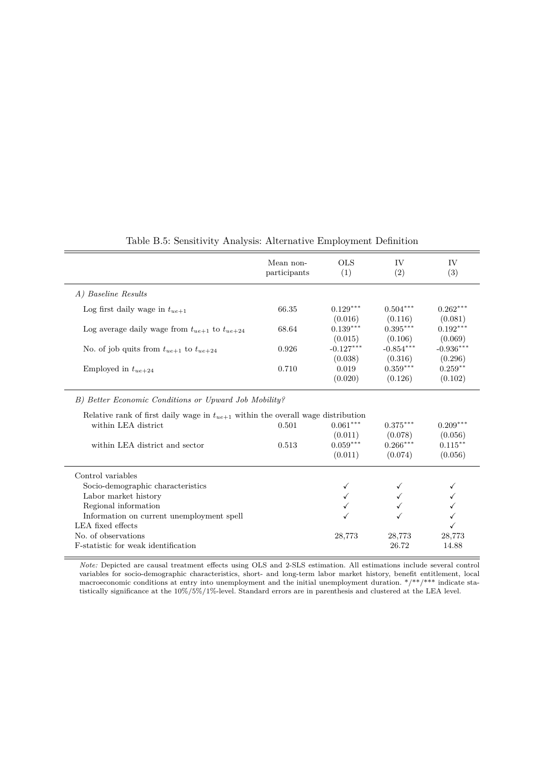|                                                                                      | Mean non-<br>participants | <b>OLS</b><br>(1)                | IV<br>(2)                        | <b>IV</b><br>(3)                 |
|--------------------------------------------------------------------------------------|---------------------------|----------------------------------|----------------------------------|----------------------------------|
| A) Baseline Results                                                                  |                           |                                  |                                  |                                  |
| Log first daily wage in $t_{ue+1}$                                                   | 66.35                     | $0.129***$<br>(0.016)            | $0.504***$<br>(0.116)            | $0.262***$<br>(0.081)            |
| Log average daily wage from $t_{ue+1}$ to $t_{ue+24}$                                | 68.64                     | $0.139***$                       | $0.395***$                       | $0.192***$                       |
| No. of job quits from $t_{ue+1}$ to $t_{ue+24}$                                      | 0.926                     | (0.015)<br>$-0.127***$           | (0.106)<br>$-0.854***$           | (0.069)<br>$-0.936***$           |
| Employed in $t_{ue+24}$                                                              | 0.710                     | (0.038)<br>0.019<br>(0.020)      | (0.316)<br>$0.359***$<br>(0.126) | (0.296)<br>$0.259**$<br>(0.102)  |
| B) Better Economic Conditions or Upward Job Mobility?                                |                           |                                  |                                  |                                  |
| Relative rank of first daily wage in $t_{ue+1}$ within the overall wage distribution |                           |                                  |                                  |                                  |
| within LEA district                                                                  | 0.501                     | $0.061***$                       | $0.375***$                       | $0.209***$                       |
| within LEA district and sector                                                       | 0.513                     | (0.011)<br>$0.059***$<br>(0.011) | (0.078)<br>$0.266***$<br>(0.074) | (0.056)<br>$0.115***$<br>(0.056) |
| Control variables                                                                    |                           |                                  |                                  |                                  |
| Socio-demographic characteristics                                                    |                           |                                  |                                  |                                  |
| Labor market history                                                                 |                           |                                  |                                  |                                  |
| Regional information<br>Information on current unemployment spell                    |                           |                                  |                                  |                                  |
| LEA fixed effects                                                                    |                           |                                  |                                  |                                  |
| No. of observations<br>F-statistic for weak identification                           |                           | 28,773                           | 28,773<br>26.72                  | 28,773<br>14.88                  |

### Table B.5: Sensitivity Analysis: Alternative Employment Definition

*Note:* Depicted are causal treatment effects using OLS and 2-SLS estimation. All estimations include several control variables for socio-demographic characteristics, short- and long-term labor market history, benefit entitlement, local macroeconomic conditions at entry into unemployment and the initial unemployment duration. \*/\*\*/\*\*\* indicate statistically significance at the 10%/5%/1%-level. Standard errors are in parenthesis and clustered at the LEA level.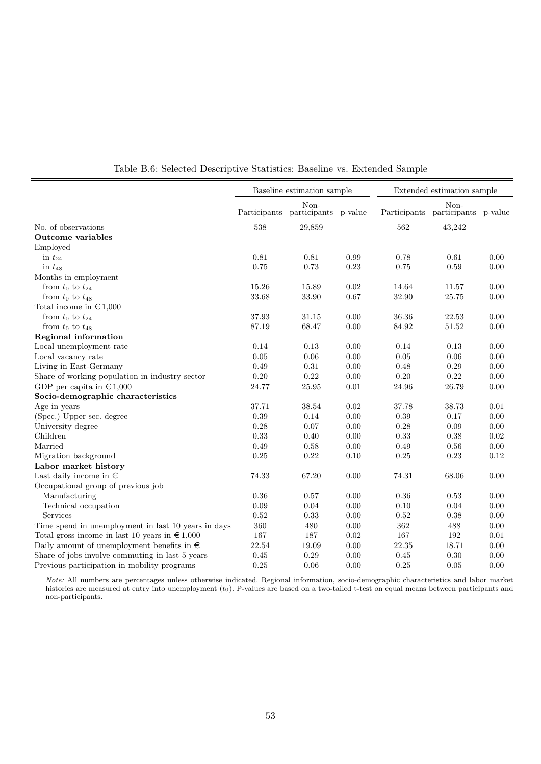|                                                     | Baseline estimation sample |                                           |      |          | Extended estimation sample                |          |  |
|-----------------------------------------------------|----------------------------|-------------------------------------------|------|----------|-------------------------------------------|----------|--|
|                                                     |                            | Non-<br>Participants participants p-value |      |          | Non-<br>Participants participants p-value |          |  |
| No. of observations                                 | 538                        | 29,859                                    |      | 562      | 43,242                                    |          |  |
| Outcome variables                                   |                            |                                           |      |          |                                           |          |  |
| Employed                                            |                            |                                           |      |          |                                           |          |  |
| in $t_{24}$                                         | 0.81                       | 0.81                                      | 0.99 | 0.78     | 0.61                                      | 0.00     |  |
| in $t_{48}$                                         | 0.75                       | 0.73                                      | 0.23 | 0.75     | 0.59                                      | 0.00     |  |
| Months in employment                                |                            |                                           |      |          |                                           |          |  |
| from $t_0$ to $t_{24}$                              | 15.26                      | 15.89                                     | 0.02 | 14.64    | 11.57                                     | 0.00     |  |
| from $t_0$ to $t_{48}$                              | 33.68                      | 33.90                                     | 0.67 | 32.90    | 25.75                                     | 0.00     |  |
| Total income in $\in 1,000$                         |                            |                                           |      |          |                                           |          |  |
| from $t_0$ to $t_{24}$                              | 37.93                      | 31.15                                     | 0.00 | 36.36    | 22.53                                     | 0.00     |  |
| from $t_0$ to $t_{48}$                              | 87.19                      | 68.47                                     | 0.00 | 84.92    | 51.52                                     | 0.00     |  |
| Regional information                                |                            |                                           |      |          |                                           |          |  |
| Local unemployment rate                             | 0.14                       | 0.13                                      | 0.00 | 0.14     | 0.13                                      | 0.00     |  |
| Local vacancy rate                                  | 0.05                       | $0.06\,$                                  | 0.00 | $0.05\,$ | $0.06\,$                                  | 0.00     |  |
| Living in East-Germany                              | 0.49                       | 0.31                                      | 0.00 | 0.48     | 0.29                                      | $0.00\,$ |  |
| Share of working population in industry sector      | 0.20                       | 0.22                                      | 0.00 | 0.20     | 0.22                                      | 0.00     |  |
| GDP per capita in $\in 1,000$                       | 24.77                      | 25.95                                     | 0.01 | 24.96    | 26.79                                     | 0.00     |  |
| Socio-demographic characteristics                   |                            |                                           |      |          |                                           |          |  |
| Age in years                                        | 37.71                      | 38.54                                     | 0.02 | 37.78    | 38.73                                     | $0.01\,$ |  |
| (Spec.) Upper sec. degree                           | $0.39\,$                   | 0.14                                      | 0.00 | 0.39     | 0.17                                      | $0.00\,$ |  |
| University degree                                   | 0.28                       | 0.07                                      | 0.00 | 0.28     | 0.09                                      | 0.00     |  |
| Children                                            | 0.33                       | 0.40                                      | 0.00 | 0.33     | 0.38                                      | $0.02\,$ |  |
| Married                                             | 0.49                       | 0.58                                      | 0.00 | 0.49     | $0.56\,$                                  | 0.00     |  |
| Migration background                                | 0.25                       | 0.22                                      | 0.10 | 0.25     | 0.23                                      | 0.12     |  |
| Labor market history                                |                            |                                           |      |          |                                           |          |  |
| Last daily income in $\in$                          | 74.33                      | 67.20                                     | 0.00 | 74.31    | 68.06                                     | 0.00     |  |
| Occupational group of previous job                  |                            |                                           |      |          |                                           |          |  |
| Manufacturing                                       | 0.36                       | 0.57                                      | 0.00 | 0.36     | 0.53                                      | 0.00     |  |
| Technical occupation                                | 0.09                       | 0.04                                      | 0.00 | 0.10     | 0.04                                      | 0.00     |  |
| <b>Services</b>                                     | 0.52                       | 0.33                                      | 0.00 | 0.52     | 0.38                                      | 0.00     |  |
| Time spend in unemployment in last 10 years in days | 360                        | 480                                       | 0.00 | 362      | 488                                       | 0.00     |  |
| Total gross income in last 10 years in $\in 1,000$  | 167                        | 187                                       | 0.02 | 167      | 192                                       | $0.01\,$ |  |
| Daily amount of unemployment benefits in $\in$      | 22.54                      | 19.09                                     | 0.00 | 22.35    | 18.71                                     | 0.00     |  |
| Share of jobs involve commuting in last 5 years     | $0.45\,$                   | 0.29                                      | 0.00 | 0.45     | 0.30                                      | $0.00\,$ |  |
| Previous participation in mobility programs         | 0.25                       | 0.06                                      | 0.00 | 0.25     | 0.05                                      | 0.00     |  |

Table B.6: Selected Descriptive Statistics: Baseline vs. Extended Sample

*Note:* All numbers are percentages unless otherwise indicated. Regional information, socio-demographic characteristics and labor market histories are measured at entry into unemployment (*t*0). P-values are based on a two-tailed t-test on equal means between participants and non-participants.